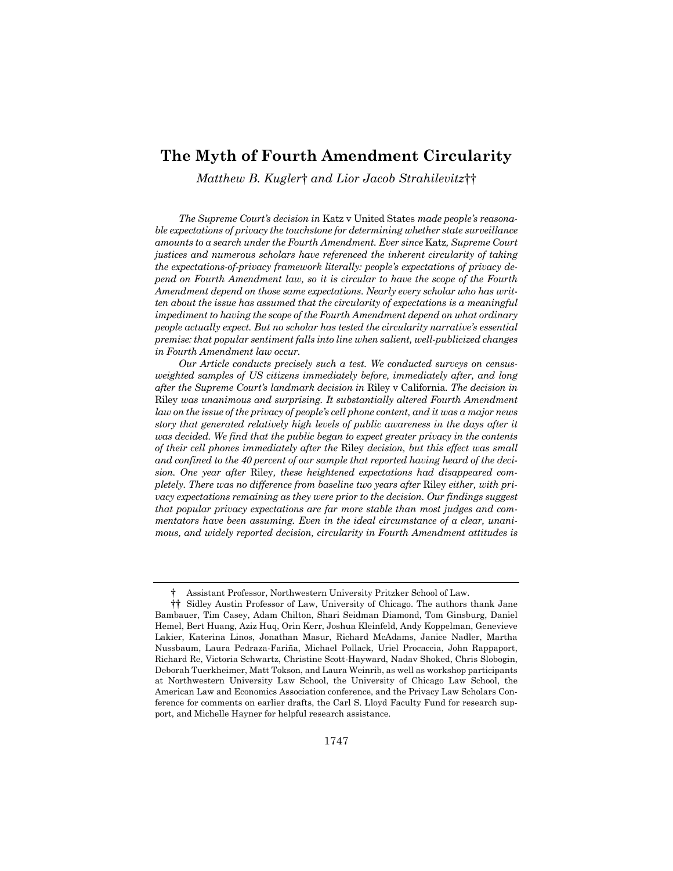# **The Myth of Fourth Amendment Circularity**

*Matthew B. Kugler*† *and Lior Jacob Strahilevitz*††

*The Supreme Court's decision in* Katz v United States *made people's reasonable expectations of privacy the touchstone for determining whether state surveillance amounts to a search under the Fourth Amendment. Ever since* Katz*, Supreme Court justices and numerous scholars have referenced the inherent circularity of taking the expectations-of-privacy framework literally: people's expectations of privacy depend on Fourth Amendment law, so it is circular to have the scope of the Fourth Amendment depend on those same expectations. Nearly every scholar who has writ*ten about the issue has assumed that the circularity of expectations is a meaningful *impediment to having the scope of the Fourth Amendment depend on what ordinary people actually expect. But no scholar has tested the circularity narrative's essential premise: that popular sentiment falls into line when salient, well-publicized changes in Fourth Amendment law occur.* 

*Our Article conducts precisely such a test. We conducted surveys on censusweighted samples of US citizens immediately before, immediately after, and long after the Supreme Court's landmark decision in* Riley v California*. The decision in*  Riley *was unanimous and surprising. It substantially altered Fourth Amendment law on the issue of the privacy of people's cell phone content, and it was a major news story that generated relatively high levels of public awareness in the days after it was decided. We find that the public began to expect greater privacy in the contents of their cell phones immediately after the* Riley *decision, but this effect was small and confined to the 40 percent of our sample that reported having heard of the decision. One year after* Riley*, these heightened expectations had disappeared completely. There was no difference from baseline two years after* Riley *either, with privacy expectations remaining as they were prior to the decision. Our findings suggest that popular privacy expectations are far more stable than most judges and commentators have been assuming. Even in the ideal circumstance of a clear, unanimous, and widely reported decision, circularity in Fourth Amendment attitudes is* 

<sup>†</sup> Assistant Professor, Northwestern University Pritzker School of Law.

<sup>††</sup> Sidley Austin Professor of Law, University of Chicago. The authors thank Jane Bambauer, Tim Casey, Adam Chilton, Shari Seidman Diamond, Tom Ginsburg, Daniel Hemel, Bert Huang, Aziz Huq, Orin Kerr, Joshua Kleinfeld, Andy Koppelman, Genevieve Lakier, Katerina Linos, Jonathan Masur, Richard McAdams, Janice Nadler, Martha Nussbaum, Laura Pedraza-Fariña, Michael Pollack, Uriel Procaccia, John Rappaport, Richard Re, Victoria Schwartz, Christine Scott-Hayward, Nadav Shoked, Chris Slobogin, Deborah Tuerkheimer, Matt Tokson, and Laura Weinrib, as well as workshop participants at Northwestern University Law School, the University of Chicago Law School, the American Law and Economics Association conference, and the Privacy Law Scholars Conference for comments on earlier drafts, the Carl S. Lloyd Faculty Fund for research support, and Michelle Hayner for helpful research assistance.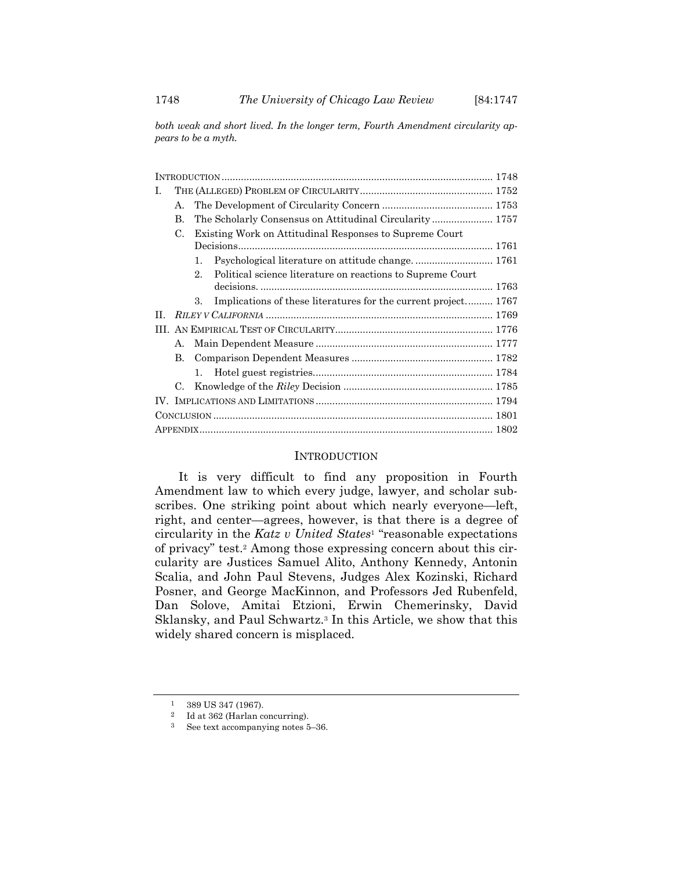*both weak and short lived. In the longer term, Fourth Amendment circularity appears to be a myth.* 

| L |                                                               |         |                                                                |  |  |  |
|---|---------------------------------------------------------------|---------|----------------------------------------------------------------|--|--|--|
|   | $\mathbf{A}$                                                  |         |                                                                |  |  |  |
|   | В.                                                            |         | The Scholarly Consensus on Attitudinal Circularity 1757        |  |  |  |
|   | Existing Work on Attitudinal Responses to Supreme Court<br>C. |         |                                                                |  |  |  |
|   |                                                               |         |                                                                |  |  |  |
|   |                                                               | 1.      | Psychological literature on attitude change.  1761             |  |  |  |
|   |                                                               | 2.      | Political science literature on reactions to Supreme Court     |  |  |  |
|   |                                                               |         |                                                                |  |  |  |
|   |                                                               | 3.      | Implications of these literatures for the current project 1767 |  |  |  |
| H |                                                               |         |                                                                |  |  |  |
|   |                                                               |         |                                                                |  |  |  |
|   | А.                                                            |         |                                                                |  |  |  |
|   | B.                                                            |         |                                                                |  |  |  |
|   |                                                               | $1_{-}$ |                                                                |  |  |  |
|   | C.                                                            |         |                                                                |  |  |  |
|   |                                                               |         |                                                                |  |  |  |
|   |                                                               |         |                                                                |  |  |  |
|   |                                                               |         |                                                                |  |  |  |

#### INTRODUCTION

It is very difficult to find any proposition in Fourth Amendment law to which every judge, lawyer, and scholar subscribes. One striking point about which nearly everyone—left, right, and center—agrees, however, is that there is a degree of circularity in the *Katz v United States*1 "reasonable expectations of privacy" test.2 Among those expressing concern about this circularity are Justices Samuel Alito, Anthony Kennedy, Antonin Scalia, and John Paul Stevens, Judges Alex Kozinski, Richard Posner, and George MacKinnon, and Professors Jed Rubenfeld, Dan Solove, Amitai Etzioni, Erwin Chemerinsky, David Sklansky, and Paul Schwartz.3 In this Article, we show that this widely shared concern is misplaced.

<sup>1 389</sup> US 347 (1967).

<sup>2</sup> Id at 362 (Harlan concurring).

<sup>3</sup> See text accompanying notes 5–36.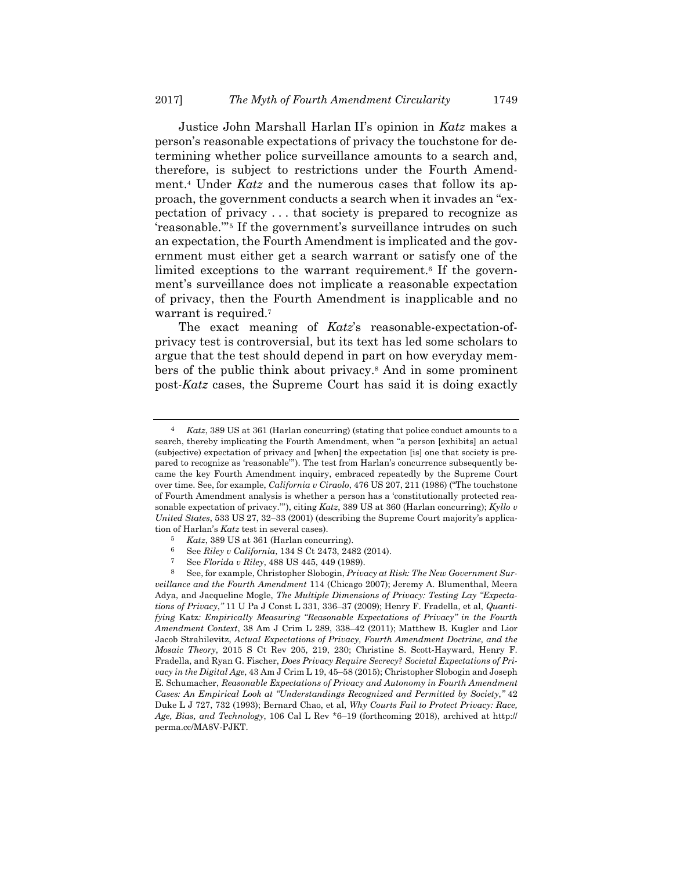Justice John Marshall Harlan II's opinion in *Katz* makes a person's reasonable expectations of privacy the touchstone for determining whether police surveillance amounts to a search and, therefore, is subject to restrictions under the Fourth Amendment.4 Under *Katz* and the numerous cases that follow its approach, the government conducts a search when it invades an "expectation of privacy . . . that society is prepared to recognize as 'reasonable.'"5 If the government's surveillance intrudes on such an expectation, the Fourth Amendment is implicated and the government must either get a search warrant or satisfy one of the limited exceptions to the warrant requirement.<sup>6</sup> If the government's surveillance does not implicate a reasonable expectation of privacy, then the Fourth Amendment is inapplicable and no warrant is required.<sup>7</sup>

The exact meaning of *Katz*'s reasonable-expectation-ofprivacy test is controversial, but its text has led some scholars to argue that the test should depend in part on how everyday members of the public think about privacy.8 And in some prominent post-*Katz* cases, the Supreme Court has said it is doing exactly

<sup>4</sup> *Katz*, 389 US at 361 (Harlan concurring) (stating that police conduct amounts to a search, thereby implicating the Fourth Amendment, when "a person [exhibits] an actual (subjective) expectation of privacy and [when] the expectation [is] one that society is prepared to recognize as 'reasonable'"). The test from Harlan's concurrence subsequently became the key Fourth Amendment inquiry, embraced repeatedly by the Supreme Court over time. See, for example, *California v Ciraolo*, 476 US 207, 211 (1986) ("The touchstone of Fourth Amendment analysis is whether a person has a 'constitutionally protected reasonable expectation of privacy.'"), citing *Katz*, 389 US at 360 (Harlan concurring); *Kyllo v United States*, 533 US 27, 32–33 (2001) (describing the Supreme Court majority's application of Harlan's *Katz* test in several cases).

<sup>5</sup> *Katz*, 389 US at 361 (Harlan concurring).

<sup>6</sup> See *Riley v California*, 134 S Ct 2473, 2482 (2014).

<sup>7</sup> See *Florida v Riley*, 488 US 445, 449 (1989).

<sup>8</sup> See, for example, Christopher Slobogin, *Privacy at Risk: The New Government Surveillance and the Fourth Amendment* 114 (Chicago 2007); Jeremy A. Blumenthal, Meera Adya, and Jacqueline Mogle, *The Multiple Dimensions of Privacy: Testing Lay "Expectations of Privacy*,*"* 11 U Pa J Const L 331, 336–37 (2009); Henry F. Fradella, et al, *Quantifying* Katz*: Empirically Measuring "Reasonable Expectations of Privacy" in the Fourth Amendment Context*, 38 Am J Crim L 289, 338–42 (2011); Matthew B. Kugler and Lior Jacob Strahilevitz, *Actual Expectations of Privacy, Fourth Amendment Doctrine, and the Mosaic Theory*, 2015 S Ct Rev 205, 219, 230; Christine S. Scott-Hayward, Henry F. Fradella, and Ryan G. Fischer, *Does Privacy Require Secrecy? Societal Expectations of Privacy in the Digital Age*, 43 Am J Crim L 19, 45–58 (2015); Christopher Slobogin and Joseph E. Schumacher, *Reasonable Expectations of Privacy and Autonomy in Fourth Amendment Cases: An Empirical Look at "Understandings Recognized and Permitted by Society*,*"* 42 Duke L J 727, 732 (1993); Bernard Chao, et al, *Why Courts Fail to Protect Privacy: Race, Age, Bias, and Technology*, 106 Cal L Rev \*6–19 (forthcoming 2018), archived at http:// perma.cc/MA8V-PJKT.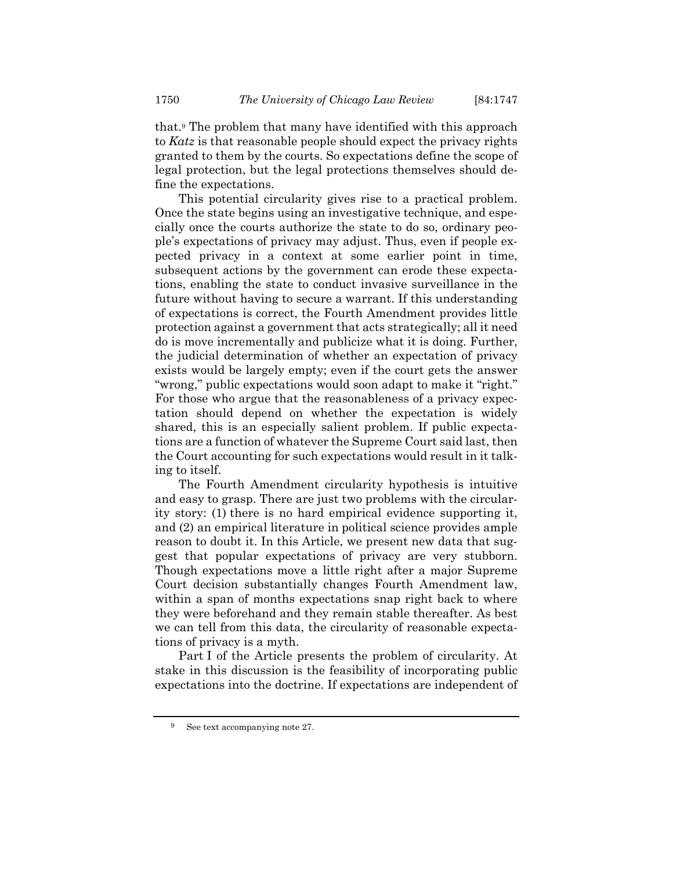that.9 The problem that many have identified with this approach to *Katz* is that reasonable people should expect the privacy rights granted to them by the courts. So expectations define the scope of legal protection, but the legal protections themselves should define the expectations.

This potential circularity gives rise to a practical problem. Once the state begins using an investigative technique, and especially once the courts authorize the state to do so, ordinary people's expectations of privacy may adjust. Thus, even if people expected privacy in a context at some earlier point in time, subsequent actions by the government can erode these expectations, enabling the state to conduct invasive surveillance in the future without having to secure a warrant. If this understanding of expectations is correct, the Fourth Amendment provides little protection against a government that acts strategically; all it need do is move incrementally and publicize what it is doing. Further, the judicial determination of whether an expectation of privacy exists would be largely empty; even if the court gets the answer "wrong," public expectations would soon adapt to make it "right." For those who argue that the reasonableness of a privacy expectation should depend on whether the expectation is widely shared, this is an especially salient problem. If public expectations are a function of whatever the Supreme Court said last, then the Court accounting for such expectations would result in it talking to itself.

The Fourth Amendment circularity hypothesis is intuitive and easy to grasp. There are just two problems with the circularity story: (1) there is no hard empirical evidence supporting it, and (2) an empirical literature in political science provides ample reason to doubt it. In this Article, we present new data that suggest that popular expectations of privacy are very stubborn. Though expectations move a little right after a major Supreme Court decision substantially changes Fourth Amendment law, within a span of months expectations snap right back to where they were beforehand and they remain stable thereafter. As best we can tell from this data, the circularity of reasonable expectations of privacy is a myth.

Part I of the Article presents the problem of circularity. At stake in this discussion is the feasibility of incorporating public expectations into the doctrine. If expectations are independent of

See text accompanying note 27.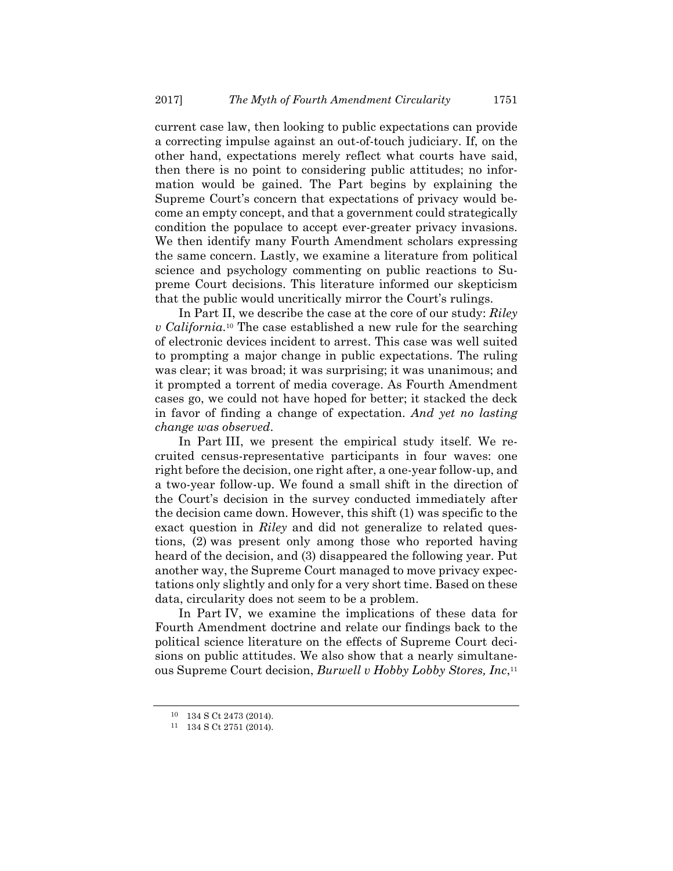current case law, then looking to public expectations can provide a correcting impulse against an out-of-touch judiciary. If, on the other hand, expectations merely reflect what courts have said, then there is no point to considering public attitudes; no information would be gained. The Part begins by explaining the Supreme Court's concern that expectations of privacy would become an empty concept, and that a government could strategically condition the populace to accept ever-greater privacy invasions. We then identify many Fourth Amendment scholars expressing the same concern. Lastly, we examine a literature from political science and psychology commenting on public reactions to Supreme Court decisions. This literature informed our skepticism that the public would uncritically mirror the Court's rulings.

In Part II, we describe the case at the core of our study: *Riley v California*.10 The case established a new rule for the searching of electronic devices incident to arrest. This case was well suited to prompting a major change in public expectations. The ruling was clear; it was broad; it was surprising; it was unanimous; and it prompted a torrent of media coverage. As Fourth Amendment cases go, we could not have hoped for better; it stacked the deck in favor of finding a change of expectation. *And yet no lasting change was observed*.

In Part III, we present the empirical study itself. We recruited census-representative participants in four waves: one right before the decision, one right after, a one-year follow-up, and a two-year follow-up. We found a small shift in the direction of the Court's decision in the survey conducted immediately after the decision came down. However, this shift (1) was specific to the exact question in *Riley* and did not generalize to related questions, (2) was present only among those who reported having heard of the decision, and (3) disappeared the following year. Put another way, the Supreme Court managed to move privacy expectations only slightly and only for a very short time. Based on these data, circularity does not seem to be a problem.

In Part IV, we examine the implications of these data for Fourth Amendment doctrine and relate our findings back to the political science literature on the effects of Supreme Court decisions on public attitudes. We also show that a nearly simultaneous Supreme Court decision, *Burwell v Hobby Lobby Stores, Inc*,11

<sup>10 134</sup> S Ct 2473 (2014).

<sup>11 134</sup> S Ct 2751 (2014).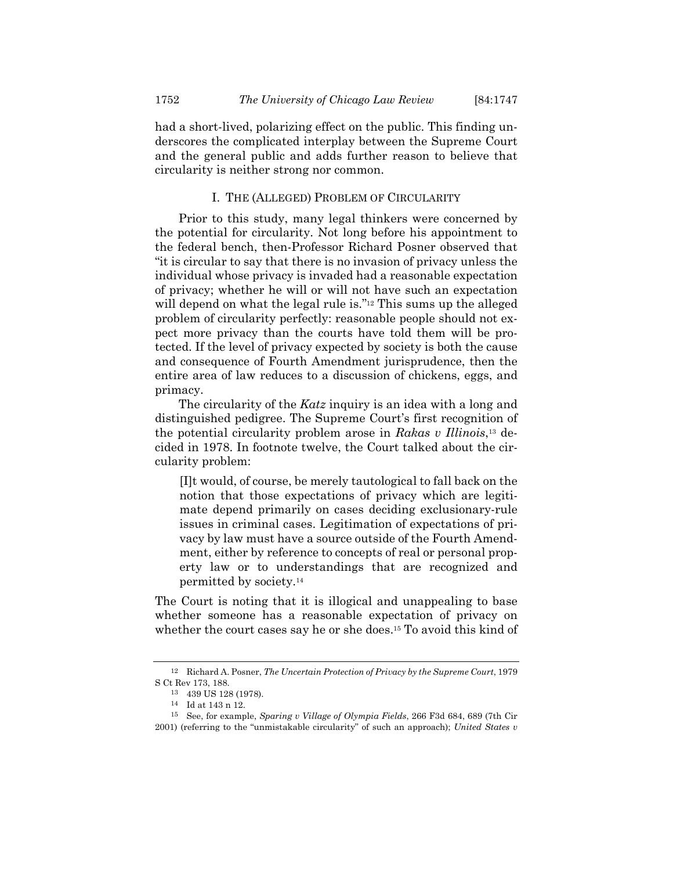had a short-lived, polarizing effect on the public. This finding underscores the complicated interplay between the Supreme Court and the general public and adds further reason to believe that circularity is neither strong nor common.

#### I. THE (ALLEGED) PROBLEM OF CIRCULARITY

Prior to this study, many legal thinkers were concerned by the potential for circularity. Not long before his appointment to the federal bench, then-Professor Richard Posner observed that "it is circular to say that there is no invasion of privacy unless the individual whose privacy is invaded had a reasonable expectation of privacy; whether he will or will not have such an expectation will depend on what the legal rule is."<sup>12</sup> This sums up the alleged problem of circularity perfectly: reasonable people should not expect more privacy than the courts have told them will be protected. If the level of privacy expected by society is both the cause and consequence of Fourth Amendment jurisprudence, then the entire area of law reduces to a discussion of chickens, eggs, and primacy.

The circularity of the *Katz* inquiry is an idea with a long and distinguished pedigree. The Supreme Court's first recognition of the potential circularity problem arose in *Rakas v Illinois*,13 decided in 1978. In footnote twelve, the Court talked about the circularity problem:

[I]t would, of course, be merely tautological to fall back on the notion that those expectations of privacy which are legitimate depend primarily on cases deciding exclusionary-rule issues in criminal cases. Legitimation of expectations of privacy by law must have a source outside of the Fourth Amendment, either by reference to concepts of real or personal property law or to understandings that are recognized and permitted by society.14

The Court is noting that it is illogical and unappealing to base whether someone has a reasonable expectation of privacy on whether the court cases say he or she does.<sup>15</sup> To avoid this kind of

<sup>12</sup> Richard A. Posner, *The Uncertain Protection of Privacy by the Supreme Court*, 1979 S Ct Rev 173, 188.

<sup>13 439</sup> US 128 (1978).

<sup>14</sup> Id at 143 n 12.

<sup>15</sup> See, for example, *Sparing v Village of Olympia Fields*, 266 F3d 684, 689 (7th Cir 2001) (referring to the "unmistakable circularity" of such an approach); *United States v*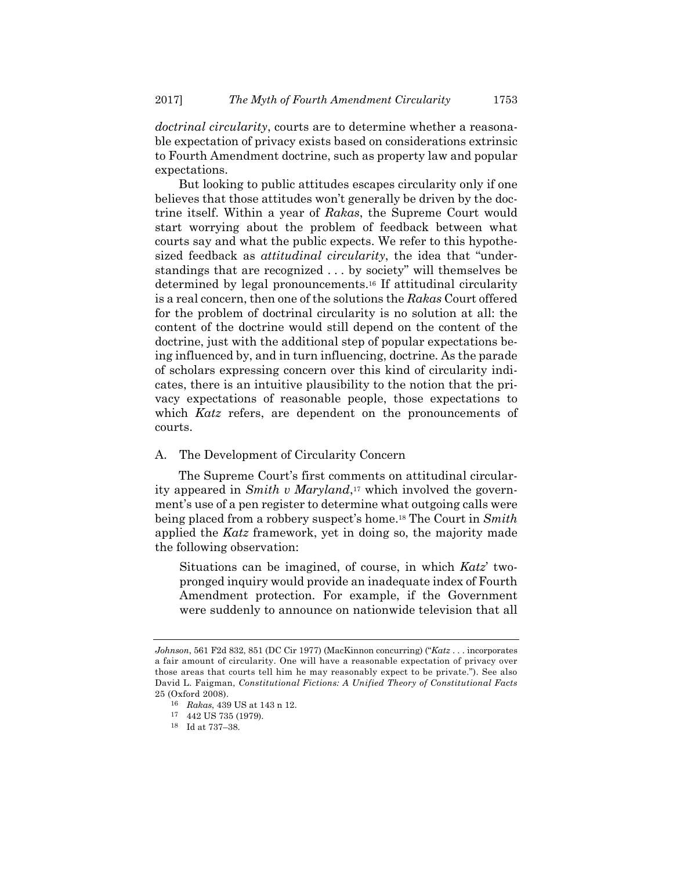*doctrinal circularity*, courts are to determine whether a reasonable expectation of privacy exists based on considerations extrinsic to Fourth Amendment doctrine, such as property law and popular expectations.

But looking to public attitudes escapes circularity only if one believes that those attitudes won't generally be driven by the doctrine itself. Within a year of *Rakas*, the Supreme Court would start worrying about the problem of feedback between what courts say and what the public expects. We refer to this hypothesized feedback as *attitudinal circularity*, the idea that "understandings that are recognized . . . by society" will themselves be determined by legal pronouncements.16 If attitudinal circularity is a real concern, then one of the solutions the *Rakas* Court offered for the problem of doctrinal circularity is no solution at all: the content of the doctrine would still depend on the content of the doctrine, just with the additional step of popular expectations being influenced by, and in turn influencing, doctrine. As the parade of scholars expressing concern over this kind of circularity indicates, there is an intuitive plausibility to the notion that the privacy expectations of reasonable people, those expectations to which *Katz* refers, are dependent on the pronouncements of courts.

#### A. The Development of Circularity Concern

The Supreme Court's first comments on attitudinal circularity appeared in *Smith v Maryland*,<sup>17</sup> which involved the government's use of a pen register to determine what outgoing calls were being placed from a robbery suspect's home.18 The Court in *Smith* applied the *Katz* framework, yet in doing so, the majority made the following observation:

Situations can be imagined, of course, in which *Katz*' twopronged inquiry would provide an inadequate index of Fourth Amendment protection. For example, if the Government were suddenly to announce on nationwide television that all

*Johnson*, 561 F2d 832, 851 (DC Cir 1977) (MacKinnon concurring) ("*Katz* . . . incorporates a fair amount of circularity. One will have a reasonable expectation of privacy over those areas that courts tell him he may reasonably expect to be private."). See also David L. Faigman, *Constitutional Fictions: A Unified Theory of Constitutional Facts* 25 (Oxford 2008).

<sup>16</sup> *Rakas*, 439 US at 143 n 12.

<sup>17 442</sup> US 735 (1979).

<sup>18</sup> Id at 737–38.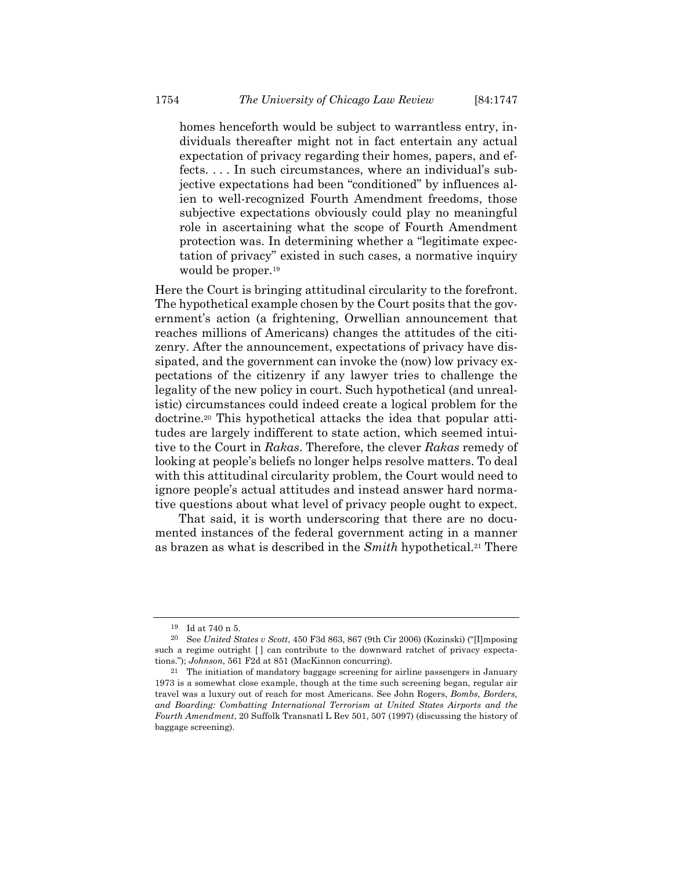homes henceforth would be subject to warrantless entry, individuals thereafter might not in fact entertain any actual expectation of privacy regarding their homes, papers, and effects. . . . In such circumstances, where an individual's subjective expectations had been "conditioned" by influences alien to well-recognized Fourth Amendment freedoms, those subjective expectations obviously could play no meaningful role in ascertaining what the scope of Fourth Amendment protection was. In determining whether a "legitimate expectation of privacy" existed in such cases, a normative inquiry would be proper.<sup>19</sup>

Here the Court is bringing attitudinal circularity to the forefront. The hypothetical example chosen by the Court posits that the government's action (a frightening, Orwellian announcement that reaches millions of Americans) changes the attitudes of the citizenry. After the announcement, expectations of privacy have dissipated, and the government can invoke the (now) low privacy expectations of the citizenry if any lawyer tries to challenge the legality of the new policy in court. Such hypothetical (and unrealistic) circumstances could indeed create a logical problem for the doctrine.20 This hypothetical attacks the idea that popular attitudes are largely indifferent to state action, which seemed intuitive to the Court in *Rakas*. Therefore, the clever *Rakas* remedy of looking at people's beliefs no longer helps resolve matters. To deal with this attitudinal circularity problem, the Court would need to ignore people's actual attitudes and instead answer hard normative questions about what level of privacy people ought to expect.

That said, it is worth underscoring that there are no documented instances of the federal government acting in a manner as brazen as what is described in the *Smith* hypothetical.21 There

<sup>19</sup> Id at 740 n 5.

<sup>20</sup> See *United States v Scott*, 450 F3d 863, 867 (9th Cir 2006) (Kozinski) ("[I]mposing such a regime outright  $\lceil \cdot \rceil$  can contribute to the downward ratchet of privacy expectations."); *Johnson*, 561 F2d at 851 (MacKinnon concurring).

<sup>21</sup> The initiation of mandatory baggage screening for airline passengers in January 1973 is a somewhat close example, though at the time such screening began, regular air travel was a luxury out of reach for most Americans. See John Rogers, *Bombs, Borders, and Boarding: Combatting International Terrorism at United States Airports and the Fourth Amendment*, 20 Suffolk Transnatl L Rev 501, 507 (1997) (discussing the history of baggage screening).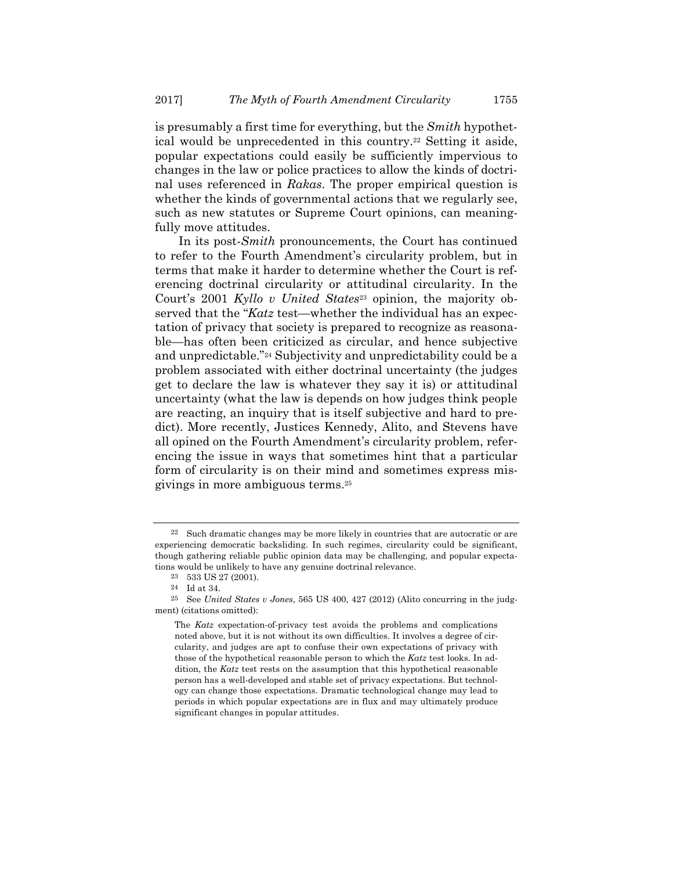is presumably a first time for everything, but the *Smith* hypothetical would be unprecedented in this country.22 Setting it aside, popular expectations could easily be sufficiently impervious to changes in the law or police practices to allow the kinds of doctrinal uses referenced in *Rakas*. The proper empirical question is whether the kinds of governmental actions that we regularly see, such as new statutes or Supreme Court opinions, can meaningfully move attitudes.

In its post-*Smith* pronouncements, the Court has continued to refer to the Fourth Amendment's circularity problem, but in terms that make it harder to determine whether the Court is referencing doctrinal circularity or attitudinal circularity. In the Court's 2001 *Kyllo v United States*23 opinion, the majority observed that the "*Katz* test—whether the individual has an expectation of privacy that society is prepared to recognize as reasonable—has often been criticized as circular, and hence subjective and unpredictable."24 Subjectivity and unpredictability could be a problem associated with either doctrinal uncertainty (the judges get to declare the law is whatever they say it is) or attitudinal uncertainty (what the law is depends on how judges think people are reacting, an inquiry that is itself subjective and hard to predict). More recently, Justices Kennedy, Alito, and Stevens have all opined on the Fourth Amendment's circularity problem, referencing the issue in ways that sometimes hint that a particular form of circularity is on their mind and sometimes express misgivings in more ambiguous terms.25

<sup>22</sup> Such dramatic changes may be more likely in countries that are autocratic or are experiencing democratic backsliding. In such regimes, circularity could be significant, though gathering reliable public opinion data may be challenging, and popular expectations would be unlikely to have any genuine doctrinal relevance.

<sup>23 533</sup> US 27 (2001).

<sup>24</sup> Id at 34.

<sup>25</sup> See *United States v Jones*, 565 US 400, 427 (2012) (Alito concurring in the judgment) (citations omitted):

The *Katz* expectation-of-privacy test avoids the problems and complications noted above, but it is not without its own difficulties. It involves a degree of circularity, and judges are apt to confuse their own expectations of privacy with those of the hypothetical reasonable person to which the *Katz* test looks. In addition, the *Katz* test rests on the assumption that this hypothetical reasonable person has a well-developed and stable set of privacy expectations. But technology can change those expectations. Dramatic technological change may lead to periods in which popular expectations are in flux and may ultimately produce significant changes in popular attitudes.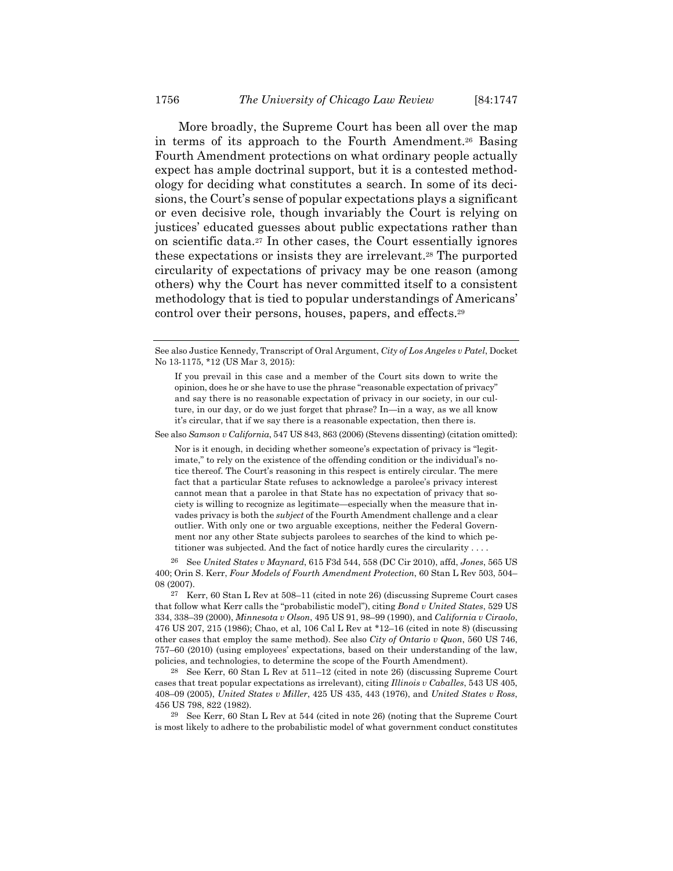More broadly, the Supreme Court has been all over the map in terms of its approach to the Fourth Amendment.26 Basing Fourth Amendment protections on what ordinary people actually expect has ample doctrinal support, but it is a contested methodology for deciding what constitutes a search. In some of its decisions, the Court's sense of popular expectations plays a significant or even decisive role, though invariably the Court is relying on justices' educated guesses about public expectations rather than on scientific data.27 In other cases, the Court essentially ignores these expectations or insists they are irrelevant.28 The purported circularity of expectations of privacy may be one reason (among others) why the Court has never committed itself to a consistent methodology that is tied to popular understandings of Americans' control over their persons, houses, papers, and effects.29

See also *Samson v California*, 547 US 843, 863 (2006) (Stevens dissenting) (citation omitted):

Nor is it enough, in deciding whether someone's expectation of privacy is "legitimate," to rely on the existence of the offending condition or the individual's notice thereof. The Court's reasoning in this respect is entirely circular. The mere fact that a particular State refuses to acknowledge a parolee's privacy interest cannot mean that a parolee in that State has no expectation of privacy that society is willing to recognize as legitimate—especially when the measure that invades privacy is both the *subject* of the Fourth Amendment challenge and a clear outlier. With only one or two arguable exceptions, neither the Federal Government nor any other State subjects parolees to searches of the kind to which petitioner was subjected. And the fact of notice hardly cures the circularity . . . .

26 See *United States v Maynard*, 615 F3d 544, 558 (DC Cir 2010), affd, *Jones*, 565 US 400; Orin S. Kerr, *Four Models of Fourth Amendment Protection*, 60 Stan L Rev 503, 504– 08 (2007).

 $27$  Kerr, 60 Stan L Rev at 508–11 (cited in note 26) (discussing Supreme Court cases that follow what Kerr calls the "probabilistic model"), citing *Bond v United States*, 529 US 334, 338–39 (2000), *Minnesota v Olson*, 495 US 91, 98–99 (1990), and *California v Ciraolo*, 476 US 207, 215 (1986); Chao, et al, 106 Cal L Rev at \*12–16 (cited in note 8) (discussing other cases that employ the same method). See also *City of Ontario v Quon*, 560 US 746, 757–60 (2010) (using employees' expectations, based on their understanding of the law, policies, and technologies, to determine the scope of the Fourth Amendment).

28 See Kerr, 60 Stan L Rev at 511–12 (cited in note 26) (discussing Supreme Court cases that treat popular expectations as irrelevant), citing *Illinois v Caballes*, 543 US 405, 408–09 (2005), *United States v Miller*, 425 US 435, 443 (1976), and *United States v Ross*, 456 US 798, 822 (1982).

29 See Kerr, 60 Stan L Rev at 544 (cited in note 26) (noting that the Supreme Court is most likely to adhere to the probabilistic model of what government conduct constitutes

See also Justice Kennedy, Transcript of Oral Argument, *City of Los Angeles v Patel*, Docket No 13-1175, \*12 (US Mar 3, 2015):

If you prevail in this case and a member of the Court sits down to write the opinion, does he or she have to use the phrase "reasonable expectation of privacy" and say there is no reasonable expectation of privacy in our society, in our culture, in our day, or do we just forget that phrase? In—in a way, as we all know it's circular, that if we say there is a reasonable expectation, then there is.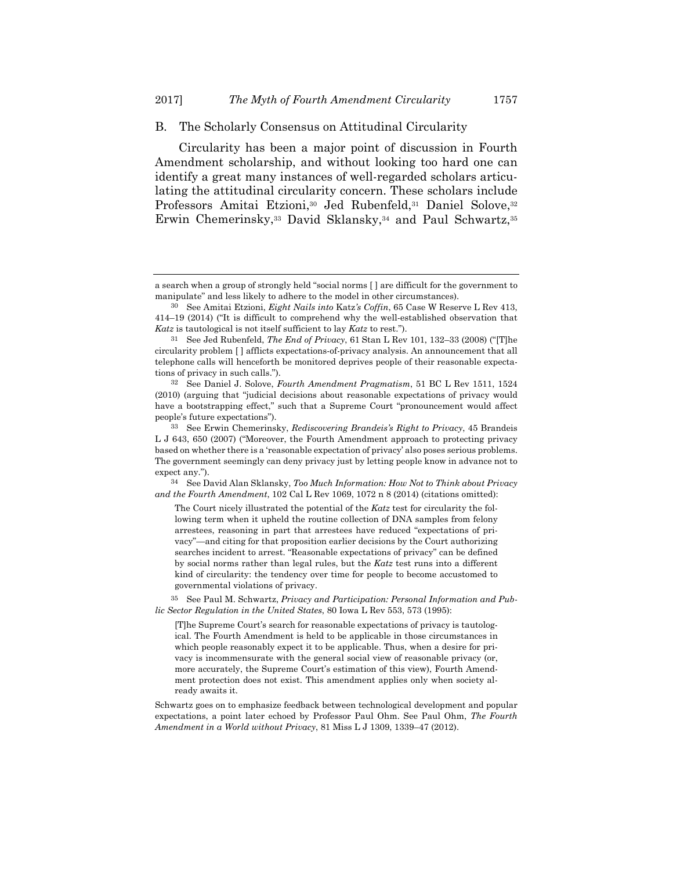#### B. The Scholarly Consensus on Attitudinal Circularity

Circularity has been a major point of discussion in Fourth Amendment scholarship, and without looking too hard one can identify a great many instances of well-regarded scholars articulating the attitudinal circularity concern. These scholars include Professors Amitai Etzioni,<sup>30</sup> Jed Rubenfeld,<sup>31</sup> Daniel Solove,<sup>32</sup> Erwin Chemerinsky,33 David Sklansky,34 and Paul Schwartz,35

34 See David Alan Sklansky, *Too Much Information: How Not to Think about Privacy and the Fourth Amendment*, 102 Cal L Rev 1069, 1072 n 8 (2014) (citations omitted):

The Court nicely illustrated the potential of the *Katz* test for circularity the following term when it upheld the routine collection of DNA samples from felony arrestees, reasoning in part that arrestees have reduced "expectations of privacy"—and citing for that proposition earlier decisions by the Court authorizing searches incident to arrest. "Reasonable expectations of privacy" can be defined by social norms rather than legal rules, but the *Katz* test runs into a different kind of circularity: the tendency over time for people to become accustomed to governmental violations of privacy.

35 See Paul M. Schwartz, *Privacy and Participation: Personal Information and Public Sector Regulation in the United States*, 80 Iowa L Rev 553, 573 (1995):

[T]he Supreme Court's search for reasonable expectations of privacy is tautological. The Fourth Amendment is held to be applicable in those circumstances in which people reasonably expect it to be applicable. Thus, when a desire for privacy is incommensurate with the general social view of reasonable privacy (or, more accurately, the Supreme Court's estimation of this view), Fourth Amendment protection does not exist. This amendment applies only when society already awaits it.

Schwartz goes on to emphasize feedback between technological development and popular expectations, a point later echoed by Professor Paul Ohm. See Paul Ohm, *The Fourth Amendment in a World without Privacy*, 81 Miss L J 1309, 1339–47 (2012).

a search when a group of strongly held "social norms [ ] are difficult for the government to manipulate" and less likely to adhere to the model in other circumstances).

<sup>30</sup> See Amitai Etzioni, *Eight Nails into* Katz*'s Coffin*, 65 Case W Reserve L Rev 413, 414–19 (2014) ("It is difficult to comprehend why the well-established observation that *Katz* is tautological is not itself sufficient to lay *Katz* to rest.").

<sup>31</sup> See Jed Rubenfeld, *The End of Privacy*, 61 Stan L Rev 101, 132–33 (2008) ("[T]he circularity problem [ ] afflicts expectations-of-privacy analysis. An announcement that all telephone calls will henceforth be monitored deprives people of their reasonable expectations of privacy in such calls.").

<sup>32</sup> See Daniel J. Solove, *Fourth Amendment Pragmatism*, 51 BC L Rev 1511, 1524 (2010) (arguing that "judicial decisions about reasonable expectations of privacy would have a bootstrapping effect," such that a Supreme Court "pronouncement would affect people's future expectations").

<sup>33</sup> See Erwin Chemerinsky, *Rediscovering Brandeis's Right to Privacy*, 45 Brandeis L J 643, 650 (2007) ("Moreover, the Fourth Amendment approach to protecting privacy based on whether there is a 'reasonable expectation of privacy' also poses serious problems. The government seemingly can deny privacy just by letting people know in advance not to expect any.").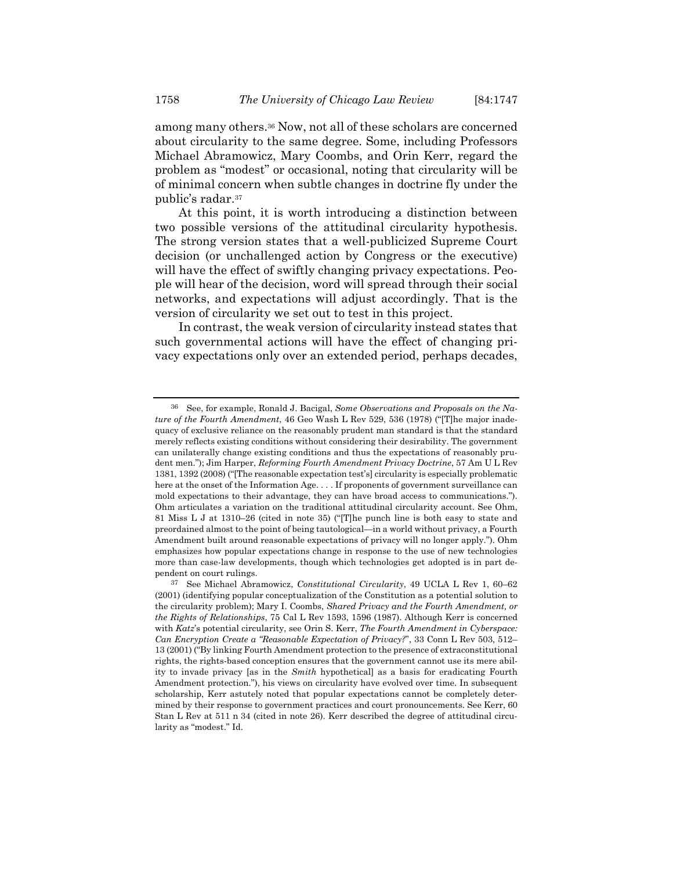among many others.36 Now, not all of these scholars are concerned about circularity to the same degree. Some, including Professors Michael Abramowicz, Mary Coombs, and Orin Kerr, regard the problem as "modest" or occasional, noting that circularity will be of minimal concern when subtle changes in doctrine fly under the public's radar.37

At this point, it is worth introducing a distinction between two possible versions of the attitudinal circularity hypothesis. The strong version states that a well-publicized Supreme Court decision (or unchallenged action by Congress or the executive) will have the effect of swiftly changing privacy expectations. People will hear of the decision, word will spread through their social networks, and expectations will adjust accordingly. That is the version of circularity we set out to test in this project.

In contrast, the weak version of circularity instead states that such governmental actions will have the effect of changing privacy expectations only over an extended period, perhaps decades,

<sup>36</sup> See, for example, Ronald J. Bacigal, *Some Observations and Proposals on the Nature of the Fourth Amendment*, 46 Geo Wash L Rev 529, 536 (1978) ("[T]he major inadequacy of exclusive reliance on the reasonably prudent man standard is that the standard merely reflects existing conditions without considering their desirability. The government can unilaterally change existing conditions and thus the expectations of reasonably prudent men."); Jim Harper, *Reforming Fourth Amendment Privacy Doctrine*, 57 Am U L Rev 1381, 1392 (2008) ("[The reasonable expectation test's] circularity is especially problematic here at the onset of the Information Age. . . . If proponents of government surveillance can mold expectations to their advantage, they can have broad access to communications."). Ohm articulates a variation on the traditional attitudinal circularity account. See Ohm, 81 Miss L J at 1310–26 (cited in note 35) ("[T]he punch line is both easy to state and preordained almost to the point of being tautological—in a world without privacy, a Fourth Amendment built around reasonable expectations of privacy will no longer apply."). Ohm emphasizes how popular expectations change in response to the use of new technologies more than case-law developments, though which technologies get adopted is in part dependent on court rulings.

<sup>37</sup> See Michael Abramowicz, *Constitutional Circularity*, 49 UCLA L Rev 1, 60–62 (2001) (identifying popular conceptualization of the Constitution as a potential solution to the circularity problem); Mary I. Coombs, *Shared Privacy and the Fourth Amendment, or the Rights of Relationships*, 75 Cal L Rev 1593, 1596 (1987). Although Kerr is concerned with *Katz*'s potential circularity, see Orin S. Kerr, *The Fourth Amendment in Cyberspace: Can Encryption Create a "Reasonable Expectation of Privacy?*", 33 Conn L Rev 503, 512– 13 (2001) ("By linking Fourth Amendment protection to the presence of extraconstitutional rights, the rights-based conception ensures that the government cannot use its mere ability to invade privacy [as in the *Smith* hypothetical] as a basis for eradicating Fourth Amendment protection."), his views on circularity have evolved over time. In subsequent scholarship, Kerr astutely noted that popular expectations cannot be completely determined by their response to government practices and court pronouncements. See Kerr, 60 Stan L Rev at 511 n 34 (cited in note 26). Kerr described the degree of attitudinal circularity as "modest." Id.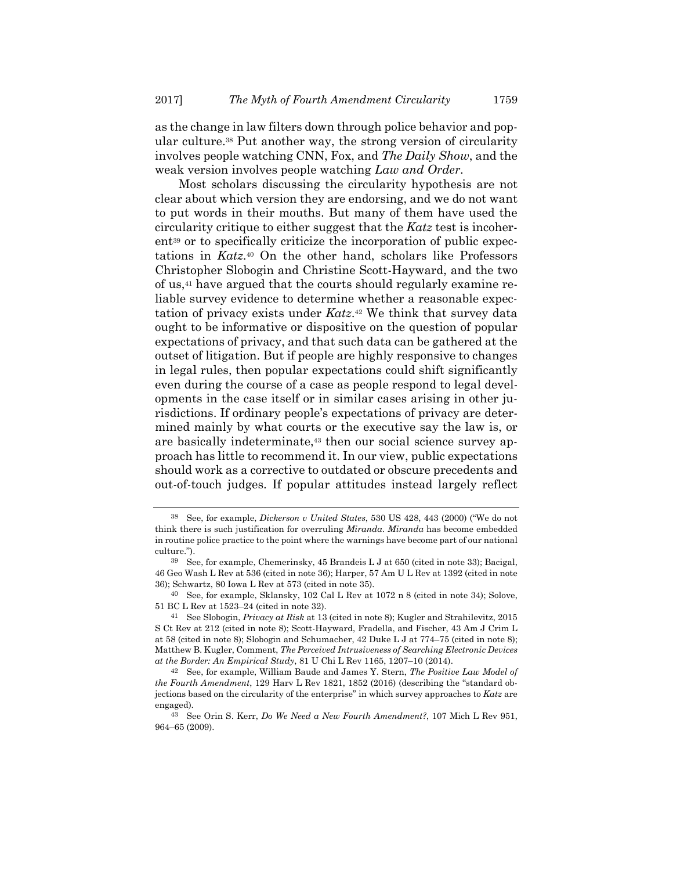as the change in law filters down through police behavior and popular culture.38 Put another way, the strong version of circularity involves people watching CNN, Fox, and *The Daily Show*, and the weak version involves people watching *Law and Order*.

Most scholars discussing the circularity hypothesis are not clear about which version they are endorsing, and we do not want to put words in their mouths. But many of them have used the circularity critique to either suggest that the *Katz* test is incoherent<sup>39</sup> or to specifically criticize the incorporation of public expectations in *Katz*.40 On the other hand, scholars like Professors Christopher Slobogin and Christine Scott-Hayward, and the two of us,41 have argued that the courts should regularly examine reliable survey evidence to determine whether a reasonable expectation of privacy exists under *Katz*.42 We think that survey data ought to be informative or dispositive on the question of popular expectations of privacy, and that such data can be gathered at the outset of litigation. But if people are highly responsive to changes in legal rules, then popular expectations could shift significantly even during the course of a case as people respond to legal developments in the case itself or in similar cases arising in other jurisdictions. If ordinary people's expectations of privacy are determined mainly by what courts or the executive say the law is, or are basically indeterminate,43 then our social science survey approach has little to recommend it. In our view, public expectations should work as a corrective to outdated or obscure precedents and out-of-touch judges. If popular attitudes instead largely reflect

<sup>38</sup> See, for example, *Dickerson v United States*, 530 US 428, 443 (2000) ("We do not think there is such justification for overruling *Miranda*. *Miranda* has become embedded in routine police practice to the point where the warnings have become part of our national culture.").

<sup>39</sup> See, for example, Chemerinsky, 45 Brandeis L J at 650 (cited in note 33); Bacigal, 46 Geo Wash L Rev at 536 (cited in note 36); Harper, 57 Am U L Rev at 1392 (cited in note 36); Schwartz, 80 Iowa L Rev at 573 (cited in note 35).

<sup>40</sup> See, for example, Sklansky, 102 Cal L Rev at 1072 n 8 (cited in note 34); Solove, 51 BC L Rev at 1523–24 (cited in note 32).

<sup>41</sup> See Slobogin, *Privacy at Risk* at 13 (cited in note 8); Kugler and Strahilevitz, 2015 S Ct Rev at 212 (cited in note 8); Scott-Hayward, Fradella, and Fischer, 43 Am J Crim L at 58 (cited in note 8); Slobogin and Schumacher, 42 Duke L J at 774–75 (cited in note 8); Matthew B. Kugler, Comment, *The Perceived Intrusiveness of Searching Electronic Devices at the Border: An Empirical Study*, 81 U Chi L Rev 1165, 1207–10 (2014).

<sup>42</sup> See, for example, William Baude and James Y. Stern, *The Positive Law Model of the Fourth Amendment*, 129 Harv L Rev 1821, 1852 (2016) (describing the "standard objections based on the circularity of the enterprise" in which survey approaches to *Katz* are engaged).

<sup>43</sup> See Orin S. Kerr, *Do We Need a New Fourth Amendment?*, 107 Mich L Rev 951, 964–65 (2009).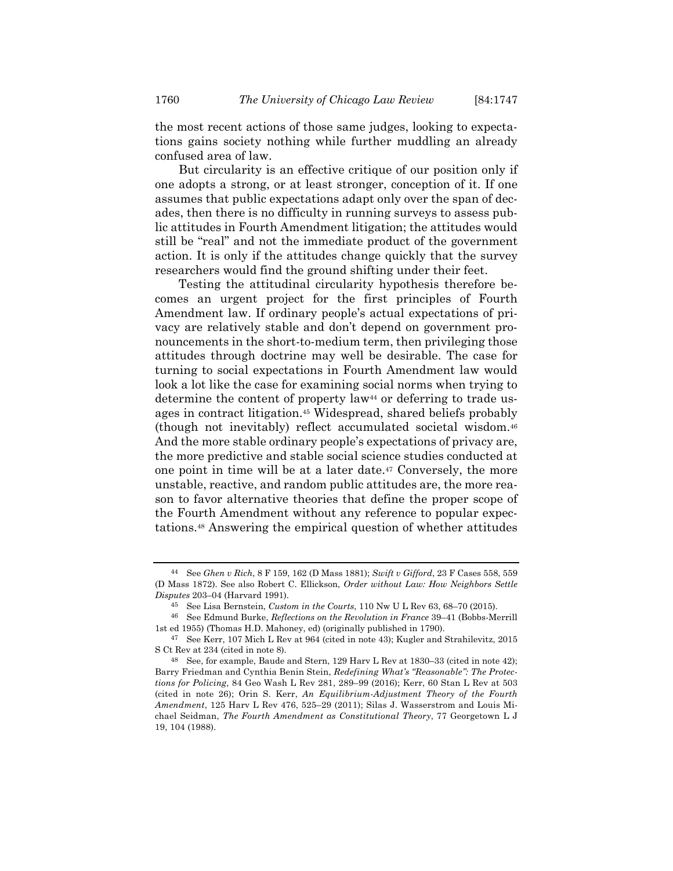the most recent actions of those same judges, looking to expectations gains society nothing while further muddling an already confused area of law.

But circularity is an effective critique of our position only if one adopts a strong, or at least stronger, conception of it. If one assumes that public expectations adapt only over the span of decades, then there is no difficulty in running surveys to assess public attitudes in Fourth Amendment litigation; the attitudes would still be "real" and not the immediate product of the government action. It is only if the attitudes change quickly that the survey researchers would find the ground shifting under their feet.

Testing the attitudinal circularity hypothesis therefore becomes an urgent project for the first principles of Fourth Amendment law. If ordinary people's actual expectations of privacy are relatively stable and don't depend on government pronouncements in the short-to-medium term, then privileging those attitudes through doctrine may well be desirable. The case for turning to social expectations in Fourth Amendment law would look a lot like the case for examining social norms when trying to determine the content of property law<sup>44</sup> or deferring to trade usages in contract litigation.45 Widespread, shared beliefs probably (though not inevitably) reflect accumulated societal wisdom.46 And the more stable ordinary people's expectations of privacy are, the more predictive and stable social science studies conducted at one point in time will be at a later date.47 Conversely, the more unstable, reactive, and random public attitudes are, the more reason to favor alternative theories that define the proper scope of the Fourth Amendment without any reference to popular expectations.48 Answering the empirical question of whether attitudes

<sup>44</sup> See *Ghen v Rich*, 8 F 159, 162 (D Mass 1881); *Swift v Gifford*, 23 F Cases 558, 559 (D Mass 1872). See also Robert C. Ellickson, *Order without Law: How Neighbors Settle Disputes* 203–04 (Harvard 1991).

<sup>45</sup> See Lisa Bernstein, *Custom in the Courts*, 110 Nw U L Rev 63, 68–70 (2015).

<sup>46</sup> See Edmund Burke, *Reflections on the Revolution in France* 39–41 (Bobbs-Merrill 1st ed 1955) (Thomas H.D. Mahoney, ed) (originally published in 1790).

<sup>47</sup> See Kerr, 107 Mich L Rev at 964 (cited in note 43); Kugler and Strahilevitz, 2015 S Ct Rev at 234 (cited in note 8).

<sup>48</sup> See, for example, Baude and Stern, 129 Harv L Rev at 1830–33 (cited in note 42); Barry Friedman and Cynthia Benin Stein, *Redefining What's "Reasonable": The Protections for Policing*, 84 Geo Wash L Rev 281, 289–99 (2016); Kerr, 60 Stan L Rev at 503 (cited in note 26); Orin S. Kerr, *An Equilibrium-Adjustment Theory of the Fourth Amendment*, 125 Harv L Rev 476, 525–29 (2011); Silas J. Wasserstrom and Louis Michael Seidman, *The Fourth Amendment as Constitutional Theory*, 77 Georgetown L J 19, 104 (1988).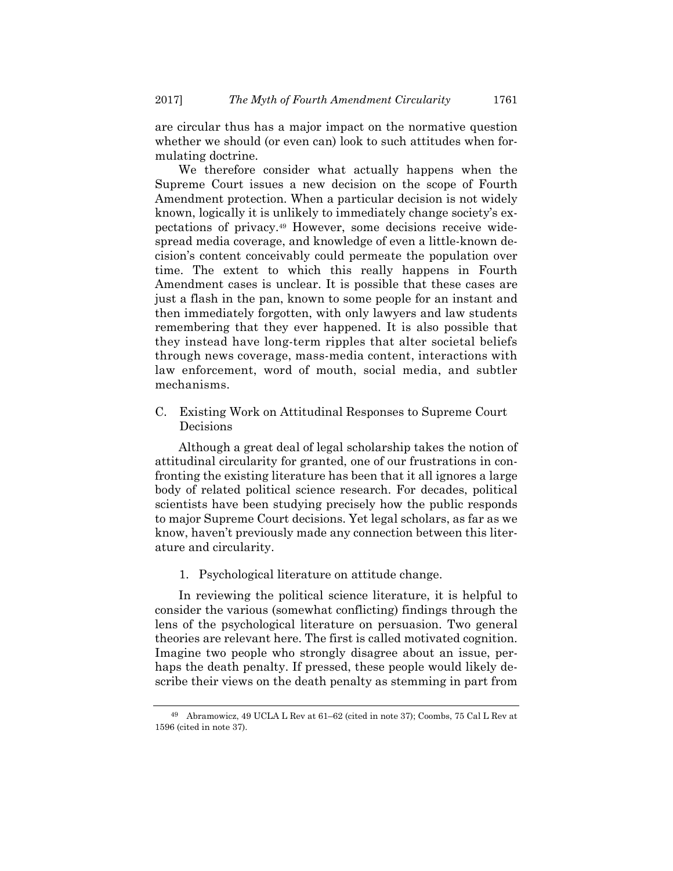are circular thus has a major impact on the normative question whether we should (or even can) look to such attitudes when formulating doctrine.

We therefore consider what actually happens when the Supreme Court issues a new decision on the scope of Fourth Amendment protection. When a particular decision is not widely known, logically it is unlikely to immediately change society's expectations of privacy.49 However, some decisions receive widespread media coverage, and knowledge of even a little-known decision's content conceivably could permeate the population over time. The extent to which this really happens in Fourth Amendment cases is unclear. It is possible that these cases are just a flash in the pan, known to some people for an instant and then immediately forgotten, with only lawyers and law students remembering that they ever happened. It is also possible that they instead have long-term ripples that alter societal beliefs through news coverage, mass-media content, interactions with law enforcement, word of mouth, social media, and subtler mechanisms.

C. Existing Work on Attitudinal Responses to Supreme Court Decisions

Although a great deal of legal scholarship takes the notion of attitudinal circularity for granted, one of our frustrations in confronting the existing literature has been that it all ignores a large body of related political science research. For decades, political scientists have been studying precisely how the public responds to major Supreme Court decisions. Yet legal scholars, as far as we know, haven't previously made any connection between this literature and circularity.

1. Psychological literature on attitude change.

In reviewing the political science literature, it is helpful to consider the various (somewhat conflicting) findings through the lens of the psychological literature on persuasion. Two general theories are relevant here. The first is called motivated cognition. Imagine two people who strongly disagree about an issue, perhaps the death penalty. If pressed, these people would likely describe their views on the death penalty as stemming in part from

<sup>49</sup> Abramowicz, 49 UCLA L Rev at 61–62 (cited in note 37); Coombs, 75 Cal L Rev at 1596 (cited in note 37).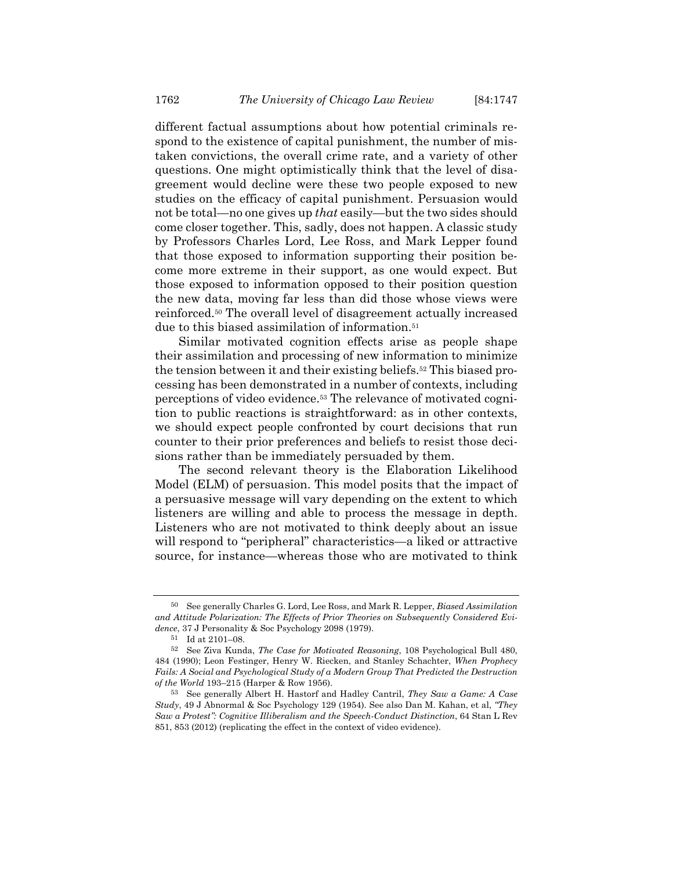different factual assumptions about how potential criminals respond to the existence of capital punishment, the number of mistaken convictions, the overall crime rate, and a variety of other questions. One might optimistically think that the level of disagreement would decline were these two people exposed to new studies on the efficacy of capital punishment. Persuasion would not be total—no one gives up *that* easily—but the two sides should come closer together. This, sadly, does not happen. A classic study by Professors Charles Lord, Lee Ross, and Mark Lepper found that those exposed to information supporting their position become more extreme in their support, as one would expect. But those exposed to information opposed to their position question the new data, moving far less than did those whose views were reinforced.50 The overall level of disagreement actually increased due to this biased assimilation of information.51

Similar motivated cognition effects arise as people shape their assimilation and processing of new information to minimize the tension between it and their existing beliefs.52 This biased processing has been demonstrated in a number of contexts, including perceptions of video evidence.53 The relevance of motivated cognition to public reactions is straightforward: as in other contexts, we should expect people confronted by court decisions that run counter to their prior preferences and beliefs to resist those decisions rather than be immediately persuaded by them.

The second relevant theory is the Elaboration Likelihood Model (ELM) of persuasion. This model posits that the impact of a persuasive message will vary depending on the extent to which listeners are willing and able to process the message in depth. Listeners who are not motivated to think deeply about an issue will respond to "peripheral" characteristics—a liked or attractive source, for instance—whereas those who are motivated to think

<sup>50</sup> See generally Charles G. Lord, Lee Ross, and Mark R. Lepper, *Biased Assimilation and Attitude Polarization: The Effects of Prior Theories on Subsequently Considered Evidence*, 37 J Personality & Soc Psychology 2098 (1979).

<sup>51</sup> Id at 2101–08.

<sup>52</sup> See Ziva Kunda, *The Case for Motivated Reasoning*, 108 Psychological Bull 480, 484 (1990); Leon Festinger, Henry W. Riecken, and Stanley Schachter, *When Prophecy Fails: A Social and Psychological Study of a Modern Group That Predicted the Destruction of the World* 193–215 (Harper & Row 1956).

<sup>53</sup> See generally Albert H. Hastorf and Hadley Cantril, *They Saw a Game: A Case Study*, 49 J Abnormal & Soc Psychology 129 (1954). See also Dan M. Kahan, et al, *"They Saw a Protest": Cognitive Illiberalism and the Speech-Conduct Distinction*, 64 Stan L Rev 851, 853 (2012) (replicating the effect in the context of video evidence).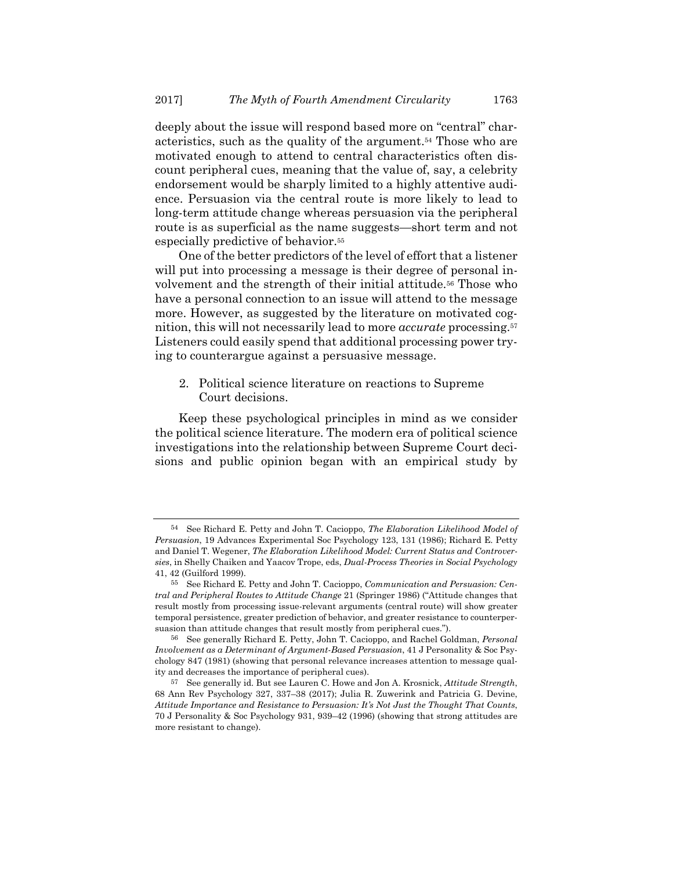deeply about the issue will respond based more on "central" characteristics, such as the quality of the argument.54 Those who are motivated enough to attend to central characteristics often discount peripheral cues, meaning that the value of, say, a celebrity endorsement would be sharply limited to a highly attentive audience. Persuasion via the central route is more likely to lead to long-term attitude change whereas persuasion via the peripheral route is as superficial as the name suggests—short term and not especially predictive of behavior.<sup>55</sup>

One of the better predictors of the level of effort that a listener will put into processing a message is their degree of personal involvement and the strength of their initial attitude.56 Those who have a personal connection to an issue will attend to the message more. However, as suggested by the literature on motivated cognition, this will not necessarily lead to more *accurate* processing.57 Listeners could easily spend that additional processing power trying to counterargue against a persuasive message.

2. Political science literature on reactions to Supreme Court decisions.

Keep these psychological principles in mind as we consider the political science literature. The modern era of political science investigations into the relationship between Supreme Court decisions and public opinion began with an empirical study by

<sup>54</sup> See Richard E. Petty and John T. Cacioppo, *The Elaboration Likelihood Model of Persuasion*, 19 Advances Experimental Soc Psychology 123, 131 (1986); Richard E. Petty and Daniel T. Wegener, *The Elaboration Likelihood Model: Current Status and Controversies*, in Shelly Chaiken and Yaacov Trope, eds, *Dual-Process Theories in Social Psychology* 41, 42 (Guilford 1999).

<sup>55</sup> See Richard E. Petty and John T. Cacioppo, *Communication and Persuasion: Central and Peripheral Routes to Attitude Change* 21 (Springer 1986) ("Attitude changes that result mostly from processing issue-relevant arguments (central route) will show greater temporal persistence, greater prediction of behavior, and greater resistance to counterpersuasion than attitude changes that result mostly from peripheral cues.").

<sup>56</sup> See generally Richard E. Petty, John T. Cacioppo, and Rachel Goldman, *Personal Involvement as a Determinant of Argument-Based Persuasion*, 41 J Personality & Soc Psychology 847 (1981) (showing that personal relevance increases attention to message quality and decreases the importance of peripheral cues).

<sup>57</sup> See generally id. But see Lauren C. Howe and Jon A. Krosnick, *Attitude Strength*, 68 Ann Rev Psychology 327, 337–38 (2017); Julia R. Zuwerink and Patricia G. Devine, *Attitude Importance and Resistance to Persuasion: It's Not Just the Thought That Counts*, 70 J Personality & Soc Psychology 931, 939–42 (1996) (showing that strong attitudes are more resistant to change).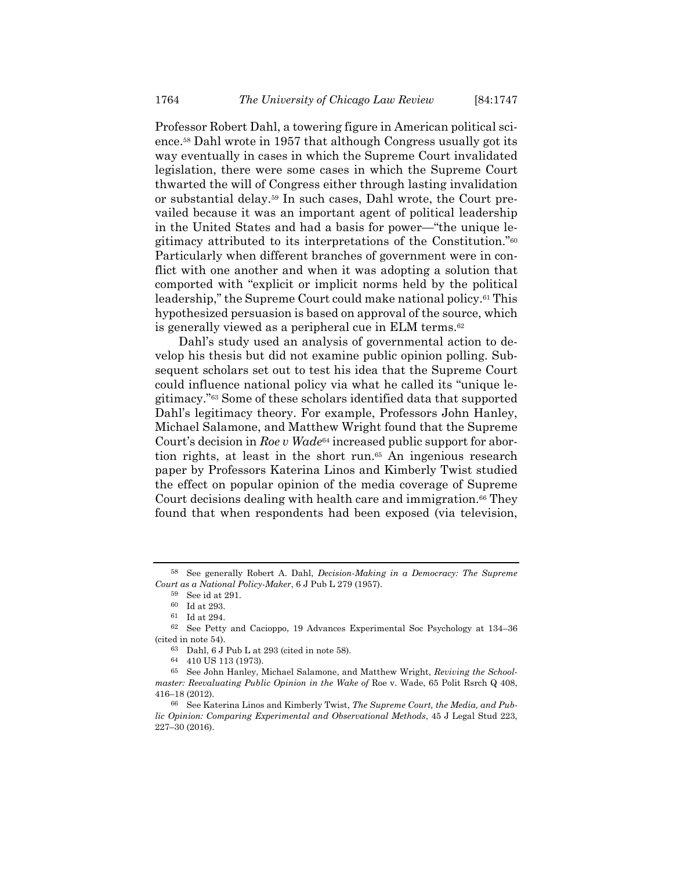Professor Robert Dahl, a towering figure in American political science.58 Dahl wrote in 1957 that although Congress usually got its way eventually in cases in which the Supreme Court invalidated legislation, there were some cases in which the Supreme Court thwarted the will of Congress either through lasting invalidation or substantial delay.59 In such cases, Dahl wrote, the Court prevailed because it was an important agent of political leadership in the United States and had a basis for power—"the unique legitimacy attributed to its interpretations of the Constitution."60 Particularly when different branches of government were in conflict with one another and when it was adopting a solution that comported with "explicit or implicit norms held by the political leadership," the Supreme Court could make national policy.61 This hypothesized persuasion is based on approval of the source, which is generally viewed as a peripheral cue in ELM terms.62

Dahl's study used an analysis of governmental action to develop his thesis but did not examine public opinion polling. Subsequent scholars set out to test his idea that the Supreme Court could influence national policy via what he called its "unique legitimacy."63 Some of these scholars identified data that supported Dahl's legitimacy theory. For example, Professors John Hanley, Michael Salamone, and Matthew Wright found that the Supreme Court's decision in *Roe v Wade*64 increased public support for abortion rights, at least in the short run.<sup>65</sup> An ingenious research paper by Professors Katerina Linos and Kimberly Twist studied the effect on popular opinion of the media coverage of Supreme Court decisions dealing with health care and immigration.<sup>66</sup> They found that when respondents had been exposed (via television,

<sup>58</sup> See generally Robert A. Dahl, *Decision-Making in a Democracy: The Supreme Court as a National Policy-Maker*, 6 J Pub L 279 (1957).

<sup>59</sup> See id at 291.

<sup>60</sup> Id at 293.

 $^{61}\,$  Id at 294.

<sup>62</sup> See Petty and Cacioppo, 19 Advances Experimental Soc Psychology at 134–36 (cited in note 54).

<sup>63</sup> Dahl, 6 J Pub L at 293 (cited in note 58).

<sup>64 410</sup> US 113 (1973).

<sup>65</sup> See John Hanley, Michael Salamone, and Matthew Wright, *Reviving the Schoolmaster: Reevaluating Public Opinion in the Wake of Roe v. Wade, 65 Polit Rsrch Q 408,* 416–18 (2012).

<sup>66</sup> See Katerina Linos and Kimberly Twist, *The Supreme Court, the Media, and Public Opinion: Comparing Experimental and Observational Methods*, 45 J Legal Stud 223, 227–30 (2016).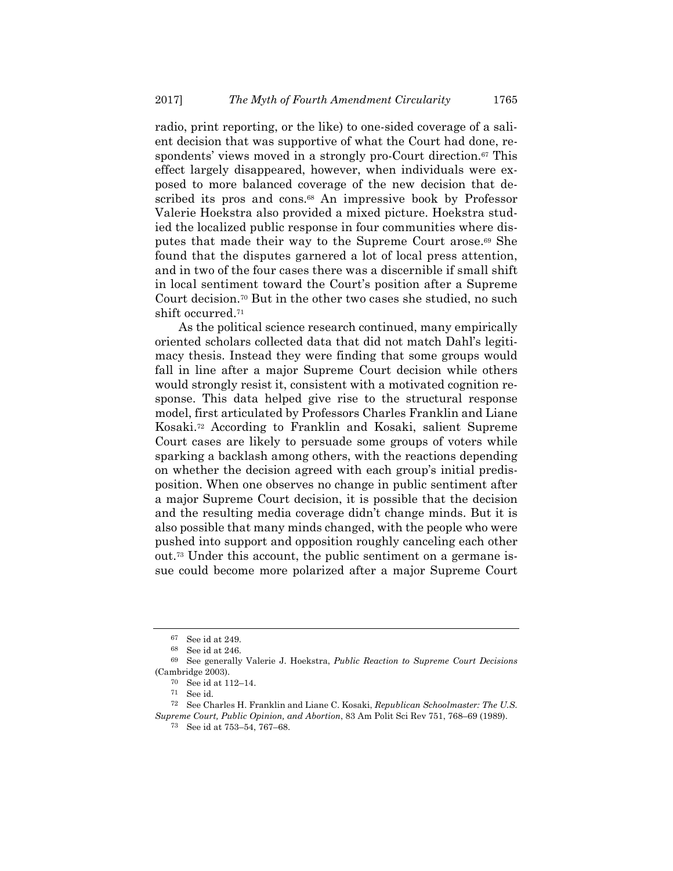radio, print reporting, or the like) to one-sided coverage of a salient decision that was supportive of what the Court had done, respondents' views moved in a strongly pro-Court direction.<sup>67</sup> This effect largely disappeared, however, when individuals were exposed to more balanced coverage of the new decision that described its pros and cons.<sup>68</sup> An impressive book by Professor Valerie Hoekstra also provided a mixed picture. Hoekstra studied the localized public response in four communities where disputes that made their way to the Supreme Court arose.69 She found that the disputes garnered a lot of local press attention, and in two of the four cases there was a discernible if small shift in local sentiment toward the Court's position after a Supreme Court decision.70 But in the other two cases she studied, no such shift occurred.71

As the political science research continued, many empirically oriented scholars collected data that did not match Dahl's legitimacy thesis. Instead they were finding that some groups would fall in line after a major Supreme Court decision while others would strongly resist it, consistent with a motivated cognition response. This data helped give rise to the structural response model, first articulated by Professors Charles Franklin and Liane Kosaki.72 According to Franklin and Kosaki, salient Supreme Court cases are likely to persuade some groups of voters while sparking a backlash among others, with the reactions depending on whether the decision agreed with each group's initial predisposition. When one observes no change in public sentiment after a major Supreme Court decision, it is possible that the decision and the resulting media coverage didn't change minds. But it is also possible that many minds changed, with the people who were pushed into support and opposition roughly canceling each other out.73 Under this account, the public sentiment on a germane issue could become more polarized after a major Supreme Court

<sup>67</sup> See id at 249.

<sup>68</sup> See id at 246.

<sup>69</sup> See generally Valerie J. Hoekstra, *Public Reaction to Supreme Court Decisions* (Cambridge 2003).

<sup>70</sup> See id at 112–14.

<sup>71</sup> See id.

<sup>72</sup> See Charles H. Franklin and Liane C. Kosaki, *Republican Schoolmaster: The U.S. Supreme Court, Public Opinion, and Abortion*, 83 Am Polit Sci Rev 751, 768–69 (1989).

<sup>73</sup> See id at 753–54, 767–68.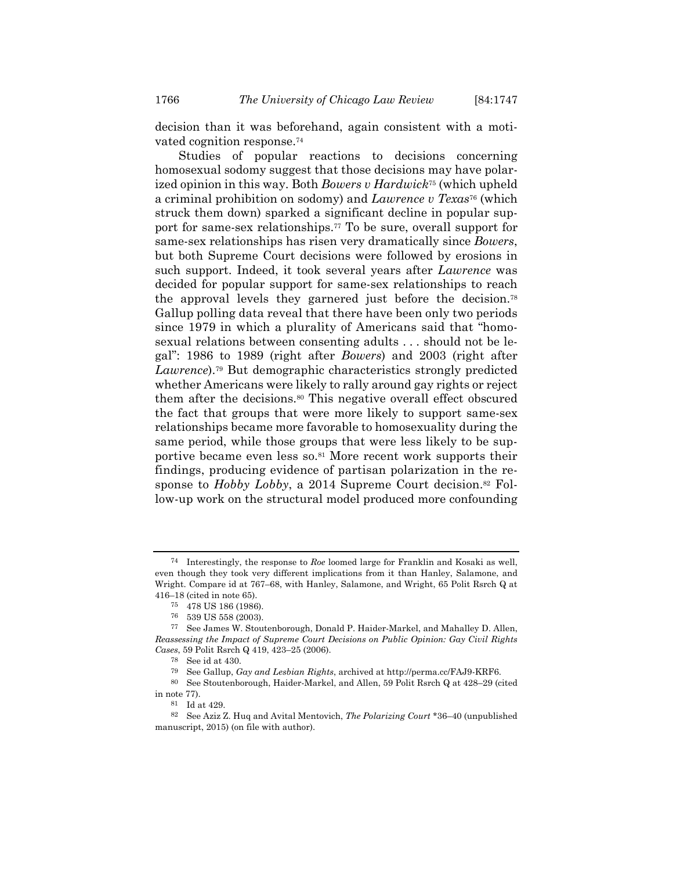decision than it was beforehand, again consistent with a motivated cognition response.74

Studies of popular reactions to decisions concerning homosexual sodomy suggest that those decisions may have polarized opinion in this way. Both *Bowers v Hardwick*75 (which upheld a criminal prohibition on sodomy) and *Lawrence v Texas*76 (which struck them down) sparked a significant decline in popular support for same-sex relationships.77 To be sure, overall support for same-sex relationships has risen very dramatically since *Bowers*, but both Supreme Court decisions were followed by erosions in such support. Indeed, it took several years after *Lawrence* was decided for popular support for same-sex relationships to reach the approval levels they garnered just before the decision.78 Gallup polling data reveal that there have been only two periods since 1979 in which a plurality of Americans said that "homosexual relations between consenting adults . . . should not be legal": 1986 to 1989 (right after *Bowers*) and 2003 (right after *Lawrence*).79 But demographic characteristics strongly predicted whether Americans were likely to rally around gay rights or reject them after the decisions.80 This negative overall effect obscured the fact that groups that were more likely to support same-sex relationships became more favorable to homosexuality during the same period, while those groups that were less likely to be supportive became even less so.81 More recent work supports their findings, producing evidence of partisan polarization in the response to *Hobby Lobby*, a 2014 Supreme Court decision.<sup>82</sup> Follow-up work on the structural model produced more confounding

<sup>74</sup> Interestingly, the response to *Roe* loomed large for Franklin and Kosaki as well, even though they took very different implications from it than Hanley, Salamone, and Wright. Compare id at 767–68, with Hanley, Salamone, and Wright, 65 Polit Rsrch Q at 416–18 (cited in note 65).

<sup>75 478</sup> US 186 (1986).

 $76\quad 539$  US 558 (2003).

See James W. Stoutenborough, Donald P. Haider-Markel, and Mahalley D. Allen, *Reassessing the Impact of Supreme Court Decisions on Public Opinion: Gay Civil Rights Cases*, 59 Polit Rsrch Q 419, 423–25 (2006).

<sup>78</sup> See id at 430.

<sup>79</sup> See Gallup, *Gay and Lesbian Rights*, archived at http://perma.cc/FAJ9-KRF6.

<sup>80</sup> See Stoutenborough, Haider-Markel, and Allen, 59 Polit Rsrch Q at 428–29 (cited in note 77).

<sup>81</sup> Id at 429.

<sup>82</sup> See Aziz Z. Huq and Avital Mentovich, *The Polarizing Court* \*36–40 (unpublished manuscript, 2015) (on file with author).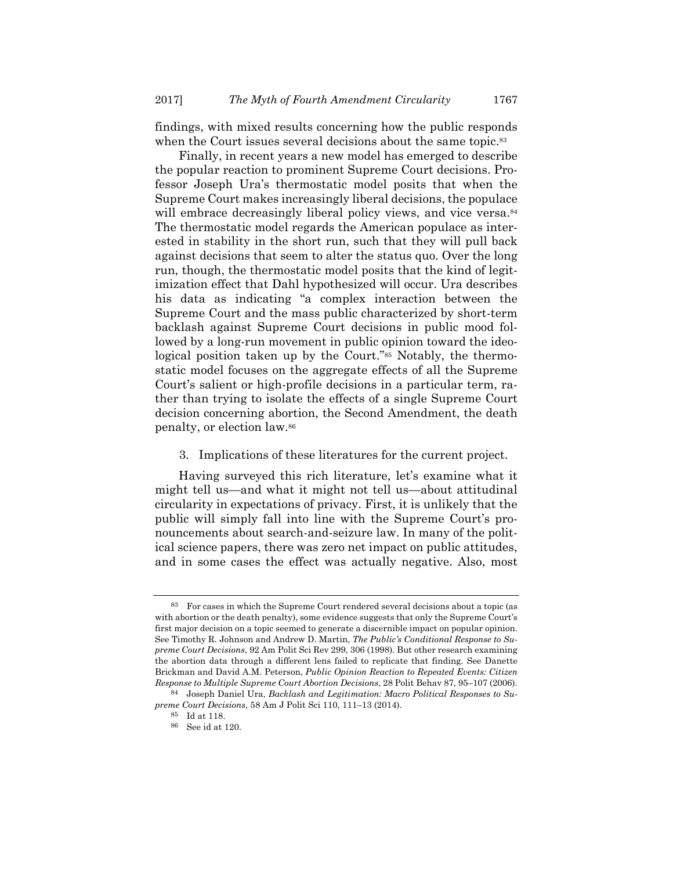findings, with mixed results concerning how the public responds when the Court issues several decisions about the same topic.<sup>83</sup>

Finally, in recent years a new model has emerged to describe the popular reaction to prominent Supreme Court decisions. Professor Joseph Ura's thermostatic model posits that when the Supreme Court makes increasingly liberal decisions, the populace will embrace decreasingly liberal policy views, and vice versa.<sup>84</sup> The thermostatic model regards the American populace as interested in stability in the short run, such that they will pull back against decisions that seem to alter the status quo. Over the long run, though, the thermostatic model posits that the kind of legitimization effect that Dahl hypothesized will occur. Ura describes his data as indicating "a complex interaction between the Supreme Court and the mass public characterized by short-term backlash against Supreme Court decisions in public mood followed by a long-run movement in public opinion toward the ideological position taken up by the Court."85 Notably, the thermostatic model focuses on the aggregate effects of all the Supreme Court's salient or high-profile decisions in a particular term, rather than trying to isolate the effects of a single Supreme Court decision concerning abortion, the Second Amendment, the death penalty, or election law.86

3. Implications of these literatures for the current project.

Having surveyed this rich literature, let's examine what it might tell us—and what it might not tell us—about attitudinal circularity in expectations of privacy. First, it is unlikely that the public will simply fall into line with the Supreme Court's pronouncements about search-and-seizure law. In many of the political science papers, there was zero net impact on public attitudes, and in some cases the effect was actually negative. Also, most

<sup>83</sup> For cases in which the Supreme Court rendered several decisions about a topic (as with abortion or the death penalty), some evidence suggests that only the Supreme Court's first major decision on a topic seemed to generate a discernible impact on popular opinion. See Timothy R. Johnson and Andrew D. Martin, *The Public's Conditional Response to Supreme Court Decisions*, 92 Am Polit Sci Rev 299, 306 (1998). But other research examining the abortion data through a different lens failed to replicate that finding. See Danette Brickman and David A.M. Peterson, *Public Opinion Reaction to Repeated Events: Citizen Response to Multiple Supreme Court Abortion Decisions*, 28 Polit Behav 87, 95–107 (2006).

<sup>84</sup> Joseph Daniel Ura, *Backlash and Legitimation: Macro Political Responses to Supreme Court Decisions*, 58 Am J Polit Sci 110, 111–13 (2014).

<sup>85</sup> Id at 118.

<sup>86</sup> See id at 120.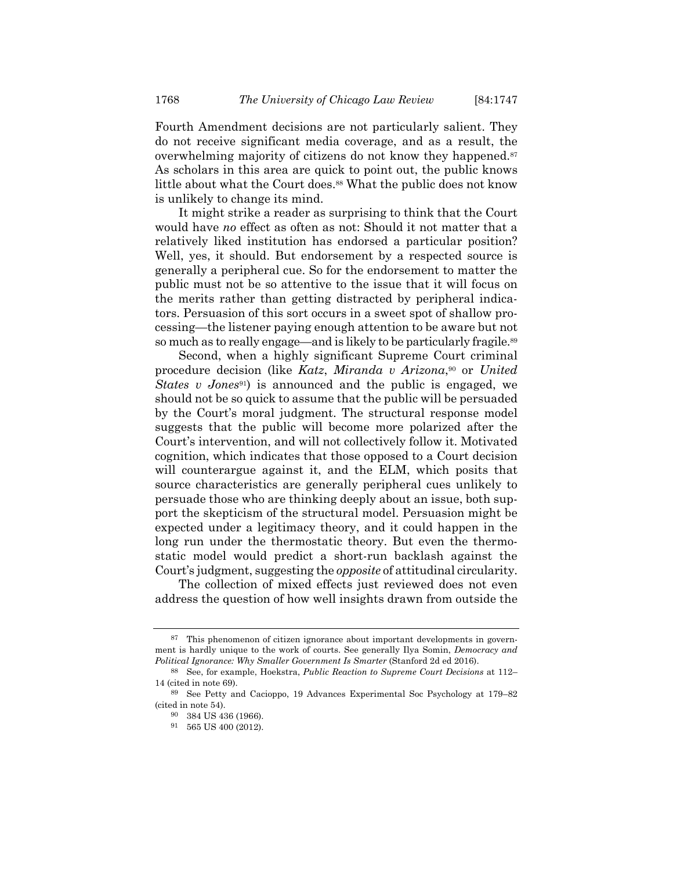Fourth Amendment decisions are not particularly salient. They do not receive significant media coverage, and as a result, the overwhelming majority of citizens do not know they happened.<sup>87</sup> As scholars in this area are quick to point out, the public knows little about what the Court does.<sup>88</sup> What the public does not know is unlikely to change its mind.

It might strike a reader as surprising to think that the Court would have *no* effect as often as not: Should it not matter that a relatively liked institution has endorsed a particular position? Well, yes, it should. But endorsement by a respected source is generally a peripheral cue. So for the endorsement to matter the public must not be so attentive to the issue that it will focus on the merits rather than getting distracted by peripheral indicators. Persuasion of this sort occurs in a sweet spot of shallow processing—the listener paying enough attention to be aware but not so much as to really engage—and is likely to be particularly fragile.<sup>89</sup>

Second, when a highly significant Supreme Court criminal procedure decision (like *Katz*, *Miranda v Arizona*,90 or *United States v Jones*<sup>91</sup>) is announced and the public is engaged, we should not be so quick to assume that the public will be persuaded by the Court's moral judgment. The structural response model suggests that the public will become more polarized after the Court's intervention, and will not collectively follow it. Motivated cognition, which indicates that those opposed to a Court decision will counterargue against it, and the ELM, which posits that source characteristics are generally peripheral cues unlikely to persuade those who are thinking deeply about an issue, both support the skepticism of the structural model. Persuasion might be expected under a legitimacy theory, and it could happen in the long run under the thermostatic theory. But even the thermostatic model would predict a short-run backlash against the Court's judgment, suggesting the *opposite* of attitudinal circularity.

The collection of mixed effects just reviewed does not even address the question of how well insights drawn from outside the

<sup>87</sup> This phenomenon of citizen ignorance about important developments in government is hardly unique to the work of courts. See generally Ilya Somin, *Democracy and Political Ignorance: Why Smaller Government Is Smarter* (Stanford 2d ed 2016).

<sup>88</sup> See, for example, Hoekstra, *Public Reaction to Supreme Court Decisions* at 112– 14 (cited in note 69).

<sup>89</sup> See Petty and Cacioppo, 19 Advances Experimental Soc Psychology at 179–82 (cited in note 54).

<sup>90 384</sup> US 436 (1966).

<sup>91 565</sup> US 400 (2012).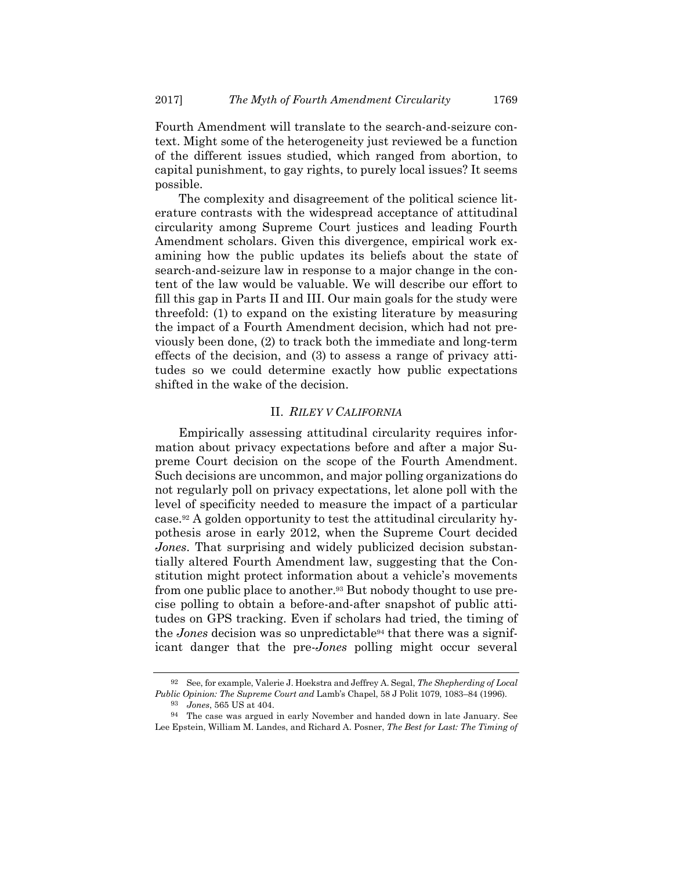Fourth Amendment will translate to the search-and-seizure context. Might some of the heterogeneity just reviewed be a function of the different issues studied, which ranged from abortion, to capital punishment, to gay rights, to purely local issues? It seems possible.

The complexity and disagreement of the political science literature contrasts with the widespread acceptance of attitudinal circularity among Supreme Court justices and leading Fourth Amendment scholars. Given this divergence, empirical work examining how the public updates its beliefs about the state of search-and-seizure law in response to a major change in the content of the law would be valuable. We will describe our effort to fill this gap in Parts II and III. Our main goals for the study were threefold: (1) to expand on the existing literature by measuring the impact of a Fourth Amendment decision, which had not previously been done, (2) to track both the immediate and long-term effects of the decision, and (3) to assess a range of privacy attitudes so we could determine exactly how public expectations shifted in the wake of the decision.

## II. *RILEY V CALIFORNIA*

Empirically assessing attitudinal circularity requires information about privacy expectations before and after a major Supreme Court decision on the scope of the Fourth Amendment. Such decisions are uncommon, and major polling organizations do not regularly poll on privacy expectations, let alone poll with the level of specificity needed to measure the impact of a particular case.92 A golden opportunity to test the attitudinal circularity hypothesis arose in early 2012, when the Supreme Court decided *Jones*. That surprising and widely publicized decision substantially altered Fourth Amendment law, suggesting that the Constitution might protect information about a vehicle's movements from one public place to another.93 But nobody thought to use precise polling to obtain a before-and-after snapshot of public attitudes on GPS tracking. Even if scholars had tried, the timing of the *Jones* decision was so unpredictable94 that there was a significant danger that the pre-*Jones* polling might occur several

<sup>92</sup> See, for example, Valerie J. Hoekstra and Jeffrey A. Segal, *The Shepherding of Local Public Opinion: The Supreme Court and* Lamb's Chapel, 58 J Polit 1079, 1083–84 (1996).

<sup>93</sup> *Jones*, 565 US at 404.

<sup>94</sup> The case was argued in early November and handed down in late January. See Lee Epstein, William M. Landes, and Richard A. Posner, *The Best for Last: The Timing of*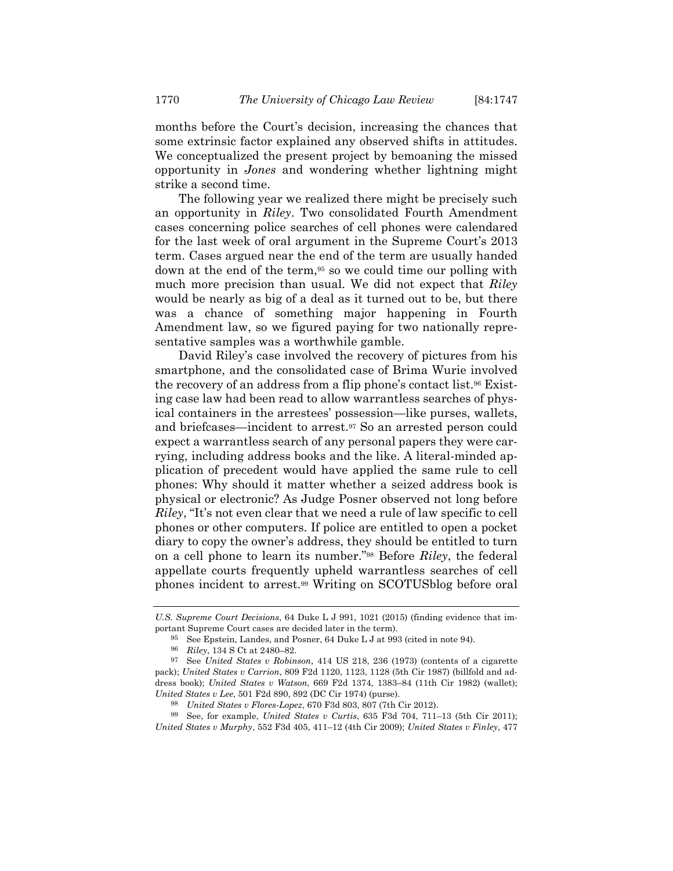months before the Court's decision, increasing the chances that some extrinsic factor explained any observed shifts in attitudes. We conceptualized the present project by bemoaning the missed opportunity in *Jones* and wondering whether lightning might strike a second time.

The following year we realized there might be precisely such an opportunity in *Riley*. Two consolidated Fourth Amendment cases concerning police searches of cell phones were calendared for the last week of oral argument in the Supreme Court's 2013 term. Cases argued near the end of the term are usually handed down at the end of the term,<sup>95</sup> so we could time our polling with much more precision than usual. We did not expect that *Riley* would be nearly as big of a deal as it turned out to be, but there was a chance of something major happening in Fourth Amendment law, so we figured paying for two nationally representative samples was a worthwhile gamble.

David Riley's case involved the recovery of pictures from his smartphone, and the consolidated case of Brima Wurie involved the recovery of an address from a flip phone's contact list.96 Existing case law had been read to allow warrantless searches of physical containers in the arrestees' possession—like purses, wallets, and briefcases—incident to arrest.97 So an arrested person could expect a warrantless search of any personal papers they were carrying, including address books and the like. A literal-minded application of precedent would have applied the same rule to cell phones: Why should it matter whether a seized address book is physical or electronic? As Judge Posner observed not long before *Riley*, "It's not even clear that we need a rule of law specific to cell phones or other computers. If police are entitled to open a pocket diary to copy the owner's address, they should be entitled to turn on a cell phone to learn its number."98 Before *Riley*, the federal appellate courts frequently upheld warrantless searches of cell phones incident to arrest.99 Writing on SCOTUSblog before oral

*U.S. Supreme Court Decisions*, 64 Duke L J 991, 1021 (2015) (finding evidence that important Supreme Court cases are decided later in the term).

<sup>95</sup> See Epstein, Landes, and Posner, 64 Duke L J at 993 (cited in note 94).

<sup>96</sup> *Riley*, 134 S Ct at 2480–82. 97 See *United States v Robinson*, 414 US 218, 236 (1973) (contents of a cigarette pack); *United States v Carrion*, 809 F2d 1120, 1123, 1128 (5th Cir 1987) (billfold and address book); *United States v Watson*, 669 F2d 1374, 1383–84 (11th Cir 1982) (wallet); *United States v Lee*, 501 F2d 890, 892 (DC Cir 1974) (purse).

<sup>98</sup> *United States v Flores-Lopez*, 670 F3d 803, 807 (7th Cir 2012).

<sup>99</sup> See, for example, *United States v Curtis*, 635 F3d 704, 711–13 (5th Cir 2011); *United States v Murphy*, 552 F3d 405, 411–12 (4th Cir 2009); *United States v Finley*, 477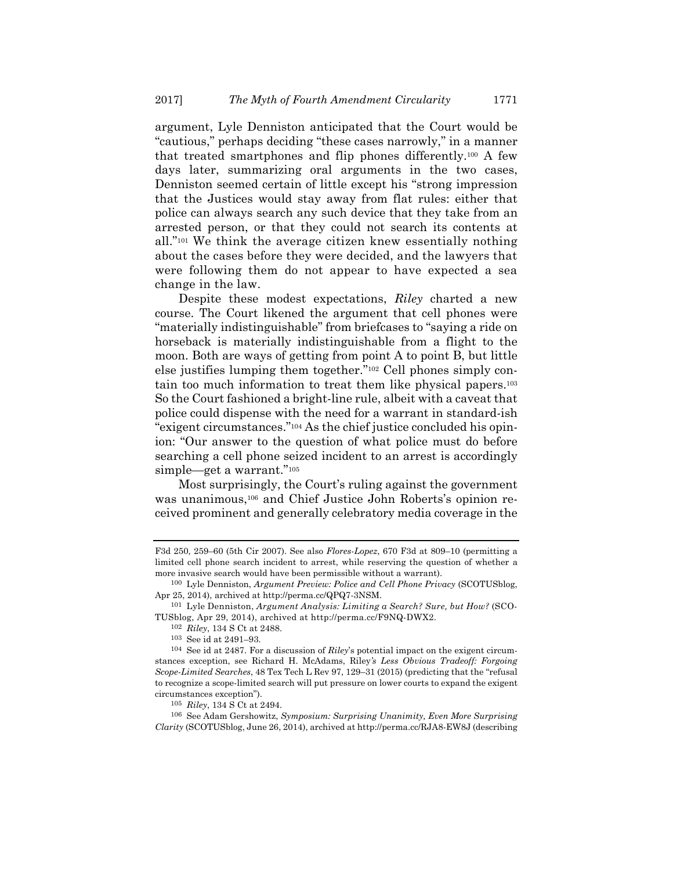argument, Lyle Denniston anticipated that the Court would be "cautious," perhaps deciding "these cases narrowly," in a manner that treated smartphones and flip phones differently.100 A few days later, summarizing oral arguments in the two cases, Denniston seemed certain of little except his "strong impression that the Justices would stay away from flat rules: either that police can always search any such device that they take from an arrested person, or that they could not search its contents at all."101 We think the average citizen knew essentially nothing about the cases before they were decided, and the lawyers that were following them do not appear to have expected a sea change in the law.

Despite these modest expectations, *Riley* charted a new course. The Court likened the argument that cell phones were "materially indistinguishable" from briefcases to "saying a ride on horseback is materially indistinguishable from a flight to the moon. Both are ways of getting from point A to point B, but little else justifies lumping them together."102 Cell phones simply contain too much information to treat them like physical papers.103 So the Court fashioned a bright-line rule, albeit with a caveat that police could dispense with the need for a warrant in standard-ish "exigent circumstances."104 As the chief justice concluded his opinion: "Our answer to the question of what police must do before searching a cell phone seized incident to an arrest is accordingly simple—get a warrant."105

Most surprisingly, the Court's ruling against the government was unanimous,<sup>106</sup> and Chief Justice John Roberts's opinion received prominent and generally celebratory media coverage in the

F3d 250, 259–60 (5th Cir 2007). See also *Flores-Lopez*, 670 F3d at 809–10 (permitting a limited cell phone search incident to arrest, while reserving the question of whether a more invasive search would have been permissible without a warrant).

<sup>100</sup> Lyle Denniston, *Argument Preview: Police and Cell Phone Privacy* (SCOTUSblog, Apr 25, 2014), archived at http://perma.cc/QPQ7-3NSM.

<sup>101</sup> Lyle Denniston, *Argument Analysis: Limiting a Search? Sure, but How?* (SCO-TUSblog, Apr 29, 2014), archived at http://perma.cc/F9NQ-DWX2.

<sup>102</sup> *Riley*, 134 S Ct at 2488.

<sup>103</sup> See id at 2491–93.

<sup>104</sup> See id at 2487. For a discussion of *Riley*'s potential impact on the exigent circumstances exception, see Richard H. McAdams, Riley*'s Less Obvious Tradeoff: Forgoing Scope-Limited Searches*, 48 Tex Tech L Rev 97, 129–31 (2015) (predicting that the "refusal to recognize a scope-limited search will put pressure on lower courts to expand the exigent circumstances exception").

<sup>105</sup> *Riley*, 134 S Ct at 2494.

<sup>106</sup> See Adam Gershowitz, *Symposium: Surprising Unanimity, Even More Surprising Clarity* (SCOTUSblog, June 26, 2014), archived at http://perma.cc/RJA8-EW8J (describing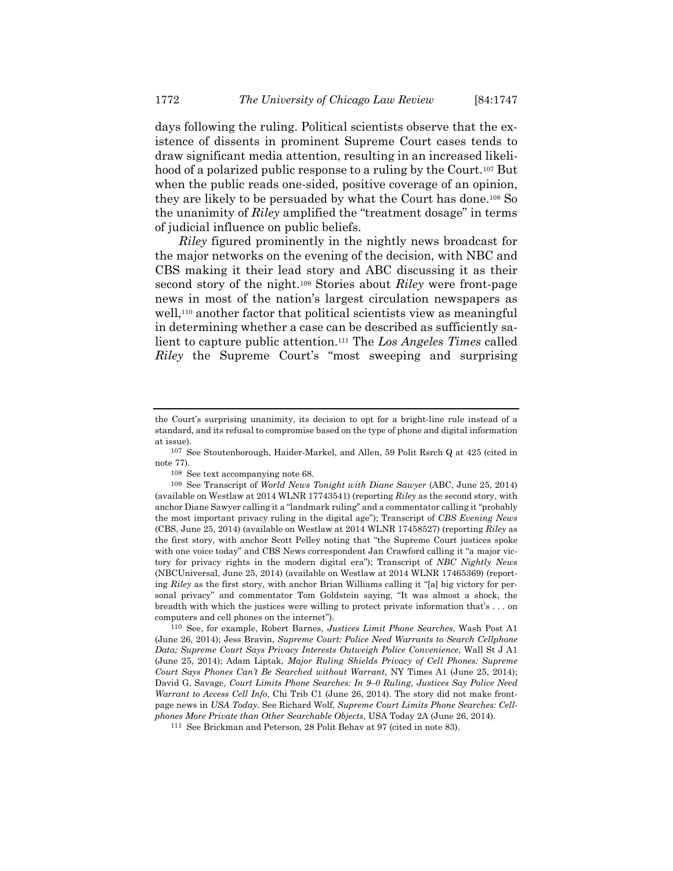days following the ruling. Political scientists observe that the existence of dissents in prominent Supreme Court cases tends to draw significant media attention, resulting in an increased likelihood of a polarized public response to a ruling by the Court.<sup>107</sup> But when the public reads one-sided, positive coverage of an opinion, they are likely to be persuaded by what the Court has done.108 So the unanimity of *Riley* amplified the "treatment dosage" in terms of judicial influence on public beliefs.

*Riley* figured prominently in the nightly news broadcast for the major networks on the evening of the decision, with NBC and CBS making it their lead story and ABC discussing it as their second story of the night.109 Stories about *Riley* were front-page news in most of the nation's largest circulation newspapers as well,<sup>110</sup> another factor that political scientists view as meaningful in determining whether a case can be described as sufficiently salient to capture public attention.111 The *Los Angeles Times* called *Riley* the Supreme Court's "most sweeping and surprising

108 See text accompanying note 68.

the Court's surprising unanimity, its decision to opt for a bright-line rule instead of a standard, and its refusal to compromise based on the type of phone and digital information at issue).

<sup>107</sup> See Stoutenborough, Haider-Markel, and Allen, 59 Polit Rsrch Q at 425 (cited in note 77).

<sup>109</sup> See Transcript of *World News Tonight with Diane Sawyer* (ABC, June 25, 2014) (available on Westlaw at 2014 WLNR 17743541) (reporting *Riley* as the second story, with anchor Diane Sawyer calling it a "landmark ruling" and a commentator calling it "probably the most important privacy ruling in the digital age"); Transcript of *CBS Evening News* (CBS, June 25, 2014) (available on Westlaw at 2014 WLNR 17458527) (reporting *Riley* as the first story, with anchor Scott Pelley noting that "the Supreme Court justices spoke with one voice today" and CBS News correspondent Jan Crawford calling it "a major victory for privacy rights in the modern digital era"); Transcript of *NBC Nightly News* (NBCUniversal, June 25, 2014) (available on Westlaw at 2014 WLNR 17465369) (reporting *Riley* as the first story, with anchor Brian Williams calling it "[a] big victory for personal privacy" and commentator Tom Goldstein saying, "It was almost a shock, the breadth with which the justices were willing to protect private information that's . . . on computers and cell phones on the internet").

<sup>110</sup> See, for example, Robert Barnes, *Justices Limit Phone Searches*, Wash Post A1 (June 26, 2014); Jess Bravin, *Supreme Court: Police Need Warrants to Search Cellphone Data; Supreme Court Says Privacy Interests Outweigh Police Convenience*, Wall St J A1 (June 25, 2014); Adam Liptak, *Major Ruling Shields Privacy of Cell Phones: Supreme Court Says Phones Can't Be Searched without Warrant*, NY Times A1 (June 25, 2014); David G. Savage, *Court Limits Phone Searches: In 9–0 Ruling, Justices Say Police Need Warrant to Access Cell Info*, Chi Trib C1 (June 26, 2014). The story did not make frontpage news in *USA Today*. See Richard Wolf, *Supreme Court Limits Phone Searches: Cellphones More Private than Other Searchable Objects*, USA Today 2A (June 26, 2014).

<sup>111</sup> See Brickman and Peterson, 28 Polit Behav at 97 (cited in note 83).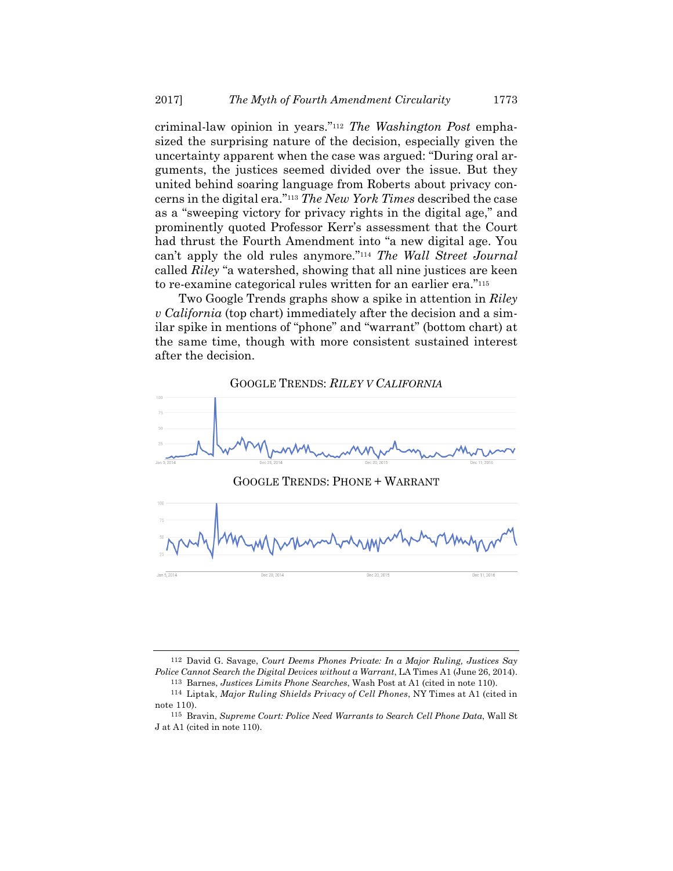criminal-law opinion in years."112 *The Washington Post* emphasized the surprising nature of the decision, especially given the uncertainty apparent when the case was argued: "During oral arguments, the justices seemed divided over the issue. But they united behind soaring language from Roberts about privacy concerns in the digital era."113 *The New York Times* described the case as a "sweeping victory for privacy rights in the digital age," and prominently quoted Professor Kerr's assessment that the Court had thrust the Fourth Amendment into "a new digital age. You can't apply the old rules anymore."114 *The Wall Street Journal* called *Riley* "a watershed, showing that all nine justices are keen to re-examine categorical rules written for an earlier era."115

Two Google Trends graphs show a spike in attention in *Riley v California* (top chart) immediately after the decision and a similar spike in mentions of "phone" and "warrant" (bottom chart) at the same time, though with more consistent sustained interest after the decision.

#### GOOGLE TRENDS: *RILEY V CALIFORNIA*



<sup>112</sup> David G. Savage, *Court Deems Phones Private: In a Major Ruling, Justices Say Police Cannot Search the Digital Devices without a Warrant*, LA Times A1 (June 26, 2014).

<sup>113</sup> Barnes, *Justices Limits Phone Searches*, Wash Post at A1 (cited in note 110). 114 Liptak, *Major Ruling Shields Privacy of Cell Phones*, NY Times at A1 (cited in

note 110).

<sup>115</sup> Bravin, *Supreme Court: Police Need Warrants to Search Cell Phone Data*, Wall St J at A1 (cited in note 110).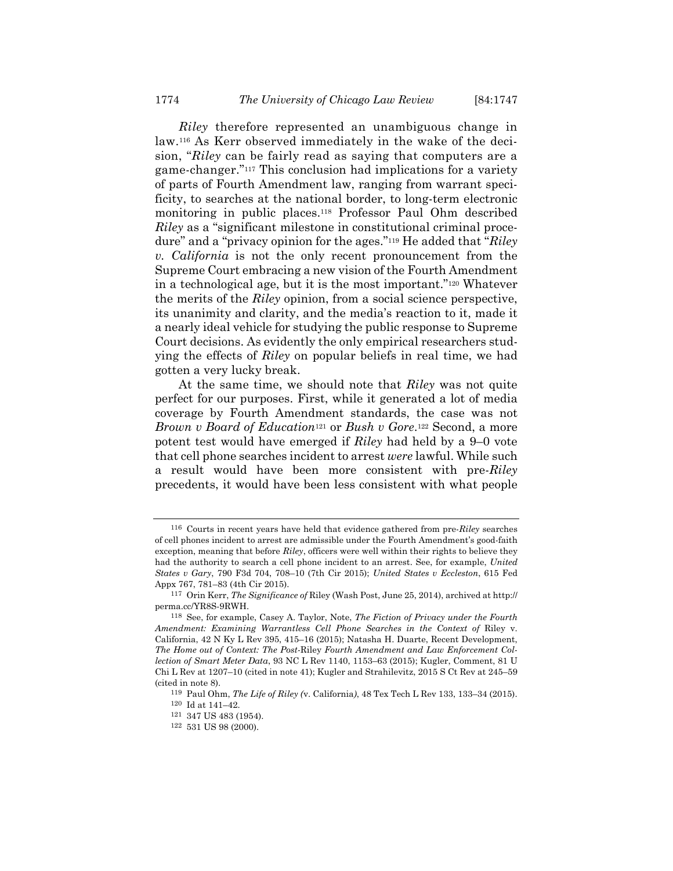*Riley* therefore represented an unambiguous change in law.116 As Kerr observed immediately in the wake of the decision, "*Riley* can be fairly read as saying that computers are a game-changer."117 This conclusion had implications for a variety of parts of Fourth Amendment law, ranging from warrant specificity, to searches at the national border, to long-term electronic monitoring in public places.118 Professor Paul Ohm described *Riley* as a "significant milestone in constitutional criminal procedure" and a "privacy opinion for the ages."119 He added that "*Riley v. California* is not the only recent pronouncement from the Supreme Court embracing a new vision of the Fourth Amendment in a technological age, but it is the most important."120 Whatever the merits of the *Riley* opinion, from a social science perspective, its unanimity and clarity, and the media's reaction to it, made it a nearly ideal vehicle for studying the public response to Supreme Court decisions. As evidently the only empirical researchers studying the effects of *Riley* on popular beliefs in real time, we had gotten a very lucky break.

At the same time, we should note that *Riley* was not quite perfect for our purposes. First, while it generated a lot of media coverage by Fourth Amendment standards, the case was not *Brown v Board of Education*121 or *Bush v Gore*.122 Second, a more potent test would have emerged if *Riley* had held by a 9–0 vote that cell phone searches incident to arrest *were* lawful. While such a result would have been more consistent with pre-*Riley* precedents, it would have been less consistent with what people

<sup>116</sup> Courts in recent years have held that evidence gathered from pre-*Riley* searches of cell phones incident to arrest are admissible under the Fourth Amendment's good-faith exception, meaning that before *Riley*, officers were well within their rights to believe they had the authority to search a cell phone incident to an arrest. See, for example, *United States v Gary*, 790 F3d 704, 708–10 (7th Cir 2015); *United States v Eccleston*, 615 Fed Appx 767, 781–83 (4th Cir 2015).

<sup>117</sup> Orin Kerr, *The Significance of* Riley (Wash Post, June 25, 2014), archived at http:// perma.cc/YR8S-9RWH.

<sup>118</sup> See, for example, Casey A. Taylor, Note, *The Fiction of Privacy under the Fourth Amendment: Examining Warrantless Cell Phone Searches in the Context of* Riley v. California, 42 N Ky L Rev 395, 415–16 (2015); Natasha H. Duarte, Recent Development, *The Home out of Context: The Post-*Riley *Fourth Amendment and Law Enforcement Collection of Smart Meter Data*, 93 NC L Rev 1140, 1153–63 (2015); Kugler, Comment, 81 U Chi L Rev at 1207–10 (cited in note 41); Kugler and Strahilevitz, 2015 S Ct Rev at 245–59 (cited in note 8).

<sup>119</sup> Paul Ohm, *The Life of Riley (*v. California*)*, 48 Tex Tech L Rev 133, 133–34 (2015).

 $^{120}\,$  Id at 141–42.

 $121 \t347 US 483 (1954).$   $122 \t531 US 98 (2000).$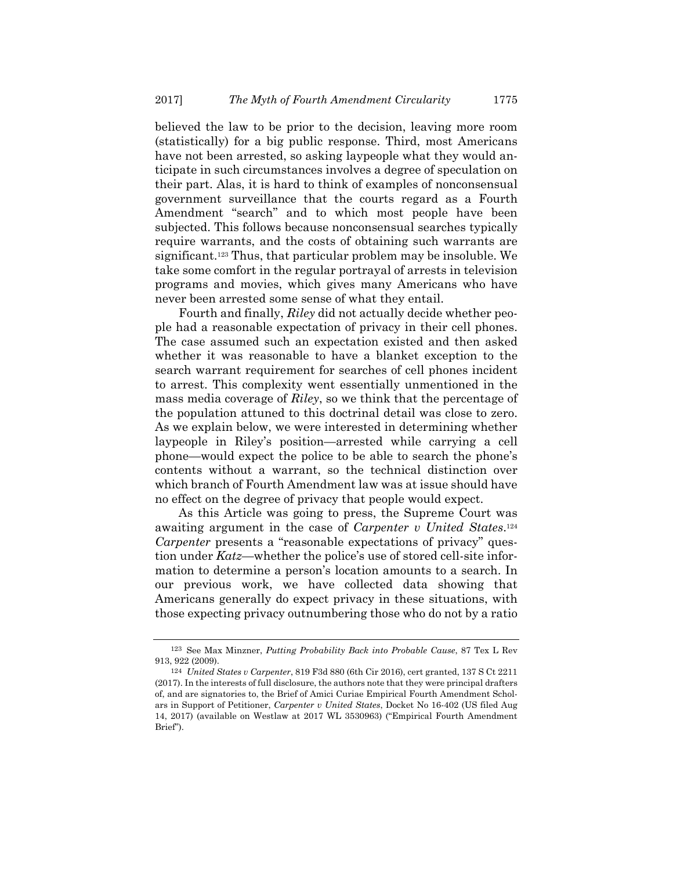believed the law to be prior to the decision, leaving more room (statistically) for a big public response. Third, most Americans have not been arrested, so asking laypeople what they would anticipate in such circumstances involves a degree of speculation on their part. Alas, it is hard to think of examples of nonconsensual government surveillance that the courts regard as a Fourth Amendment "search" and to which most people have been subjected. This follows because nonconsensual searches typically require warrants, and the costs of obtaining such warrants are significant.123 Thus, that particular problem may be insoluble. We take some comfort in the regular portrayal of arrests in television programs and movies, which gives many Americans who have never been arrested some sense of what they entail.

Fourth and finally, *Riley* did not actually decide whether people had a reasonable expectation of privacy in their cell phones. The case assumed such an expectation existed and then asked whether it was reasonable to have a blanket exception to the search warrant requirement for searches of cell phones incident to arrest. This complexity went essentially unmentioned in the mass media coverage of *Riley*, so we think that the percentage of the population attuned to this doctrinal detail was close to zero. As we explain below, we were interested in determining whether laypeople in Riley's position—arrested while carrying a cell phone—would expect the police to be able to search the phone's contents without a warrant, so the technical distinction over which branch of Fourth Amendment law was at issue should have no effect on the degree of privacy that people would expect.

As this Article was going to press, the Supreme Court was awaiting argument in the case of *Carpenter v United States*.124 *Carpenter* presents a "reasonable expectations of privacy" question under *Katz*—whether the police's use of stored cell-site information to determine a person's location amounts to a search. In our previous work, we have collected data showing that Americans generally do expect privacy in these situations, with those expecting privacy outnumbering those who do not by a ratio

<sup>123</sup> See Max Minzner, *Putting Probability Back into Probable Cause*, 87 Tex L Rev 913, 922 (2009).

<sup>124</sup> *United States v Carpenter*, 819 F3d 880 (6th Cir 2016), cert granted, 137 S Ct 2211 (2017). In the interests of full disclosure, the authors note that they were principal drafters of, and are signatories to, the Brief of Amici Curiae Empirical Fourth Amendment Scholars in Support of Petitioner, *Carpenter v United States*, Docket No 16-402 (US filed Aug 14, 2017) (available on Westlaw at 2017 WL 3530963) ("Empirical Fourth Amendment Brief").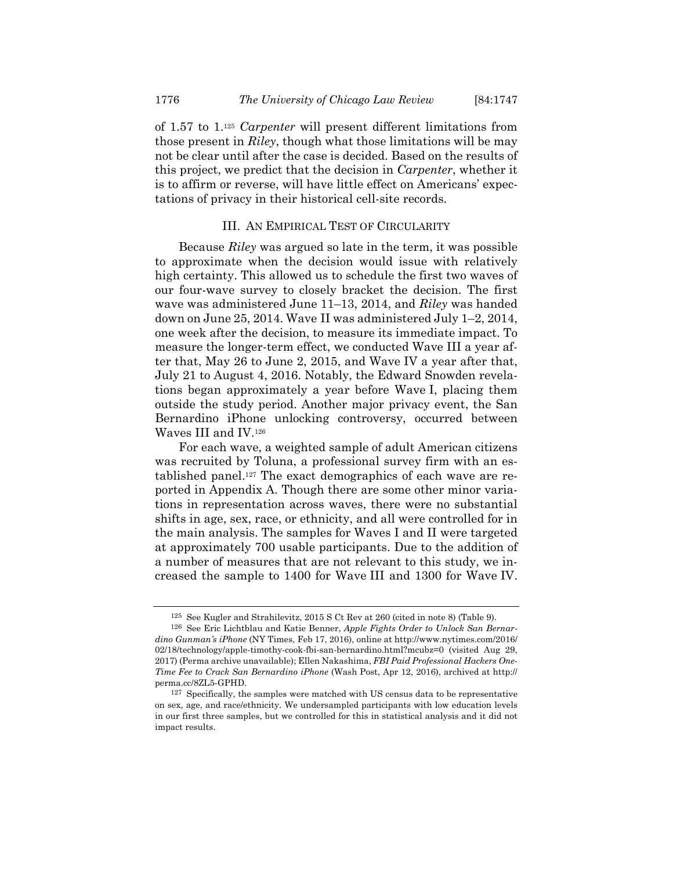of 1.57 to 1.125 *Carpenter* will present different limitations from those present in *Riley*, though what those limitations will be may not be clear until after the case is decided. Based on the results of this project, we predict that the decision in *Carpenter*, whether it is to affirm or reverse, will have little effect on Americans' expectations of privacy in their historical cell-site records.

#### III. AN EMPIRICAL TEST OF CIRCULARITY

Because *Riley* was argued so late in the term, it was possible to approximate when the decision would issue with relatively high certainty. This allowed us to schedule the first two waves of our four-wave survey to closely bracket the decision. The first wave was administered June 11–13, 2014, and *Riley* was handed down on June 25, 2014. Wave II was administered July 1–2, 2014, one week after the decision, to measure its immediate impact. To measure the longer-term effect, we conducted Wave III a year after that, May 26 to June 2, 2015, and Wave IV a year after that, July 21 to August 4, 2016. Notably, the Edward Snowden revelations began approximately a year before Wave I, placing them outside the study period. Another major privacy event, the San Bernardino iPhone unlocking controversy, occurred between Waves III and IV.126

For each wave, a weighted sample of adult American citizens was recruited by Toluna, a professional survey firm with an established panel.127 The exact demographics of each wave are reported in Appendix A. Though there are some other minor variations in representation across waves, there were no substantial shifts in age, sex, race, or ethnicity, and all were controlled for in the main analysis. The samples for Waves I and II were targeted at approximately 700 usable participants. Due to the addition of a number of measures that are not relevant to this study, we increased the sample to 1400 for Wave III and 1300 for Wave IV.

<sup>125</sup> See Kugler and Strahilevitz, 2015 S Ct Rev at 260 (cited in note 8) (Table 9). 126 See Eric Lichtblau and Katie Benner, *Apple Fights Order to Unlock San Bernar-*

*dino Gunman's iPhone* (NY Times, Feb 17, 2016), online at http://www.nytimes.com/2016/ 02/18/technology/apple-timothy-cook-fbi-san-bernardino.html?mcubz=0 (visited Aug 29, 2017) (Perma archive unavailable); Ellen Nakashima, *FBI Paid Professional Hackers One-Time Fee to Crack San Bernardino iPhone* (Wash Post, Apr 12, 2016), archived at http:// perma.cc/8ZL5-GPHD.

 $127$  Specifically, the samples were matched with US census data to be representative on sex, age, and race/ethnicity. We undersampled participants with low education levels in our first three samples, but we controlled for this in statistical analysis and it did not impact results.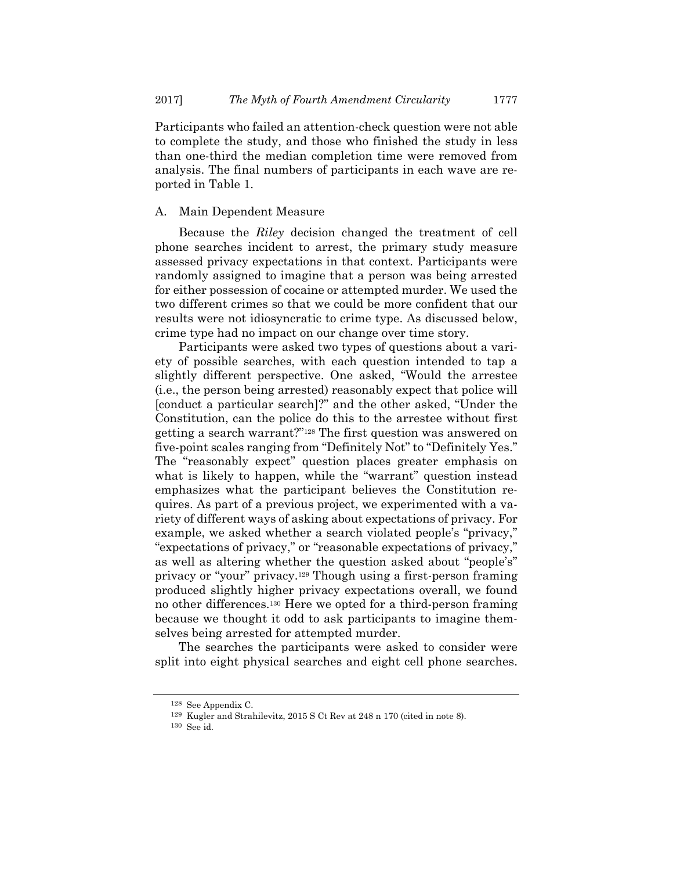Participants who failed an attention-check question were not able to complete the study, and those who finished the study in less than one-third the median completion time were removed from analysis. The final numbers of participants in each wave are reported in Table 1.

### A. Main Dependent Measure

Because the *Riley* decision changed the treatment of cell phone searches incident to arrest, the primary study measure assessed privacy expectations in that context. Participants were randomly assigned to imagine that a person was being arrested for either possession of cocaine or attempted murder. We used the two different crimes so that we could be more confident that our results were not idiosyncratic to crime type. As discussed below, crime type had no impact on our change over time story.

Participants were asked two types of questions about a variety of possible searches, with each question intended to tap a slightly different perspective. One asked, "Would the arrestee (i.e., the person being arrested) reasonably expect that police will [conduct a particular search]?" and the other asked, "Under the Constitution, can the police do this to the arrestee without first getting a search warrant?"128 The first question was answered on five-point scales ranging from "Definitely Not" to "Definitely Yes." The "reasonably expect" question places greater emphasis on what is likely to happen, while the "warrant" question instead emphasizes what the participant believes the Constitution requires. As part of a previous project, we experimented with a variety of different ways of asking about expectations of privacy. For example, we asked whether a search violated people's "privacy," "expectations of privacy," or "reasonable expectations of privacy," as well as altering whether the question asked about "people's" privacy or "your" privacy.129 Though using a first-person framing produced slightly higher privacy expectations overall, we found no other differences.130 Here we opted for a third-person framing because we thought it odd to ask participants to imagine themselves being arrested for attempted murder.

The searches the participants were asked to consider were split into eight physical searches and eight cell phone searches.

<sup>128</sup> See Appendix C.

<sup>&</sup>lt;sup>129</sup> Kugler and Strahilevitz, 2015 S Ct Rev at 248 n 170 (cited in note 8).<br><sup>130</sup> See id.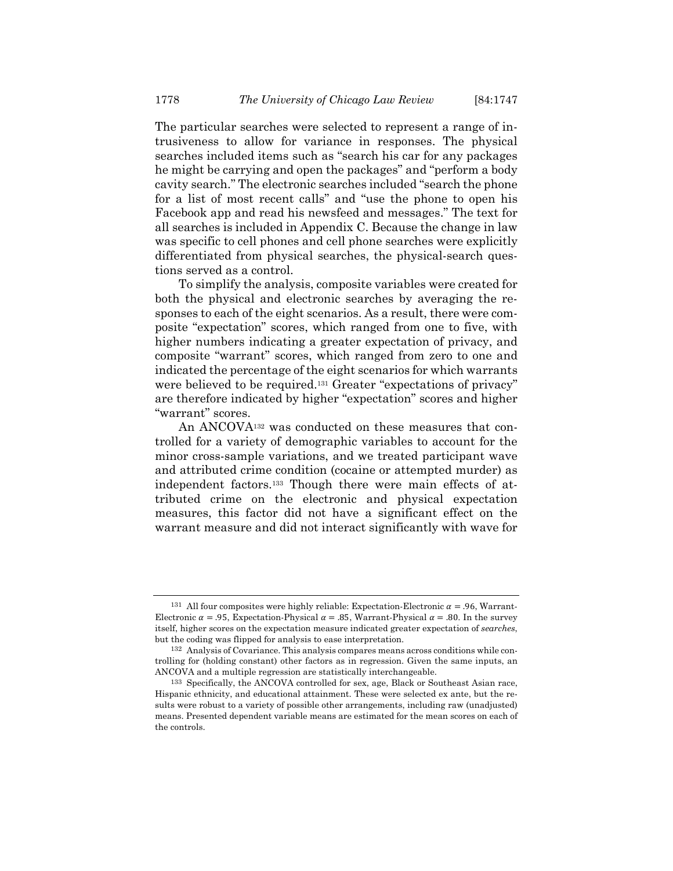The particular searches were selected to represent a range of intrusiveness to allow for variance in responses. The physical searches included items such as "search his car for any packages he might be carrying and open the packages" and "perform a body cavity search." The electronic searches included "search the phone for a list of most recent calls" and "use the phone to open his Facebook app and read his newsfeed and messages." The text for all searches is included in Appendix C. Because the change in law was specific to cell phones and cell phone searches were explicitly differentiated from physical searches, the physical-search questions served as a control.

To simplify the analysis, composite variables were created for both the physical and electronic searches by averaging the responses to each of the eight scenarios. As a result, there were composite "expectation" scores, which ranged from one to five, with higher numbers indicating a greater expectation of privacy, and composite "warrant" scores, which ranged from zero to one and indicated the percentage of the eight scenarios for which warrants were believed to be required.<sup>131</sup> Greater "expectations of privacy" are therefore indicated by higher "expectation" scores and higher "warrant" scores.

An ANCOVA132 was conducted on these measures that controlled for a variety of demographic variables to account for the minor cross-sample variations, and we treated participant wave and attributed crime condition (cocaine or attempted murder) as independent factors.133 Though there were main effects of attributed crime on the electronic and physical expectation measures, this factor did not have a significant effect on the warrant measure and did not interact significantly with wave for

<sup>&</sup>lt;sup>131</sup> All four composites were highly reliable: Expectation-Electronic  $\alpha = .96$ , Warrant-Electronic  $\alpha = .95$ , Expectation-Physical  $\alpha = .85$ , Warrant-Physical  $\alpha = .80$ . In the survey itself, higher scores on the expectation measure indicated greater expectation of *searches*, but the coding was flipped for analysis to ease interpretation.

<sup>132</sup> Analysis of Covariance. This analysis compares means across conditions while controlling for (holding constant) other factors as in regression. Given the same inputs, an ANCOVA and a multiple regression are statistically interchangeable.

<sup>133</sup> Specifically, the ANCOVA controlled for sex, age, Black or Southeast Asian race, Hispanic ethnicity, and educational attainment. These were selected ex ante, but the results were robust to a variety of possible other arrangements, including raw (unadjusted) means. Presented dependent variable means are estimated for the mean scores on each of the controls.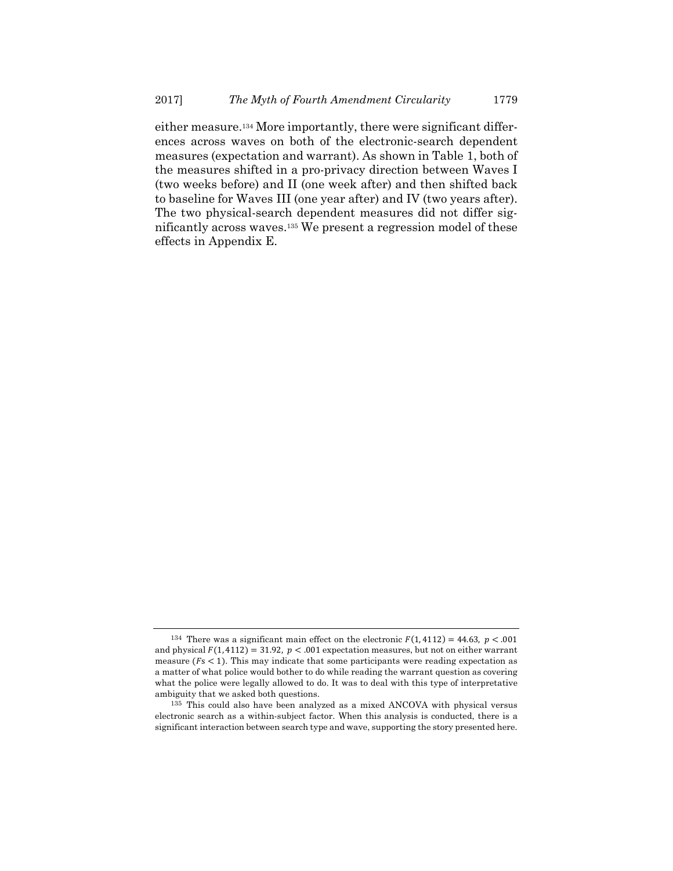either measure.134 More importantly, there were significant differences across waves on both of the electronic-search dependent measures (expectation and warrant). As shown in Table 1, both of the measures shifted in a pro-privacy direction between Waves I (two weeks before) and II (one week after) and then shifted back to baseline for Waves III (one year after) and IV (two years after). The two physical-search dependent measures did not differ significantly across waves.135 We present a regression model of these effects in Appendix E.

<sup>&</sup>lt;sup>134</sup> There was a significant main effect on the electronic  $F(1, 4112) = 44.63$ ,  $p < .001$ and physical  $F(1, 4112) = 31.92$ ,  $p < .001$  expectation measures, but not on either warrant measure  $(F< 1)$ . This may indicate that some participants were reading expectation as a matter of what police would bother to do while reading the warrant question as covering what the police were legally allowed to do. It was to deal with this type of interpretative ambiguity that we asked both questions.

<sup>135</sup> This could also have been analyzed as a mixed ANCOVA with physical versus electronic search as a within-subject factor. When this analysis is conducted, there is a significant interaction between search type and wave, supporting the story presented here.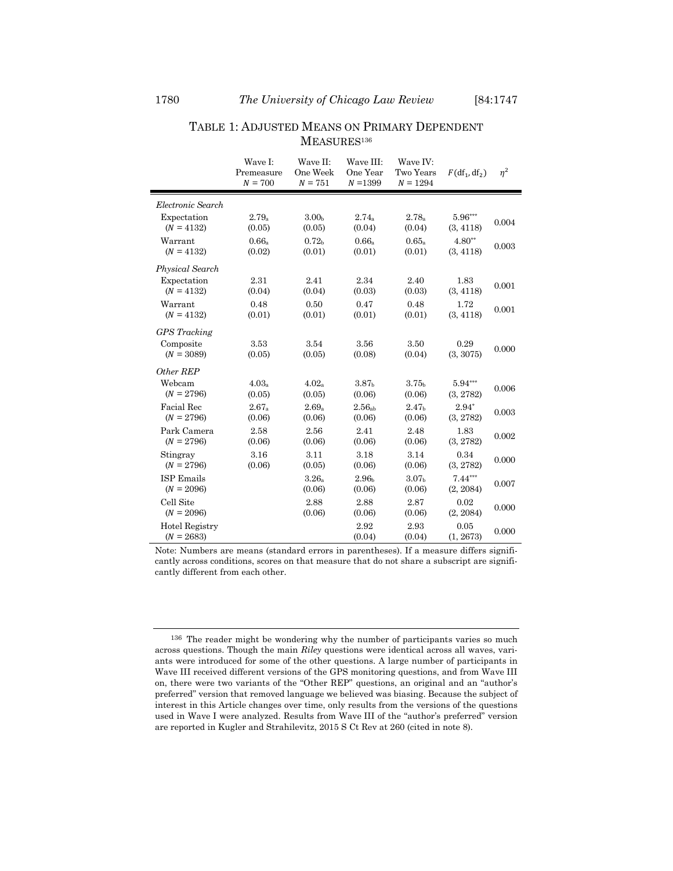## TABLE 1: ADJUSTED MEANS ON PRIMARY DEPENDENT MEASURES<sup>136</sup>

|                                                  | Wave I:<br>Premeasure<br>$N = 700$ | Wave II:<br>One Week<br>$N = 751$ | Wave III:<br>One Year<br>$N = 1399$ | Wave IV:<br>Two Years<br>$N = 1294$ | $F(df_1, df_2)$        | $\eta^2$ |
|--------------------------------------------------|------------------------------------|-----------------------------------|-------------------------------------|-------------------------------------|------------------------|----------|
| Electronic Search                                |                                    |                                   |                                     |                                     |                        |          |
| Expectation                                      | $2.79_a$                           | 3.00 <sub>h</sub>                 | $2.74_a$                            | $2.78_a$                            | 5.96***                | 0.004    |
| $(N = 4132)$                                     | (0.05)                             | (0.05)                            | (0.04)                              | (0.04)                              | (3, 4118)              |          |
| Warrant                                          | 0.66a                              | 0.72 <sub>b</sub>                 | 0.66a                               | 0.65a                               | $4.80**$               | 0.003    |
| $(N = 4132)$                                     | (0.02)                             | (0.01)                            | (0.01)                              | (0.01)                              | (3, 4118)              |          |
| Physical Search                                  |                                    |                                   |                                     |                                     |                        |          |
| Expectation                                      | 2.31                               | 2.41                              | 2.34                                | 2.40                                | 1.83                   | 0.001    |
| $(N = 4132)$                                     | (0.04)                             | (0.04)                            | (0.03)                              | (0.03)                              | (3, 4118)              |          |
| Warrant                                          | 0.48                               | 0.50                              | 0.47                                | 0.48                                | 1.72                   | 0.001    |
| $(N = 4132)$                                     | (0.01)                             | (0.01)                            | (0.01)                              | (0.01)                              | (3, 4118)              |          |
| <b>GPS</b> Tracking<br>Composite<br>$(N = 3089)$ | 3.53<br>(0.05)                     | 3.54<br>(0.05)                    | 3.56<br>(0.08)                      | 3.50<br>(0.04)                      | 0.29<br>(3, 3075)      | 0.000    |
| Other REP                                        |                                    |                                   |                                     |                                     |                        |          |
| Webcam                                           | $4.03_a$                           | $4.02_a$                          | 3.87 <sub>h</sub>                   | 3.75 <sub>b</sub>                   | $5.94***$              | 0.006    |
| $(N = 2796)$                                     | (0.05)                             | (0.05)                            | (0.06)                              | (0.06)                              | (3, 2782)              |          |
| Facial Rec                                       | $2.67_a$                           | $2.69_a$                          | 2.56 <sub>ab</sub>                  | 2.47 <sub>b</sub>                   | $2.94*$                | 0.003    |
| $(N = 2796)$                                     | (0.06)                             | (0.06)                            | (0.06)                              | (0.06)                              | (3, 2782)              |          |
| Park Camera                                      | 2.58                               | 2.56                              | 2.41                                | 2.48                                | 1.83                   | 0.002    |
| $(N = 2796)$                                     | (0.06)                             | (0.06)                            | (0.06)                              | (0.06)                              | (3, 2782)              |          |
| Stingray                                         | 3.16                               | 3.11                              | 3.18                                | 3.14                                | 0.34                   | 0.000    |
| $(N = 2796)$                                     | (0.06)                             | (0.05)                            | (0.06)                              | (0.06)                              | (3, 2782)              |          |
| <b>ISP Emails</b><br>$(N = 2096)$                |                                    | 3.26a<br>(0.06)                   | 2.96 <sub>b</sub><br>(0.06)         | 3.07 <sub>b</sub><br>(0.06)         | $7.44***$<br>(2, 2084) | 0.007    |
| Cell Site<br>$(N = 2096)$                        |                                    | 2.88<br>(0.06)                    | 2.88<br>(0.06)                      | 2.87<br>(0.06)                      | 0.02<br>(2, 2084)      | 0.000    |
| Hotel Registry<br>$(N = 2683)$                   |                                    |                                   | 2.92<br>(0.04)                      | 2.93<br>(0.04)                      | 0.05<br>(1, 2673)      | 0.000    |

Note: Numbers are means (standard errors in parentheses). If a measure differs significantly across conditions, scores on that measure that do not share a subscript are significantly different from each other.

<sup>136</sup> The reader might be wondering why the number of participants varies so much across questions. Though the main *Riley* questions were identical across all waves, variants were introduced for some of the other questions. A large number of participants in Wave III received different versions of the GPS monitoring questions, and from Wave III on, there were two variants of the "Other REP" questions, an original and an "author's preferred" version that removed language we believed was biasing. Because the subject of interest in this Article changes over time, only results from the versions of the questions used in Wave I were analyzed. Results from Wave III of the "author's preferred" version are reported in Kugler and Strahilevitz, 2015 S Ct Rev at 260 (cited in note 8).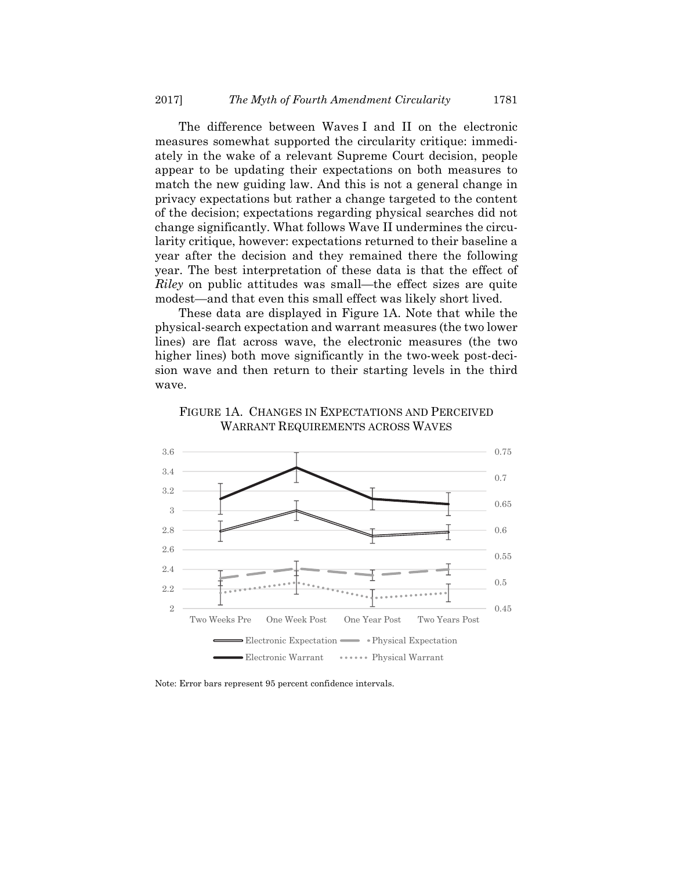The difference between Waves I and II on the electronic measures somewhat supported the circularity critique: immediately in the wake of a relevant Supreme Court decision, people appear to be updating their expectations on both measures to match the new guiding law. And this is not a general change in privacy expectations but rather a change targeted to the content of the decision; expectations regarding physical searches did not change significantly. What follows Wave II undermines the circularity critique, however: expectations returned to their baseline a year after the decision and they remained there the following year. The best interpretation of these data is that the effect of *Riley* on public attitudes was small—the effect sizes are quite modest—and that even this small effect was likely short lived.

These data are displayed in Figure 1A. Note that while the physical-search expectation and warrant measures (the two lower lines) are flat across wave, the electronic measures (the two higher lines) both move significantly in the two-week post-decision wave and then return to their starting levels in the third wave.





Note: Error bars represent 95 percent confidence intervals.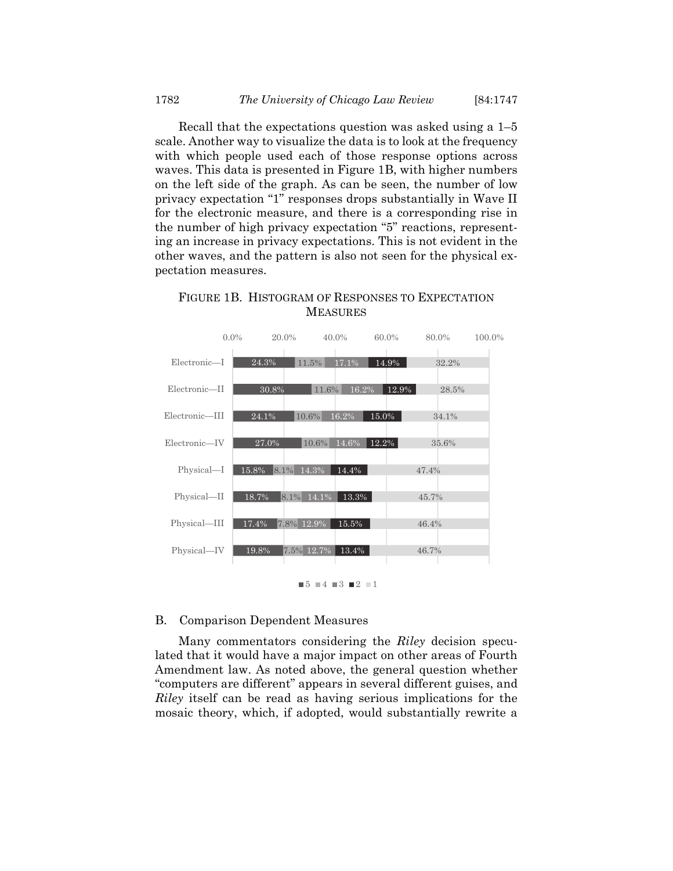Recall that the expectations question was asked using a 1–5 scale. Another way to visualize the data is to look at the frequency with which people used each of those response options across waves. This data is presented in Figure 1B, with higher numbers on the left side of the graph. As can be seen, the number of low privacy expectation "1" responses drops substantially in Wave II for the electronic measure, and there is a corresponding rise in the number of high privacy expectation "5" reactions, representing an increase in privacy expectations. This is not evident in the other waves, and the pattern is also not seen for the physical expectation measures.



## FIGURE 1B. HISTOGRAM OF RESPONSES TO EXPECTATION MEASURES

 $\blacksquare$  5  $\blacksquare$  4  $\blacksquare$  3  $\blacksquare$  2  $\blacksquare$  1

#### B. Comparison Dependent Measures

Many commentators considering the *Riley* decision speculated that it would have a major impact on other areas of Fourth Amendment law. As noted above, the general question whether "computers are different" appears in several different guises, and *Riley* itself can be read as having serious implications for the mosaic theory, which, if adopted, would substantially rewrite a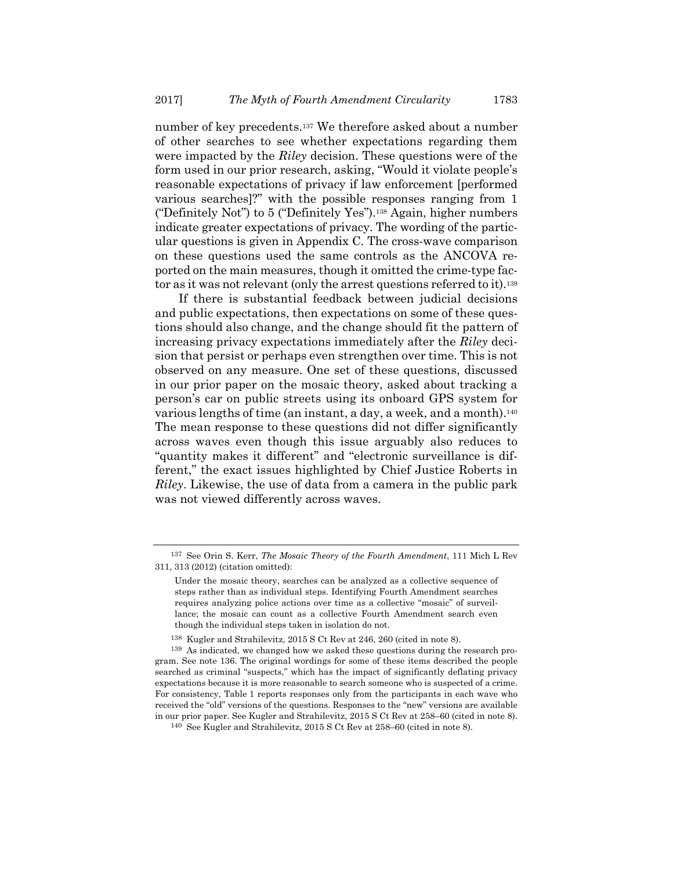number of key precedents.137 We therefore asked about a number of other searches to see whether expectations regarding them were impacted by the *Riley* decision. These questions were of the form used in our prior research, asking, "Would it violate people's reasonable expectations of privacy if law enforcement [performed various searches]?" with the possible responses ranging from 1 ("Definitely Not") to 5 ("Definitely Yes").138 Again, higher numbers indicate greater expectations of privacy. The wording of the particular questions is given in Appendix C. The cross-wave comparison on these questions used the same controls as the ANCOVA reported on the main measures, though it omitted the crime-type factor as it was not relevant (only the arrest questions referred to it).139

If there is substantial feedback between judicial decisions and public expectations, then expectations on some of these questions should also change, and the change should fit the pattern of increasing privacy expectations immediately after the *Riley* decision that persist or perhaps even strengthen over time. This is not observed on any measure. One set of these questions, discussed in our prior paper on the mosaic theory, asked about tracking a person's car on public streets using its onboard GPS system for various lengths of time (an instant, a day, a week, and a month).140 The mean response to these questions did not differ significantly across waves even though this issue arguably also reduces to "quantity makes it different" and "electronic surveillance is different," the exact issues highlighted by Chief Justice Roberts in *Riley*. Likewise, the use of data from a camera in the public park was not viewed differently across waves.

<sup>137</sup> See Orin S. Kerr, *The Mosaic Theory of the Fourth Amendment*, 111 Mich L Rev 311, 313 (2012) (citation omitted):

Under the mosaic theory, searches can be analyzed as a collective sequence of steps rather than as individual steps. Identifying Fourth Amendment searches requires analyzing police actions over time as a collective "mosaic" of surveillance; the mosaic can count as a collective Fourth Amendment search even though the individual steps taken in isolation do not.

<sup>138</sup> Kugler and Strahilevitz, 2015 S Ct Rev at 246, 260 (cited in note 8).

<sup>139</sup> As indicated, we changed how we asked these questions during the research program. See note 136. The original wordings for some of these items described the people searched as criminal "suspects," which has the impact of significantly deflating privacy expectations because it is more reasonable to search someone who is suspected of a crime. For consistency, Table 1 reports responses only from the participants in each wave who received the "old" versions of the questions. Responses to the "new" versions are available in our prior paper. See Kugler and Strahilevitz, 2015 S Ct Rev at 258–60 (cited in note 8).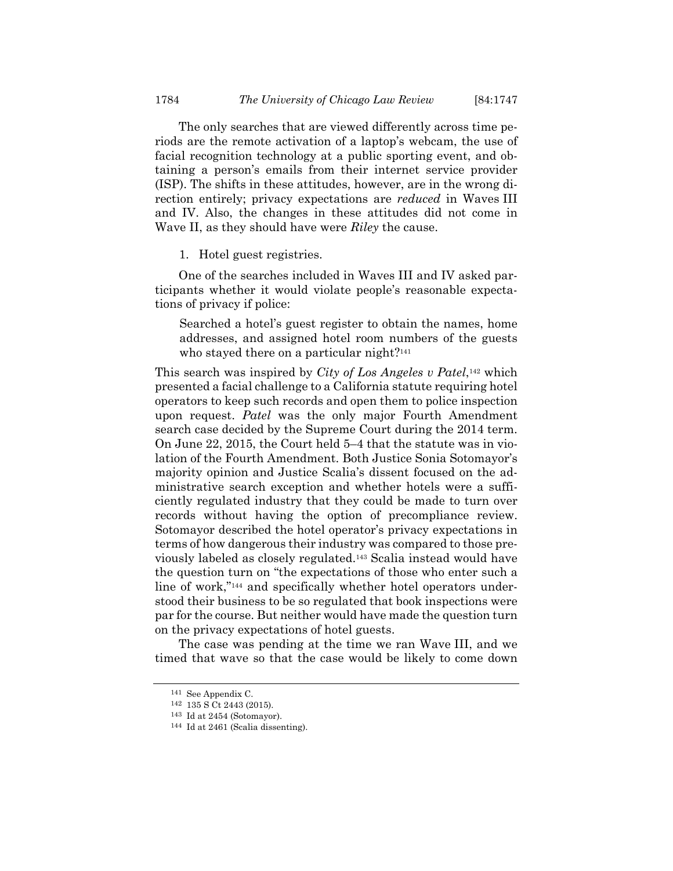The only searches that are viewed differently across time periods are the remote activation of a laptop's webcam, the use of facial recognition technology at a public sporting event, and obtaining a person's emails from their internet service provider (ISP). The shifts in these attitudes, however, are in the wrong direction entirely; privacy expectations are *reduced* in Waves III and IV. Also, the changes in these attitudes did not come in Wave II, as they should have were *Riley* the cause.

1. Hotel guest registries.

One of the searches included in Waves III and IV asked participants whether it would violate people's reasonable expectations of privacy if police:

Searched a hotel's guest register to obtain the names, home addresses, and assigned hotel room numbers of the guests who stayed there on a particular night?<sup>141</sup>

This search was inspired by *City of Los Angeles v Patel*,142 which presented a facial challenge to a California statute requiring hotel operators to keep such records and open them to police inspection upon request. *Patel* was the only major Fourth Amendment search case decided by the Supreme Court during the 2014 term. On June 22, 2015, the Court held 5–4 that the statute was in violation of the Fourth Amendment. Both Justice Sonia Sotomayor's majority opinion and Justice Scalia's dissent focused on the administrative search exception and whether hotels were a sufficiently regulated industry that they could be made to turn over records without having the option of precompliance review. Sotomayor described the hotel operator's privacy expectations in terms of how dangerous their industry was compared to those previously labeled as closely regulated.143 Scalia instead would have the question turn on "the expectations of those who enter such a line of work,"144 and specifically whether hotel operators understood their business to be so regulated that book inspections were par for the course. But neither would have made the question turn on the privacy expectations of hotel guests.

The case was pending at the time we ran Wave III, and we timed that wave so that the case would be likely to come down

<sup>141</sup> See Appendix C.

<sup>142 135</sup> S Ct 2443 (2015).

<sup>&</sup>lt;sup>143</sup> Id at 2454 (Sotomayor).<br><sup>144</sup> Id at 2461 (Scalia dissenting).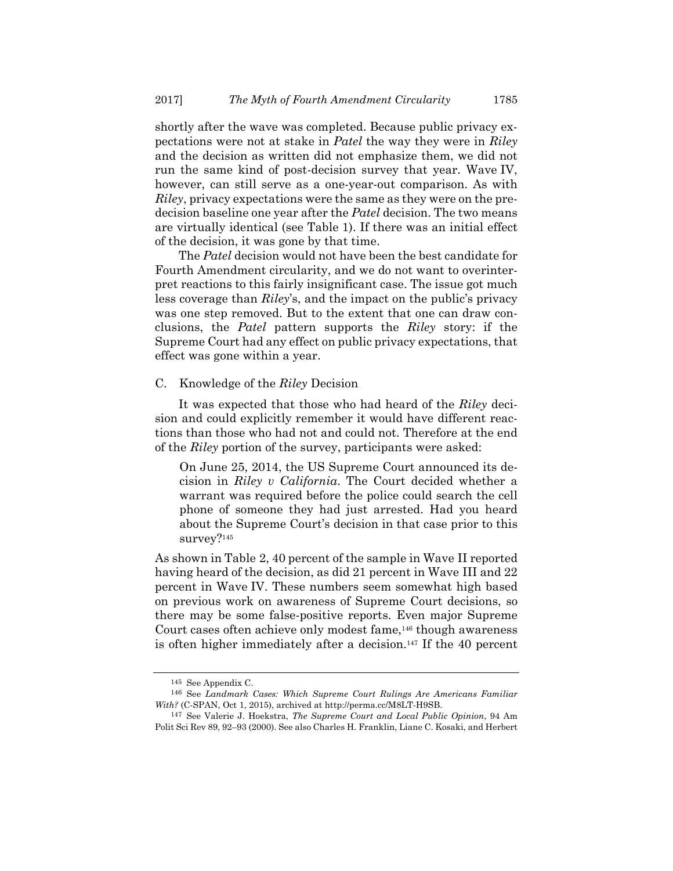shortly after the wave was completed. Because public privacy expectations were not at stake in *Patel* the way they were in *Riley* and the decision as written did not emphasize them, we did not run the same kind of post-decision survey that year. Wave IV, however, can still serve as a one-year-out comparison. As with *Riley*, privacy expectations were the same as they were on the predecision baseline one year after the *Patel* decision. The two means are virtually identical (see Table 1). If there was an initial effect of the decision, it was gone by that time.

The *Patel* decision would not have been the best candidate for Fourth Amendment circularity, and we do not want to overinterpret reactions to this fairly insignificant case. The issue got much less coverage than *Riley*'s, and the impact on the public's privacy was one step removed. But to the extent that one can draw conclusions, the *Patel* pattern supports the *Riley* story: if the Supreme Court had any effect on public privacy expectations, that effect was gone within a year.

#### C. Knowledge of the *Riley* Decision

It was expected that those who had heard of the *Riley* decision and could explicitly remember it would have different reactions than those who had not and could not. Therefore at the end of the *Riley* portion of the survey, participants were asked:

On June 25, 2014, the US Supreme Court announced its decision in *Riley v California*. The Court decided whether a warrant was required before the police could search the cell phone of someone they had just arrested. Had you heard about the Supreme Court's decision in that case prior to this survey?<sup>145</sup>

As shown in Table 2, 40 percent of the sample in Wave II reported having heard of the decision, as did 21 percent in Wave III and 22 percent in Wave IV. These numbers seem somewhat high based on previous work on awareness of Supreme Court decisions, so there may be some false-positive reports. Even major Supreme Court cases often achieve only modest fame,146 though awareness is often higher immediately after a decision.147 If the 40 percent

<sup>145</sup> See Appendix C. 146 See *Landmark Cases: Which Supreme Court Rulings Are Americans Familiar With?* (C-SPAN, Oct 1, 2015), archived at http://perma.cc/M8LT-H9SB.

<sup>147</sup> See Valerie J. Hoekstra, *The Supreme Court and Local Public Opinion*, 94 Am Polit Sci Rev 89, 92–93 (2000). See also Charles H. Franklin, Liane C. Kosaki, and Herbert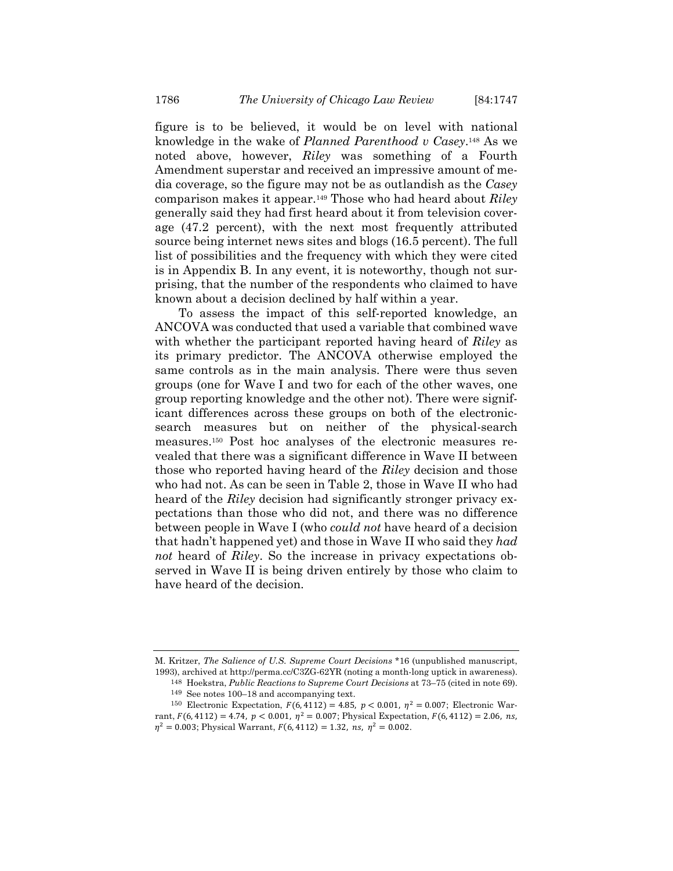figure is to be believed, it would be on level with national knowledge in the wake of *Planned Parenthood v Casey*.148 As we noted above, however, *Riley* was something of a Fourth Amendment superstar and received an impressive amount of media coverage, so the figure may not be as outlandish as the *Casey* comparison makes it appear.149 Those who had heard about *Riley* generally said they had first heard about it from television coverage (47.2 percent), with the next most frequently attributed source being internet news sites and blogs (16.5 percent). The full list of possibilities and the frequency with which they were cited is in Appendix B. In any event, it is noteworthy, though not surprising, that the number of the respondents who claimed to have known about a decision declined by half within a year.

To assess the impact of this self-reported knowledge, an ANCOVA was conducted that used a variable that combined wave with whether the participant reported having heard of *Riley* as its primary predictor. The ANCOVA otherwise employed the same controls as in the main analysis. There were thus seven groups (one for Wave I and two for each of the other waves, one group reporting knowledge and the other not). There were significant differences across these groups on both of the electronicsearch measures but on neither of the physical-search measures.150 Post hoc analyses of the electronic measures revealed that there was a significant difference in Wave II between those who reported having heard of the *Riley* decision and those who had not. As can be seen in Table 2, those in Wave II who had heard of the *Riley* decision had significantly stronger privacy expectations than those who did not, and there was no difference between people in Wave I (who *could not* have heard of a decision that hadn't happened yet) and those in Wave II who said they *had not* heard of *Riley*. So the increase in privacy expectations observed in Wave II is being driven entirely by those who claim to have heard of the decision.

M. Kritzer, *The Salience of U.S. Supreme Court Decisions* \*16 (unpublished manuscript, 1993), archived at http://perma.cc/C3ZG-62YR (noting a month-long uptick in awareness).

<sup>148</sup> Hoekstra, *Public Reactions to Supreme Court Decisions* at 73–75 (cited in note 69). 149 See notes 100–18 and accompanying text.

<sup>&</sup>lt;sup>150</sup> Electronic Expectation,  $F(6, 4112) = 4.85$ ,  $p < 0.001$ ,  $p^2 = 0.007$ ; Electronic Warrant,  $F(6, 4112) = 4.74$ ,  $p < 0.001$ ,  $\eta^2 = 0.007$ ; Physical Expectation,  $F(6, 4112) = 2.06$ , ns,  $\eta^2 = 0.003$ ; Physical Warrant,  $F(6, 4112) = 1.32$ , ns,  $\eta^2 = 0.002$ .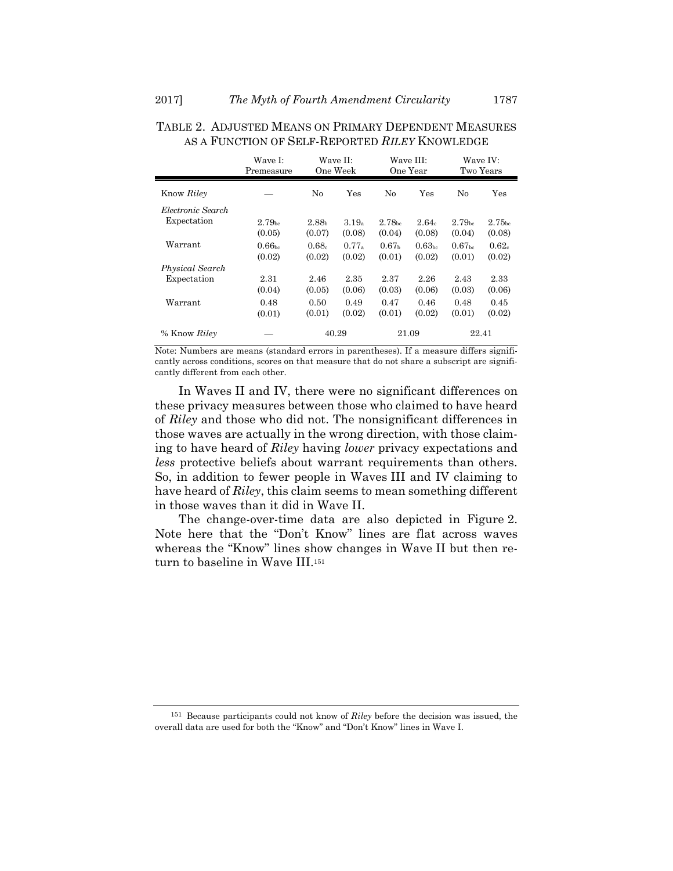|                   | Wave I:<br>Premeasure        |                             | Wave II:<br>One Week |                              | Wave III:<br>One Year        |                              | Wave IV:<br>Two Years        |
|-------------------|------------------------------|-----------------------------|----------------------|------------------------------|------------------------------|------------------------------|------------------------------|
| Know Riley        |                              | $\rm No$                    | Yes                  | No                           | Yes                          | No                           | Yes                          |
| Electronic Search |                              |                             |                      |                              |                              |                              |                              |
| Expectation       | 2.79 <sub>bc</sub><br>(0.05) | 2.88 <sub>b</sub><br>(0.07) | $3.19_a$<br>(0.08)   | 2.78 <sub>bc</sub><br>(0.04) | $2.64_c$<br>(0.08)           | 2.79 <sub>bc</sub><br>(0.04) | 2.75 <sub>bc</sub><br>(0.08) |
| Warrant           | 0.66 <sub>bc</sub><br>(0.02) | $0.68_c$<br>(0.02)          | 0.77a<br>(0.02)      | 0.67 <sub>b</sub><br>(0.01)  | 0.63 <sub>bc</sub><br>(0.02) | 0.67 <sub>bc</sub><br>(0.01) | 0.62c<br>(0.02)              |
| Physical Search   |                              |                             |                      |                              |                              |                              |                              |
| Expectation       | 2.31<br>(0.04)               | 2.46<br>(0.05)              | 2.35<br>(0.06)       | 2.37<br>(0.03)               | 2.26<br>(0.06)               | 2.43<br>(0.03)               | 2.33<br>(0.06)               |
| Warrant           | 0.48<br>(0.01)               | 0.50<br>(0.01)              | 0.49<br>(0.02)       | 0.47<br>(0.01)               | 0.46<br>(0.02)               | 0.48<br>(0.01)               | 0.45<br>(0.02)               |
| % Know Riley      |                              |                             | 40.29                |                              | 21.09                        |                              | 22.41                        |

## TABLE 2. ADJUSTED MEANS ON PRIMARY DEPENDENT MEASURES AS A FUNCTION OF SELF-REPORTED *RILEY* KNOWLEDGE

Note: Numbers are means (standard errors in parentheses). If a measure differs significantly across conditions, scores on that measure that do not share a subscript are significantly different from each other.

In Waves II and IV, there were no significant differences on these privacy measures between those who claimed to have heard of *Riley* and those who did not. The nonsignificant differences in those waves are actually in the wrong direction, with those claiming to have heard of *Riley* having *lower* privacy expectations and *less* protective beliefs about warrant requirements than others. So, in addition to fewer people in Waves III and IV claiming to have heard of *Riley*, this claim seems to mean something different in those waves than it did in Wave II.

The change-over-time data are also depicted in Figure 2. Note here that the "Don't Know" lines are flat across waves whereas the "Know" lines show changes in Wave II but then return to baseline in Wave III.<sup>151</sup>

<sup>151</sup> Because participants could not know of *Riley* before the decision was issued, the overall data are used for both the "Know" and "Don't Know" lines in Wave I.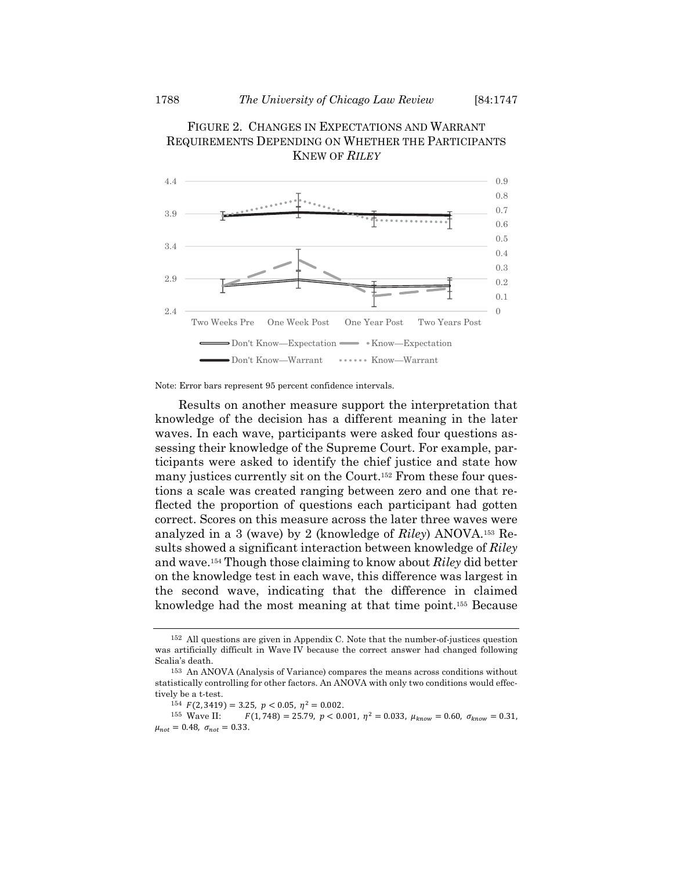



Results on another measure support the interpretation that knowledge of the decision has a different meaning in the later waves. In each wave, participants were asked four questions assessing their knowledge of the Supreme Court. For example, participants were asked to identify the chief justice and state how many justices currently sit on the Court.<sup>152</sup> From these four questions a scale was created ranging between zero and one that reflected the proportion of questions each participant had gotten correct. Scores on this measure across the later three waves were analyzed in a 3 (wave) by 2 (knowledge of *Riley*) ANOVA.153 Results showed a significant interaction between knowledge of *Riley* and wave.154 Though those claiming to know about *Riley* did better on the knowledge test in each wave, this difference was largest in the second wave, indicating that the difference in claimed knowledge had the most meaning at that time point.155 Because

Note: Error bars represent 95 percent confidence intervals.

<sup>152</sup> All questions are given in Appendix C. Note that the number-of-justices question was artificially difficult in Wave IV because the correct answer had changed following Scalia's death.

<sup>153</sup> An ANOVA (Analysis of Variance) compares the means across conditions without statistically controlling for other factors. An ANOVA with only two conditions would effectively be a t-test.

<sup>154</sup>  $F(2, 3419) = 3.25, p < 0.05, \eta^2 = 0.002.$ <br>155 Wave II:  $F(1, 748) = 25.79, p < 0.02$  $F(1, 748) = 25.79$ ,  $p < 0.001$ ,  $\eta^2 = 0.033$ ,  $\mu_{know} = 0.60$ ,  $\sigma_{know} = 0.31$ ,  $\mu_{not} = 0.48, \sigma_{not} = 0.33.$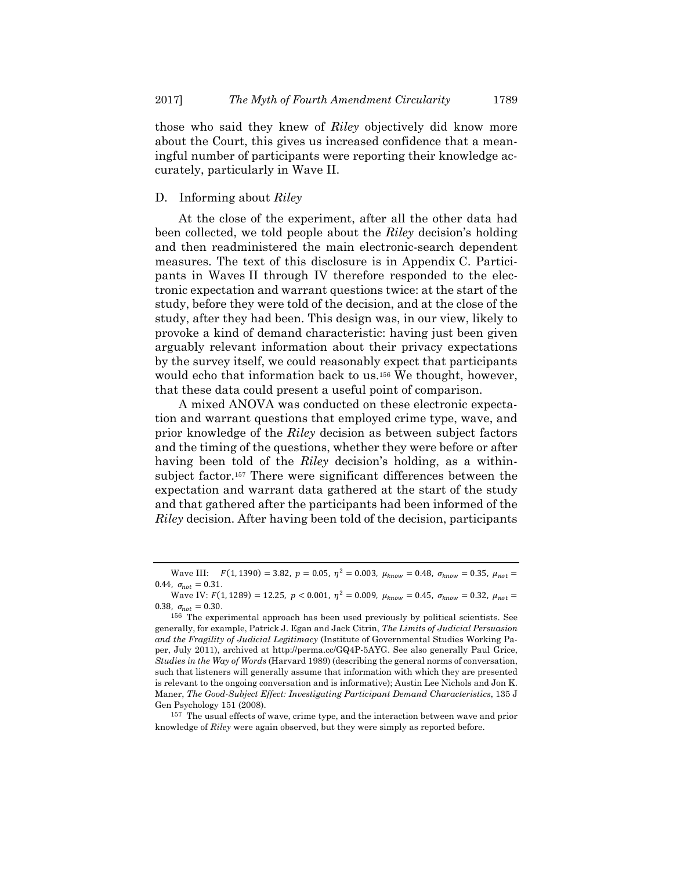those who said they knew of *Riley* objectively did know more about the Court, this gives us increased confidence that a meaningful number of participants were reporting their knowledge accurately, particularly in Wave II.

#### D. Informing about *Riley*

At the close of the experiment, after all the other data had been collected, we told people about the *Riley* decision's holding and then readministered the main electronic-search dependent measures. The text of this disclosure is in Appendix C. Participants in Waves II through IV therefore responded to the electronic expectation and warrant questions twice: at the start of the study, before they were told of the decision, and at the close of the study, after they had been. This design was, in our view, likely to provoke a kind of demand characteristic: having just been given arguably relevant information about their privacy expectations by the survey itself, we could reasonably expect that participants would echo that information back to us.156 We thought, however, that these data could present a useful point of comparison.

A mixed ANOVA was conducted on these electronic expectation and warrant questions that employed crime type, wave, and prior knowledge of the *Riley* decision as between subject factors and the timing of the questions, whether they were before or after having been told of the *Riley* decision's holding, as a withinsubject factor.157 There were significant differences between the expectation and warrant data gathered at the start of the study and that gathered after the participants had been informed of the *Riley* decision. After having been told of the decision, participants

Wave III:  $F(1, 1390) = 3.82$ ,  $p = 0.05$ ,  $\eta^2 = 0.003$ ,  $\mu_{known} = 0.48$ ,  $\sigma_{known} = 0.35$ ,  $\mu_{not} =$ 0.44,  $\sigma_{not} = 0.31$ .

Wave IV:  $F(1, 1289) = 12.25$ ,  $p < 0.001$ ,  $n^2 = 0.009$ ,  $\mu_{\text{tr}, \text{row}} = 0.45$ ,  $\sigma_{\text{tr}, \text{row}} = 0.32$ ,  $\mu_{\text{net}} =$ 0.38,  $\sigma_{\text{not}} = 0.30$ .

<sup>156</sup> The experimental approach has been used previously by political scientists. See generally, for example, Patrick J. Egan and Jack Citrin, *The Limits of Judicial Persuasion and the Fragility of Judicial Legitimacy* (Institute of Governmental Studies Working Paper, July 2011), archived at http://perma.cc/GQ4P-5AYG. See also generally Paul Grice, *Studies in the Way of Words* (Harvard 1989) (describing the general norms of conversation, such that listeners will generally assume that information with which they are presented is relevant to the ongoing conversation and is informative); Austin Lee Nichols and Jon K. Maner, *The Good-Subject Effect: Investigating Participant Demand Characteristics*, 135 J Gen Psychology 151 (2008).

<sup>157</sup> The usual effects of wave, crime type, and the interaction between wave and prior knowledge of *Riley* were again observed, but they were simply as reported before.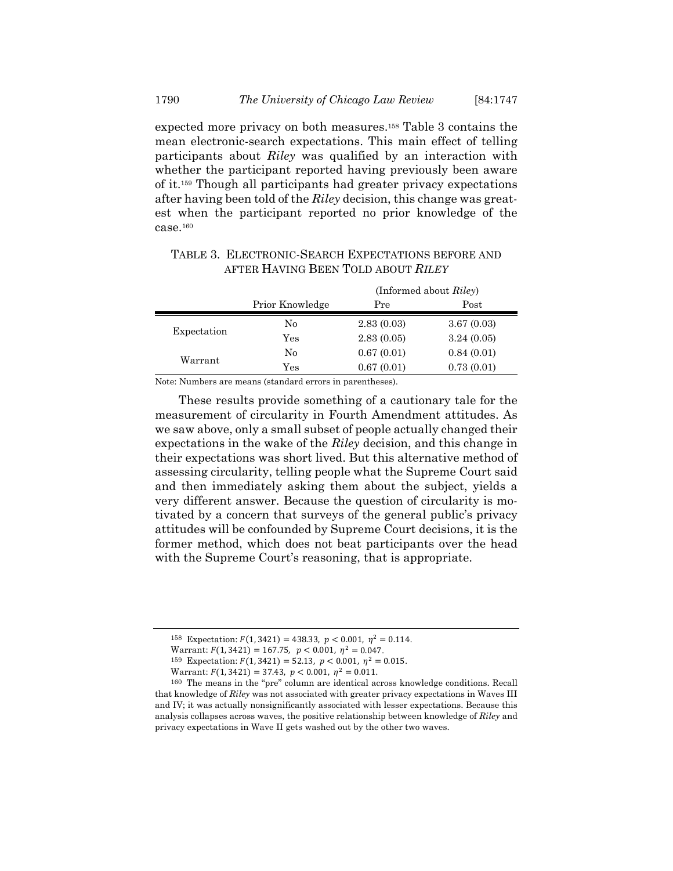expected more privacy on both measures.158 Table 3 contains the mean electronic-search expectations. This main effect of telling participants about *Riley* was qualified by an interaction with whether the participant reported having previously been aware of it.159 Though all participants had greater privacy expectations after having been told of the *Riley* decision, this change was greatest when the participant reported no prior knowledge of the  $case.160$ 

|             | (Informed about Riley) |            |            |  |
|-------------|------------------------|------------|------------|--|
|             | Prior Knowledge        | Pre        | Post       |  |
| Expectation | No                     | 2.83(0.03) | 3.67(0.03) |  |
|             | $\rm Yes$              | 2.83(0.05) | 3.24(0.05) |  |
| Warrant     | No                     | 0.67(0.01) | 0.84(0.01) |  |
|             | Yes                    | 0.67(0.01) | 0.73(0.01) |  |

## TABLE 3. ELECTRONIC-SEARCH EXPECTATIONS BEFORE AND AFTER HAVING BEEN TOLD ABOUT *RILEY*

Note: Numbers are means (standard errors in parentheses).

These results provide something of a cautionary tale for the measurement of circularity in Fourth Amendment attitudes. As we saw above, only a small subset of people actually changed their expectations in the wake of the *Riley* decision, and this change in their expectations was short lived. But this alternative method of assessing circularity, telling people what the Supreme Court said and then immediately asking them about the subject, yields a very different answer. Because the question of circularity is motivated by a concern that surveys of the general public's privacy attitudes will be confounded by Supreme Court decisions, it is the former method, which does not beat participants over the head with the Supreme Court's reasoning, that is appropriate.

<sup>&</sup>lt;sup>158</sup> Expectation:  $F(1, 3421) = 438.33$ ,  $p < 0.001$ ,  $\eta^2 = 0.114$ .

Warrant:  $F(1, 3421) = 167.75$ ,  $p < 0.001$ ,  $\eta^2 = 0.047$ .<br><sup>159</sup> Expectation:  $F(1, 3421) = 52.13$ ,  $p < 0.001$ ,  $\eta^2 = 0.015$ .

Warrant:  $F(1, 3421) = 37.43$ ,  $p < 0.001$ ,  $\eta^2 = 0.011$ .

<sup>160</sup> The means in the "pre" column are identical across knowledge conditions. Recall that knowledge of *Riley* was not associated with greater privacy expectations in Waves III and IV; it was actually nonsignificantly associated with lesser expectations. Because this analysis collapses across waves, the positive relationship between knowledge of *Riley* and privacy expectations in Wave II gets washed out by the other two waves.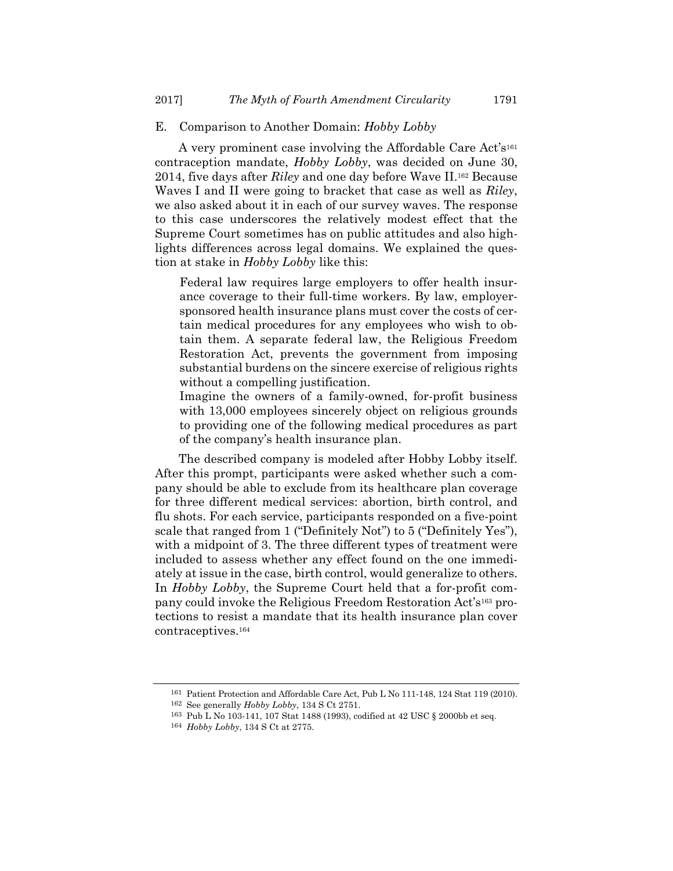#### E. Comparison to Another Domain: *Hobby Lobby*

A very prominent case involving the Affordable Care Act's<sup>161</sup> contraception mandate, *Hobby Lobby*, was decided on June 30, 2014, five days after *Riley* and one day before Wave II.162 Because Waves I and II were going to bracket that case as well as *Riley*, we also asked about it in each of our survey waves. The response to this case underscores the relatively modest effect that the Supreme Court sometimes has on public attitudes and also highlights differences across legal domains. We explained the question at stake in *Hobby Lobby* like this:

Federal law requires large employers to offer health insurance coverage to their full-time workers. By law, employersponsored health insurance plans must cover the costs of certain medical procedures for any employees who wish to obtain them. A separate federal law, the Religious Freedom Restoration Act, prevents the government from imposing substantial burdens on the sincere exercise of religious rights without a compelling justification.

Imagine the owners of a family-owned, for-profit business with 13,000 employees sincerely object on religious grounds to providing one of the following medical procedures as part of the company's health insurance plan.

The described company is modeled after Hobby Lobby itself. After this prompt, participants were asked whether such a company should be able to exclude from its healthcare plan coverage for three different medical services: abortion, birth control, and flu shots. For each service, participants responded on a five-point scale that ranged from 1 ("Definitely Not") to 5 ("Definitely Yes"), with a midpoint of 3. The three different types of treatment were included to assess whether any effect found on the one immediately at issue in the case, birth control, would generalize to others. In *Hobby Lobby*, the Supreme Court held that a for-profit company could invoke the Religious Freedom Restoration Act's163 protections to resist a mandate that its health insurance plan cover contraceptives.164

<sup>161</sup> Patient Protection and Affordable Care Act, Pub L No 111-148, 124 Stat 119 (2010).

<sup>162</sup> See generally *Hobby Lobby*, 134 S Ct 2751.

<sup>163</sup> Pub L No 103-141, 107 Stat 1488 (1993), codified at 42 USC § 2000bb et seq. 164 *Hobby Lobby*, 134 S Ct at 2775.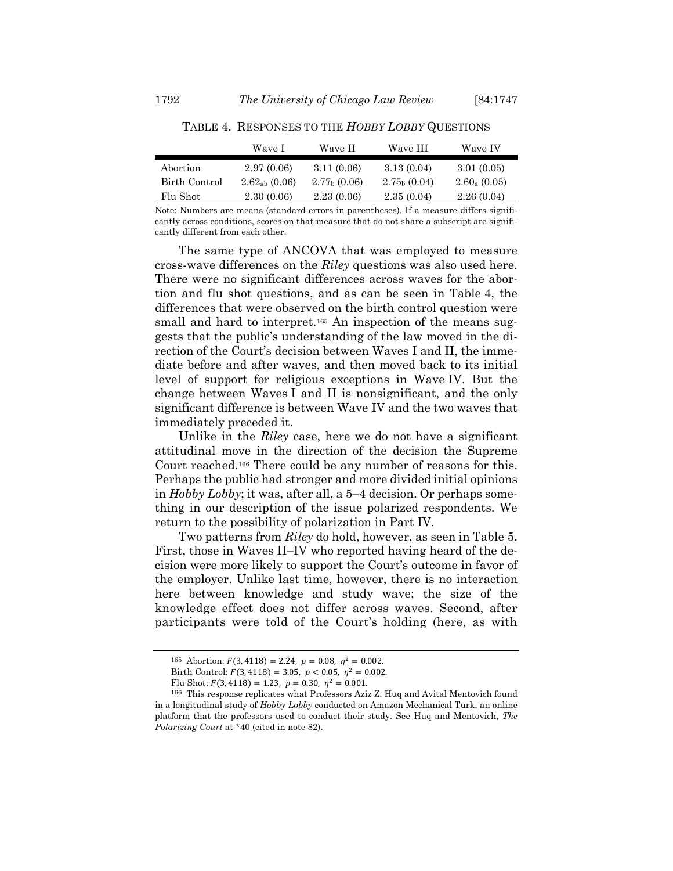| Wave I             | Wave II        | Wave III       | Wave IV        |
|--------------------|----------------|----------------|----------------|
| 2.97(0.06)         | 3.11(0.06)     | 3.13(0.04)     | 3.01(0.05)     |
| $2.62_{ab}$ (0.06) | $2.77b$ (0.06) | $2.75b$ (0.04) | $2.60_a(0.05)$ |
| 2.30(0.06)         | 2.23(0.06)     | 2.35(0.04)     | 2.26(0.04)     |
|                    |                |                |                |

TABLE 4. RESPONSES TO THE *HOBBY LOBBY* QUESTIONS

Note: Numbers are means (standard errors in parentheses). If a measure differs significantly across conditions, scores on that measure that do not share a subscript are significantly different from each other.

The same type of ANCOVA that was employed to measure cross-wave differences on the *Riley* questions was also used here. There were no significant differences across waves for the abortion and flu shot questions, and as can be seen in Table 4, the differences that were observed on the birth control question were small and hard to interpret.<sup>165</sup> An inspection of the means suggests that the public's understanding of the law moved in the direction of the Court's decision between Waves I and II, the immediate before and after waves, and then moved back to its initial level of support for religious exceptions in Wave IV. But the change between Waves I and II is nonsignificant, and the only significant difference is between Wave IV and the two waves that immediately preceded it.

Unlike in the *Riley* case, here we do not have a significant attitudinal move in the direction of the decision the Supreme Court reached.166 There could be any number of reasons for this. Perhaps the public had stronger and more divided initial opinions in *Hobby Lobby*; it was, after all, a 5–4 decision. Or perhaps something in our description of the issue polarized respondents. We return to the possibility of polarization in Part IV.

Two patterns from *Riley* do hold, however, as seen in Table 5. First, those in Waves II–IV who reported having heard of the decision were more likely to support the Court's outcome in favor of the employer. Unlike last time, however, there is no interaction here between knowledge and study wave; the size of the knowledge effect does not differ across waves. Second, after participants were told of the Court's holding (here, as with

 $165$  Abortion:  $F(3, 4118) = 2.24$ ,  $p = 0.08$ ,  $n^2 = 0.002$ .

Birth Control:  $F(3, 4118) = 3.05$ ,  $p < 0.05$ ,  $\eta^2 = 0.002$ .

Flu Shot:  $F(3, 4118) = 1.23$ ,  $p = 0.30$ ,  $\eta^2 = 0.001$ .

<sup>166</sup> This response replicates what Professors Aziz Z. Huq and Avital Mentovich found in a longitudinal study of *Hobby Lobby* conducted on Amazon Mechanical Turk, an online platform that the professors used to conduct their study. See Huq and Mentovich, *The Polarizing Court* at \*40 (cited in note 82).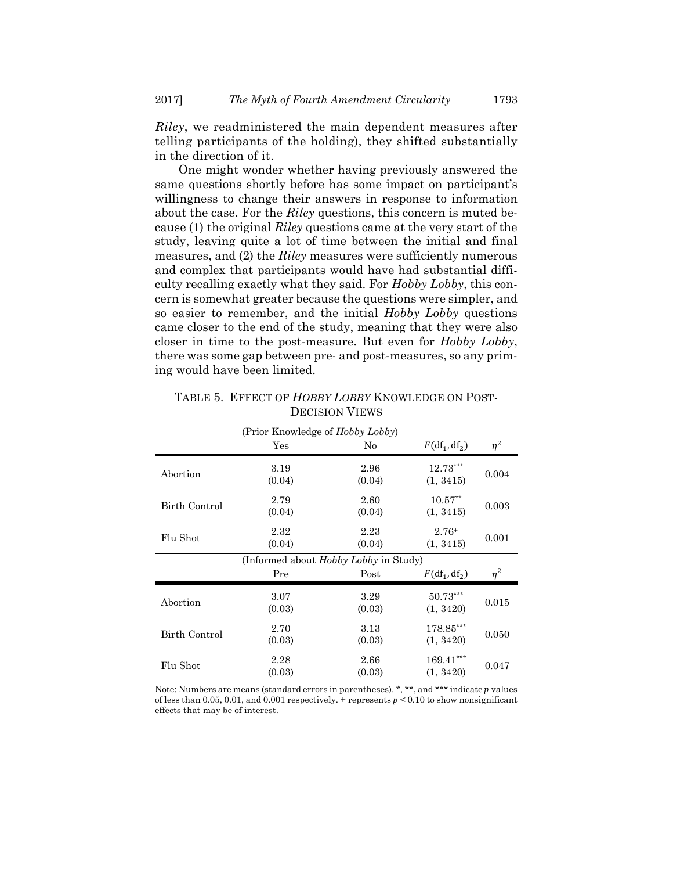*Riley*, we readministered the main dependent measures after telling participants of the holding), they shifted substantially in the direction of it.

One might wonder whether having previously answered the same questions shortly before has some impact on participant's willingness to change their answers in response to information about the case. For the *Riley* questions, this concern is muted because (1) the original *Riley* questions came at the very start of the study, leaving quite a lot of time between the initial and final measures, and (2) the *Riley* measures were sufficiently numerous and complex that participants would have had substantial difficulty recalling exactly what they said. For *Hobby Lobby*, this concern is somewhat greater because the questions were simpler, and so easier to remember, and the initial *Hobby Lobby* questions came closer to the end of the study, meaning that they were also closer in time to the post-measure. But even for *Hobby Lobby*, there was some gap between pre- and post-measures, so any priming would have been limited.

## TABLE 5. EFFECT OF *HOBBY LOBBY* KNOWLEDGE ON POST-DECISION VIEWS

| (Prior Knowledge of Hobby Lobby) |                                              |                |                          |          |  |
|----------------------------------|----------------------------------------------|----------------|--------------------------|----------|--|
|                                  | Yes                                          | No             | $F(df_1, df_2)$          | $\eta^2$ |  |
| Abortion                         | 3.19<br>(0.04)                               | 2.96<br>(0.04) | $12.73***$<br>(1, 3415)  | 0.004    |  |
| Birth Control                    | 2.79<br>(0.04)                               | 2.60<br>(0.04) | $10.57**$<br>(1, 3415)   | 0.003    |  |
| Flu Shot                         | 2.32<br>(0.04)                               | 2.23<br>(0.04) | $2.76+$<br>(1, 3415)     | 0.001    |  |
|                                  | (Informed about <i>Hobby Lobby</i> in Study) |                |                          |          |  |
|                                  | Pre                                          | Post           | $F(df_1, df_2)$          | $\eta^2$ |  |
| Abortion                         | 3.07<br>(0.03)                               | 3.29<br>(0.03) | 50.73***<br>(1, 3420)    | 0.015    |  |
| Birth Control                    | 2.70<br>(0.03)                               | 3.13<br>(0.03) | $178.85***$<br>(1, 3420) | 0.050    |  |
| Flu Shot                         | 2.28<br>(0.03)                               | 2.66<br>(0.03) | $169.41***$<br>(1, 3420) | 0.047    |  |

Note: Numbers are means (standard errors in parentheses). \*, \*\*, and \*\*\* indicate  $p$  values of less than 0.05, 0.01, and 0.001 respectively. + represents  $p < 0.10$  to show nonsignificant effects that may be of interest.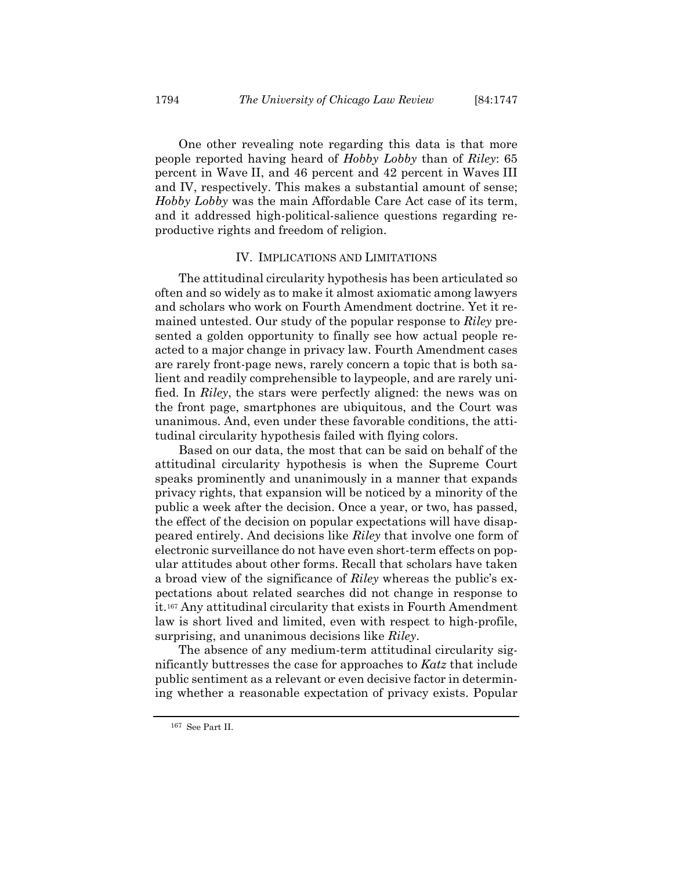One other revealing note regarding this data is that more people reported having heard of *Hobby Lobby* than of *Riley*: 65 percent in Wave II, and 46 percent and 42 percent in Waves III and IV, respectively. This makes a substantial amount of sense; *Hobby Lobby* was the main Affordable Care Act case of its term, and it addressed high-political-salience questions regarding reproductive rights and freedom of religion.

#### IV. IMPLICATIONS AND LIMITATIONS

The attitudinal circularity hypothesis has been articulated so often and so widely as to make it almost axiomatic among lawyers and scholars who work on Fourth Amendment doctrine. Yet it remained untested. Our study of the popular response to *Riley* presented a golden opportunity to finally see how actual people reacted to a major change in privacy law. Fourth Amendment cases are rarely front-page news, rarely concern a topic that is both salient and readily comprehensible to laypeople, and are rarely unified. In *Riley*, the stars were perfectly aligned: the news was on the front page, smartphones are ubiquitous, and the Court was unanimous. And, even under these favorable conditions, the attitudinal circularity hypothesis failed with flying colors.

Based on our data, the most that can be said on behalf of the attitudinal circularity hypothesis is when the Supreme Court speaks prominently and unanimously in a manner that expands privacy rights, that expansion will be noticed by a minority of the public a week after the decision. Once a year, or two, has passed, the effect of the decision on popular expectations will have disappeared entirely. And decisions like *Riley* that involve one form of electronic surveillance do not have even short-term effects on popular attitudes about other forms. Recall that scholars have taken a broad view of the significance of *Riley* whereas the public's expectations about related searches did not change in response to it.167 Any attitudinal circularity that exists in Fourth Amendment law is short lived and limited, even with respect to high-profile, surprising, and unanimous decisions like *Riley*.

The absence of any medium-term attitudinal circularity significantly buttresses the case for approaches to *Katz* that include public sentiment as a relevant or even decisive factor in determining whether a reasonable expectation of privacy exists. Popular

<sup>167</sup> See Part II.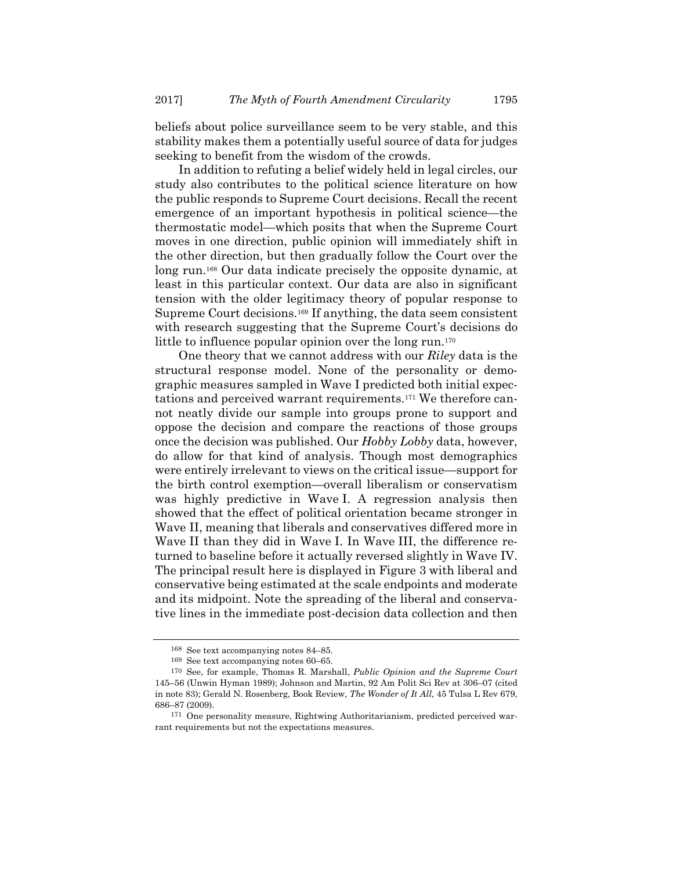beliefs about police surveillance seem to be very stable, and this stability makes them a potentially useful source of data for judges seeking to benefit from the wisdom of the crowds.

In addition to refuting a belief widely held in legal circles, our study also contributes to the political science literature on how the public responds to Supreme Court decisions. Recall the recent emergence of an important hypothesis in political science—the thermostatic model—which posits that when the Supreme Court moves in one direction, public opinion will immediately shift in the other direction, but then gradually follow the Court over the long run.168 Our data indicate precisely the opposite dynamic, at least in this particular context. Our data are also in significant tension with the older legitimacy theory of popular response to Supreme Court decisions.169 If anything, the data seem consistent with research suggesting that the Supreme Court's decisions do little to influence popular opinion over the long run.<sup>170</sup>

One theory that we cannot address with our *Riley* data is the structural response model. None of the personality or demographic measures sampled in Wave I predicted both initial expectations and perceived warrant requirements.171 We therefore cannot neatly divide our sample into groups prone to support and oppose the decision and compare the reactions of those groups once the decision was published. Our *Hobby Lobby* data, however, do allow for that kind of analysis. Though most demographics were entirely irrelevant to views on the critical issue—support for the birth control exemption—overall liberalism or conservatism was highly predictive in Wave I. A regression analysis then showed that the effect of political orientation became stronger in Wave II, meaning that liberals and conservatives differed more in Wave II than they did in Wave I. In Wave III, the difference returned to baseline before it actually reversed slightly in Wave IV. The principal result here is displayed in Figure 3 with liberal and conservative being estimated at the scale endpoints and moderate and its midpoint. Note the spreading of the liberal and conservative lines in the immediate post-decision data collection and then

<sup>168</sup> See text accompanying notes 84–85. 169 See text accompanying notes 60–65.

<sup>170</sup> See, for example, Thomas R. Marshall, *Public Opinion and the Supreme Court* 145–56 (Unwin Hyman 1989); Johnson and Martin, 92 Am Polit Sci Rev at 306–07 (cited in note 83); Gerald N. Rosenberg, Book Review, *The Wonder of It All*, 45 Tulsa L Rev 679, 686–87 (2009).

<sup>171</sup> One personality measure, Rightwing Authoritarianism, predicted perceived warrant requirements but not the expectations measures.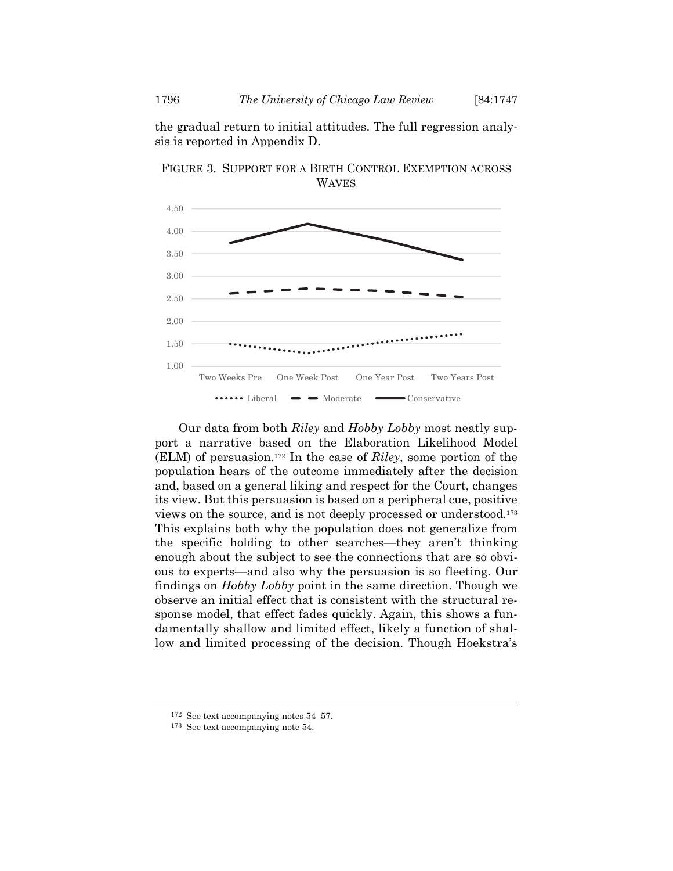the gradual return to initial attitudes. The full regression analysis is reported in Appendix D.



FIGURE 3. SUPPORT FOR A BIRTH CONTROL EXEMPTION ACROSS WAVES

Our data from both *Riley* and *Hobby Lobby* most neatly support a narrative based on the Elaboration Likelihood Model (ELM) of persuasion.172 In the case of *Riley*, some portion of the population hears of the outcome immediately after the decision and, based on a general liking and respect for the Court, changes its view. But this persuasion is based on a peripheral cue, positive views on the source, and is not deeply processed or understood.173 This explains both why the population does not generalize from the specific holding to other searches—they aren't thinking enough about the subject to see the connections that are so obvious to experts—and also why the persuasion is so fleeting. Our findings on *Hobby Lobby* point in the same direction. Though we observe an initial effect that is consistent with the structural response model, that effect fades quickly. Again, this shows a fundamentally shallow and limited effect, likely a function of shallow and limited processing of the decision. Though Hoekstra's

<sup>172</sup> See text accompanying notes 54–57. 173 See text accompanying note 54.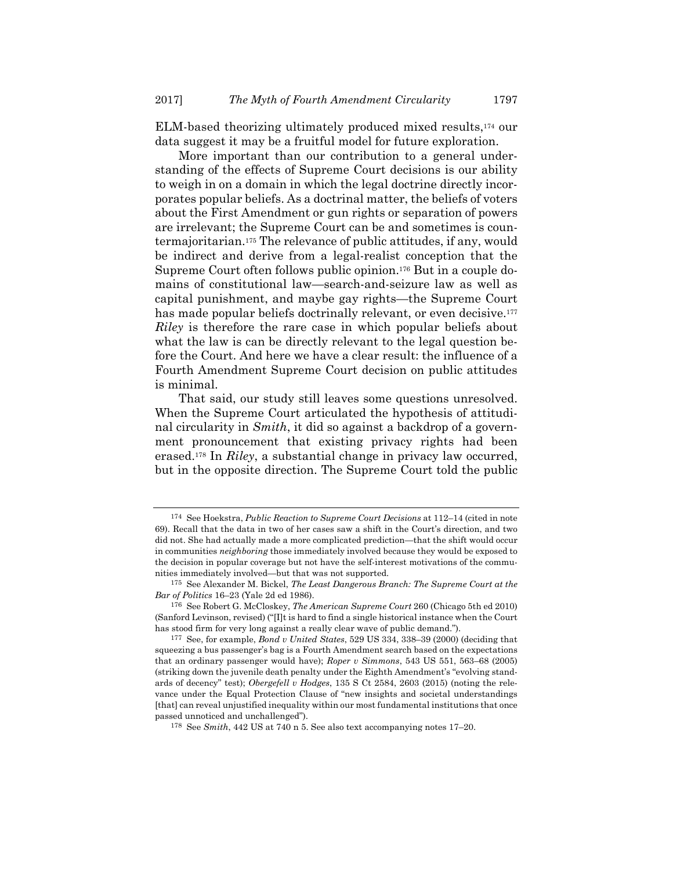ELM-based theorizing ultimately produced mixed results,174 our data suggest it may be a fruitful model for future exploration.

More important than our contribution to a general understanding of the effects of Supreme Court decisions is our ability to weigh in on a domain in which the legal doctrine directly incorporates popular beliefs. As a doctrinal matter, the beliefs of voters about the First Amendment or gun rights or separation of powers are irrelevant; the Supreme Court can be and sometimes is countermajoritarian.175 The relevance of public attitudes, if any, would be indirect and derive from a legal-realist conception that the Supreme Court often follows public opinion.176 But in a couple domains of constitutional law—search-and-seizure law as well as capital punishment, and maybe gay rights—the Supreme Court has made popular beliefs doctrinally relevant, or even decisive.<sup>177</sup> *Riley* is therefore the rare case in which popular beliefs about what the law is can be directly relevant to the legal question before the Court. And here we have a clear result: the influence of a Fourth Amendment Supreme Court decision on public attitudes is minimal.

That said, our study still leaves some questions unresolved. When the Supreme Court articulated the hypothesis of attitudinal circularity in *Smith*, it did so against a backdrop of a government pronouncement that existing privacy rights had been erased.178 In *Riley*, a substantial change in privacy law occurred, but in the opposite direction. The Supreme Court told the public

<sup>174</sup> See Hoekstra, *Public Reaction to Supreme Court Decisions* at 112–14 (cited in note 69). Recall that the data in two of her cases saw a shift in the Court's direction, and two did not. She had actually made a more complicated prediction—that the shift would occur in communities *neighboring* those immediately involved because they would be exposed to the decision in popular coverage but not have the self-interest motivations of the communities immediately involved—but that was not supported.

<sup>175</sup> See Alexander M. Bickel, *The Least Dangerous Branch: The Supreme Court at the Bar of Politics* 16–23 (Yale 2d ed 1986).

<sup>176</sup> See Robert G. McCloskey, *The American Supreme Court* 260 (Chicago 5th ed 2010) (Sanford Levinson, revised) ("[I]t is hard to find a single historical instance when the Court has stood firm for very long against a really clear wave of public demand.").

<sup>177</sup> See, for example, *Bond v United States*, 529 US 334, 338–39 (2000) (deciding that squeezing a bus passenger's bag is a Fourth Amendment search based on the expectations that an ordinary passenger would have); *Roper v Simmons*, 543 US 551, 563–68 (2005) (striking down the juvenile death penalty under the Eighth Amendment's "evolving standards of decency" test); *Obergefell v Hodges*, 135 S Ct 2584, 2603 (2015) (noting the relevance under the Equal Protection Clause of "new insights and societal understandings [that] can reveal unjustified inequality within our most fundamental institutions that once passed unnoticed and unchallenged").

<sup>178</sup> See *Smith*, 442 US at 740 n 5. See also text accompanying notes 17–20.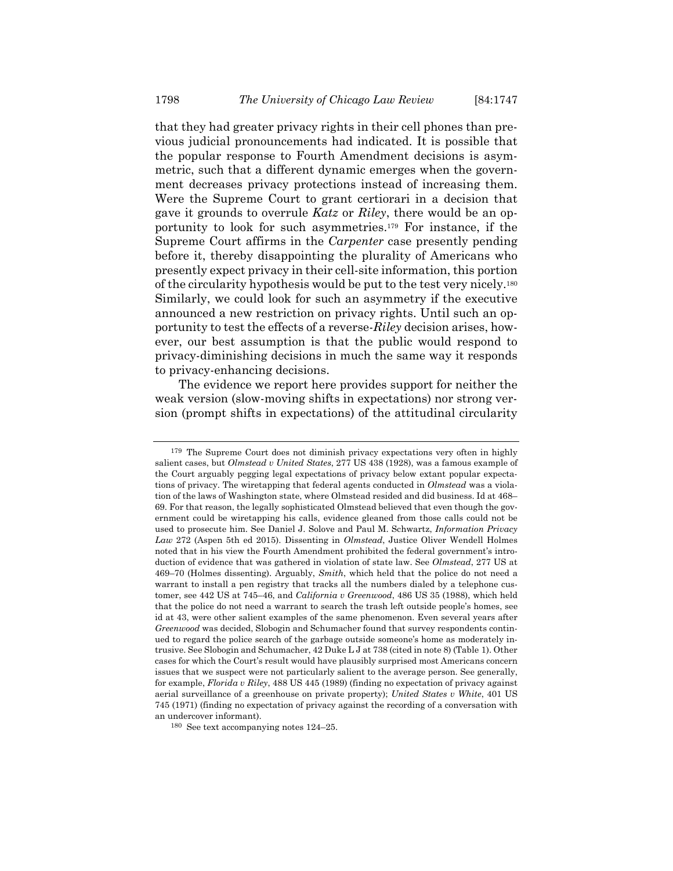that they had greater privacy rights in their cell phones than previous judicial pronouncements had indicated. It is possible that the popular response to Fourth Amendment decisions is asymmetric, such that a different dynamic emerges when the government decreases privacy protections instead of increasing them. Were the Supreme Court to grant certiorari in a decision that gave it grounds to overrule *Katz* or *Riley*, there would be an opportunity to look for such asymmetries.179 For instance, if the Supreme Court affirms in the *Carpenter* case presently pending before it, thereby disappointing the plurality of Americans who presently expect privacy in their cell-site information, this portion of the circularity hypothesis would be put to the test very nicely.180 Similarly, we could look for such an asymmetry if the executive announced a new restriction on privacy rights. Until such an opportunity to test the effects of a reverse-*Riley* decision arises, however, our best assumption is that the public would respond to privacy-diminishing decisions in much the same way it responds to privacy-enhancing decisions.

The evidence we report here provides support for neither the weak version (slow-moving shifts in expectations) nor strong version (prompt shifts in expectations) of the attitudinal circularity

<sup>179</sup> The Supreme Court does not diminish privacy expectations very often in highly salient cases, but *Olmstead v United States*, 277 US 438 (1928), was a famous example of the Court arguably pegging legal expectations of privacy below extant popular expectations of privacy. The wiretapping that federal agents conducted in *Olmstead* was a violation of the laws of Washington state, where Olmstead resided and did business. Id at 468– 69. For that reason, the legally sophisticated Olmstead believed that even though the government could be wiretapping his calls, evidence gleaned from those calls could not be used to prosecute him. See Daniel J. Solove and Paul M. Schwartz, *Information Privacy Law* 272 (Aspen 5th ed 2015). Dissenting in *Olmstead*, Justice Oliver Wendell Holmes noted that in his view the Fourth Amendment prohibited the federal government's introduction of evidence that was gathered in violation of state law. See *Olmstead*, 277 US at 469–70 (Holmes dissenting). Arguably, *Smith*, which held that the police do not need a warrant to install a pen registry that tracks all the numbers dialed by a telephone customer, see 442 US at 745–46, and *California v Greenwood*, 486 US 35 (1988), which held that the police do not need a warrant to search the trash left outside people's homes, see id at 43, were other salient examples of the same phenomenon. Even several years after *Greenwood* was decided, Slobogin and Schumacher found that survey respondents continued to regard the police search of the garbage outside someone's home as moderately intrusive. See Slobogin and Schumacher, 42 Duke L J at 738 (cited in note 8) (Table 1). Other cases for which the Court's result would have plausibly surprised most Americans concern issues that we suspect were not particularly salient to the average person. See generally, for example, *Florida v Riley*, 488 US 445 (1989) (finding no expectation of privacy against aerial surveillance of a greenhouse on private property); *United States v White*, 401 US 745 (1971) (finding no expectation of privacy against the recording of a conversation with an undercover informant).

<sup>180</sup> See text accompanying notes 124–25.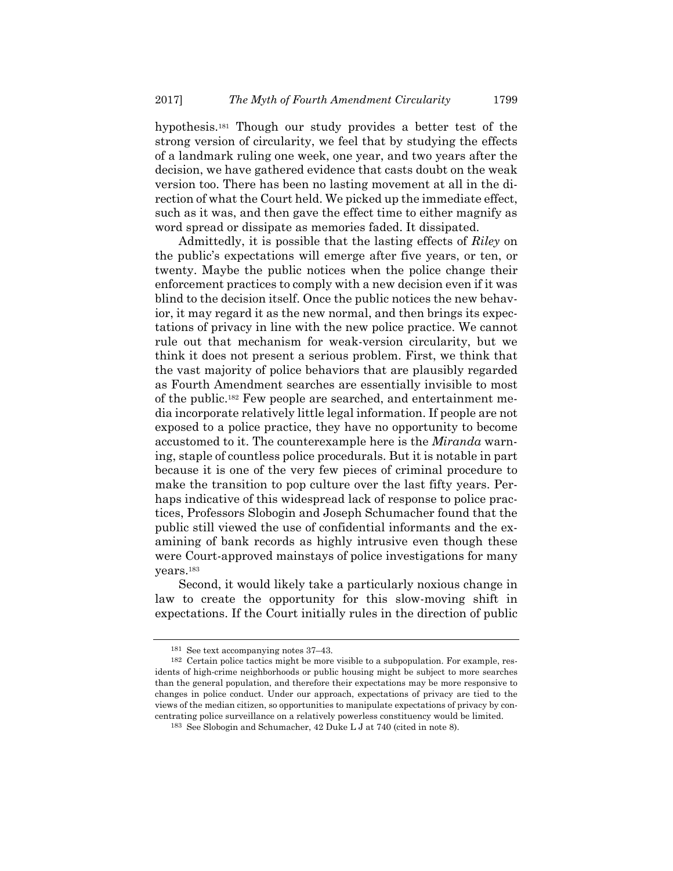hypothesis.181 Though our study provides a better test of the strong version of circularity, we feel that by studying the effects of a landmark ruling one week, one year, and two years after the decision, we have gathered evidence that casts doubt on the weak version too. There has been no lasting movement at all in the direction of what the Court held. We picked up the immediate effect, such as it was, and then gave the effect time to either magnify as word spread or dissipate as memories faded. It dissipated.

Admittedly, it is possible that the lasting effects of *Riley* on the public's expectations will emerge after five years, or ten, or twenty. Maybe the public notices when the police change their enforcement practices to comply with a new decision even if it was blind to the decision itself. Once the public notices the new behavior, it may regard it as the new normal, and then brings its expectations of privacy in line with the new police practice. We cannot rule out that mechanism for weak-version circularity, but we think it does not present a serious problem. First, we think that the vast majority of police behaviors that are plausibly regarded as Fourth Amendment searches are essentially invisible to most of the public.182 Few people are searched, and entertainment media incorporate relatively little legal information. If people are not exposed to a police practice, they have no opportunity to become accustomed to it. The counterexample here is the *Miranda* warning, staple of countless police procedurals. But it is notable in part because it is one of the very few pieces of criminal procedure to make the transition to pop culture over the last fifty years. Perhaps indicative of this widespread lack of response to police practices, Professors Slobogin and Joseph Schumacher found that the public still viewed the use of confidential informants and the examining of bank records as highly intrusive even though these were Court-approved mainstays of police investigations for many years.183

Second, it would likely take a particularly noxious change in law to create the opportunity for this slow-moving shift in expectations. If the Court initially rules in the direction of public

<sup>&</sup>lt;sup>181</sup> See text accompanying notes  $37-43$ .<br><sup>182</sup> Certain police tactics might be more visible to a subpopulation. For example, residents of high-crime neighborhoods or public housing might be subject to more searches than the general population, and therefore their expectations may be more responsive to changes in police conduct. Under our approach, expectations of privacy are tied to the views of the median citizen, so opportunities to manipulate expectations of privacy by concentrating police surveillance on a relatively powerless constituency would be limited.

<sup>183</sup> See Slobogin and Schumacher, 42 Duke L J at 740 (cited in note 8).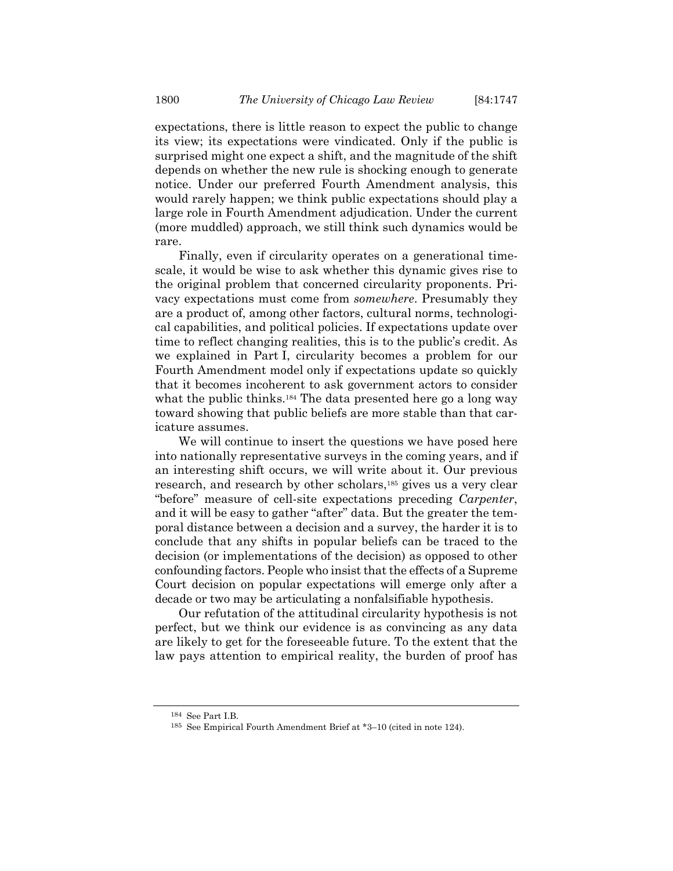expectations, there is little reason to expect the public to change its view; its expectations were vindicated. Only if the public is surprised might one expect a shift, and the magnitude of the shift depends on whether the new rule is shocking enough to generate notice. Under our preferred Fourth Amendment analysis, this would rarely happen; we think public expectations should play a large role in Fourth Amendment adjudication. Under the current (more muddled) approach, we still think such dynamics would be rare.

Finally, even if circularity operates on a generational timescale, it would be wise to ask whether this dynamic gives rise to the original problem that concerned circularity proponents. Privacy expectations must come from *somewhere*. Presumably they are a product of, among other factors, cultural norms, technological capabilities, and political policies. If expectations update over time to reflect changing realities, this is to the public's credit. As we explained in Part I, circularity becomes a problem for our Fourth Amendment model only if expectations update so quickly that it becomes incoherent to ask government actors to consider what the public thinks.<sup>184</sup> The data presented here go a long way toward showing that public beliefs are more stable than that caricature assumes.

We will continue to insert the questions we have posed here into nationally representative surveys in the coming years, and if an interesting shift occurs, we will write about it. Our previous research, and research by other scholars,185 gives us a very clear "before" measure of cell-site expectations preceding *Carpenter*, and it will be easy to gather "after" data. But the greater the temporal distance between a decision and a survey, the harder it is to conclude that any shifts in popular beliefs can be traced to the decision (or implementations of the decision) as opposed to other confounding factors. People who insist that the effects of a Supreme Court decision on popular expectations will emerge only after a decade or two may be articulating a nonfalsifiable hypothesis.

Our refutation of the attitudinal circularity hypothesis is not perfect, but we think our evidence is as convincing as any data are likely to get for the foreseeable future. To the extent that the law pays attention to empirical reality, the burden of proof has

<sup>&</sup>lt;sup>184</sup> See Part I.B.<br><sup>185</sup> See Empirical Fourth Amendment Brief at \*3–10 (cited in note 124).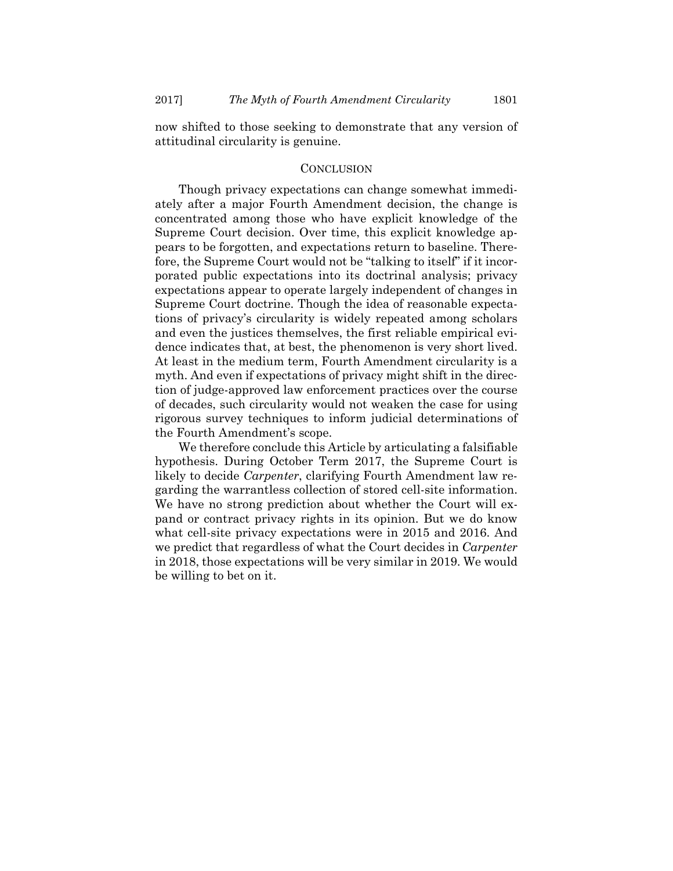now shifted to those seeking to demonstrate that any version of attitudinal circularity is genuine.

#### **CONCLUSION**

Though privacy expectations can change somewhat immediately after a major Fourth Amendment decision, the change is concentrated among those who have explicit knowledge of the Supreme Court decision. Over time, this explicit knowledge appears to be forgotten, and expectations return to baseline. Therefore, the Supreme Court would not be "talking to itself" if it incorporated public expectations into its doctrinal analysis; privacy expectations appear to operate largely independent of changes in Supreme Court doctrine. Though the idea of reasonable expectations of privacy's circularity is widely repeated among scholars and even the justices themselves, the first reliable empirical evidence indicates that, at best, the phenomenon is very short lived. At least in the medium term, Fourth Amendment circularity is a myth. And even if expectations of privacy might shift in the direction of judge-approved law enforcement practices over the course of decades, such circularity would not weaken the case for using rigorous survey techniques to inform judicial determinations of the Fourth Amendment's scope.

We therefore conclude this Article by articulating a falsifiable hypothesis. During October Term 2017, the Supreme Court is likely to decide *Carpenter*, clarifying Fourth Amendment law regarding the warrantless collection of stored cell-site information. We have no strong prediction about whether the Court will expand or contract privacy rights in its opinion. But we do know what cell-site privacy expectations were in 2015 and 2016. And we predict that regardless of what the Court decides in *Carpenter*  in 2018, those expectations will be very similar in 2019. We would be willing to bet on it.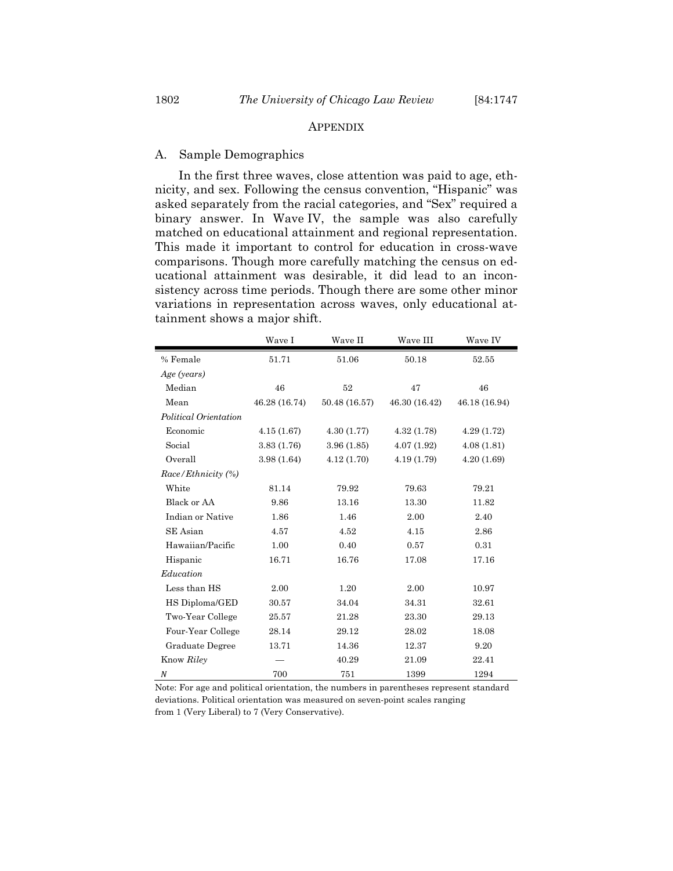#### APPENDIX

#### A. Sample Demographics

In the first three waves, close attention was paid to age, ethnicity, and sex. Following the census convention, "Hispanic" was asked separately from the racial categories, and "Sex" required a binary answer. In Wave IV, the sample was also carefully matched on educational attainment and regional representation. This made it important to control for education in cross-wave comparisons. Though more carefully matching the census on educational attainment was desirable, it did lead to an inconsistency across time periods. Though there are some other minor variations in representation across waves, only educational attainment shows a major shift.

|                       | Wave I        | Wave II       | Wave III      | Wave IV       |
|-----------------------|---------------|---------------|---------------|---------------|
| % Female              | 51.71         | 51.06         | 50.18         | 52.55         |
| Age (years)           |               |               |               |               |
| Median                | 46            | 52            | 47            | 46            |
| Mean                  | 46.28 (16.74) | 50.48 (16.57) | 46.30 (16.42) | 46.18 (16.94) |
| Political Orientation |               |               |               |               |
| Economic              | 4.15(1.67)    | 4.30(1.77)    | 4.32(1.78)    | 4.29(1.72)    |
| Social                | 3.83 (1.76)   | 3.96(1.85)    | 4.07(1.92)    | 4.08(1.81)    |
| Overall               | 3.98(1.64)    | 4.12(1.70)    | 4.19 (1.79)   | 4.20(1.69)    |
| Race/Ethnicity (%)    |               |               |               |               |
| White                 | 81.14         | 79.92         | 79.63         | 79.21         |
| Black or AA           | 9.86          | 13.16         | 13.30         | 11.82         |
| Indian or Native      | 1.86          | 1.46          | 2.00          | 2.40          |
| SE Asian              | 4.57          | 4.52          | 4.15          | 2.86          |
| Hawaiian/Pacific      | 1.00          | 0.40          | 0.57          | 0.31          |
| Hispanic              | 16.71         | 16.76         | 17.08         | 17.16         |
| Education             |               |               |               |               |
| Less than HS          | 2.00          | 1.20          | 2.00          | 10.97         |
| HS Diploma/GED        | 30.57         | 34.04         | 34.31         | 32.61         |
| Two-Year College      | 25.57         | 21.28         | 23.30         | 29.13         |
| Four-Year College     | 28.14         | 29.12         | 28.02         | 18.08         |
| Graduate Degree       | 13.71         | 14.36         | 12.37         | 9.20          |
| Know Riley            |               | 40.29         | 21.09         | 22.41         |
| N                     | 700           | 751           | 1399          | 1294          |

Note: For age and political orientation, the numbers in parentheses represent standard deviations. Political orientation was measured on seven-point scales ranging from 1 (Very Liberal) to 7 (Very Conservative).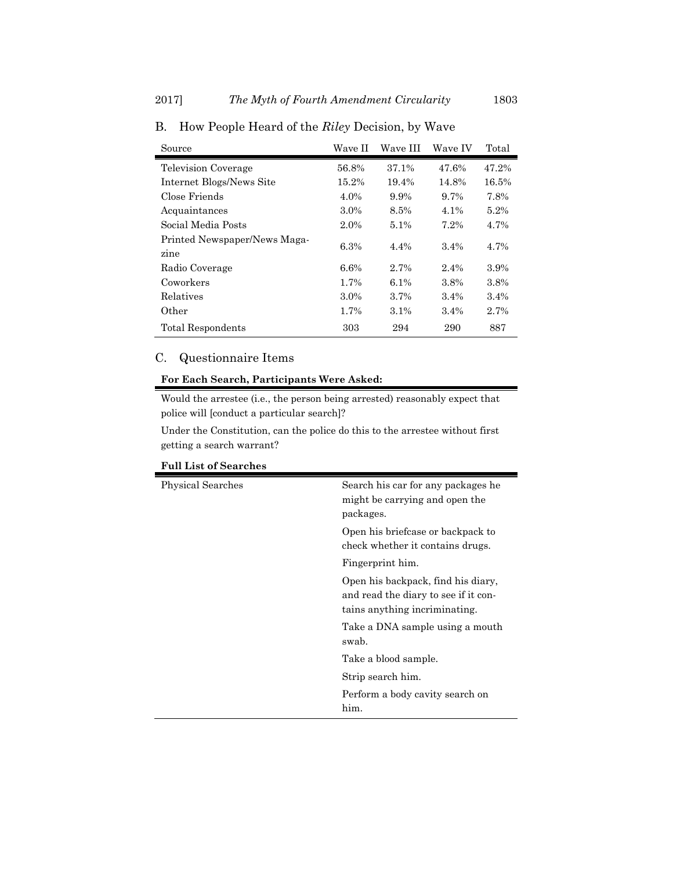| Source                               | Wave II | Wave III | Wave IV | Total |
|--------------------------------------|---------|----------|---------|-------|
| <b>Television Coverage</b>           | 56.8%   | 37.1%    | 47.6%   | 47.2% |
| Internet Blogs/News Site             | 15.2%   | 19.4%    | 14.8%   | 16.5% |
| Close Friends                        | 4.0%    | 9.9%     | $9.7\%$ | 7.8%  |
| Acquaintances                        | 3.0%    | 8.5%     | 4.1%    | 5.2%  |
| Social Media Posts                   | 2.0%    | 5.1%     | 7.2%    | 4.7%  |
| Printed Newspaper/News Maga-<br>zine | 6.3%    | 4.4%     | 3.4%    | 4.7%  |
| Radio Coverage                       | 6.6%    | 2.7%     | 2.4%    | 3.9%  |
| Coworkers                            | 1.7%    | $6.1\%$  | 3.8%    | 3.8%  |
| Relatives                            | 3.0%    | 3.7%     | 3.4%    | 3.4%  |
| Other                                | 1.7%    | 3.1%     | 3.4%    | 2.7%  |
| Total Respondents                    | 303     | 294      | 290     | 887   |

B. How People Heard of the *Riley* Decision, by Wave

## C. Questionnaire Items

### **For Each Search, Participants Were Asked:**

Would the arrestee (i.e., the person being arrested) reasonably expect that police will [conduct a particular search]?

Under the Constitution, can the police do this to the arrestee without first getting a search warrant?

| <b>Physical Searches</b> | Search his car for any packages he<br>might be carrying and open the<br>packages.                           |
|--------------------------|-------------------------------------------------------------------------------------------------------------|
|                          | Open his briefcase or backpack to<br>check whether it contains drugs.                                       |
|                          | Fingerprint him.                                                                                            |
|                          | Open his backpack, find his diary,<br>and read the diary to see if it con-<br>tains anything incriminating. |
|                          | Take a DNA sample using a mouth<br>swab.                                                                    |
|                          | Take a blood sample.                                                                                        |
|                          | Strip search him.                                                                                           |
|                          | Perform a body cavity search on<br>him.                                                                     |

#### **Full List of Searches**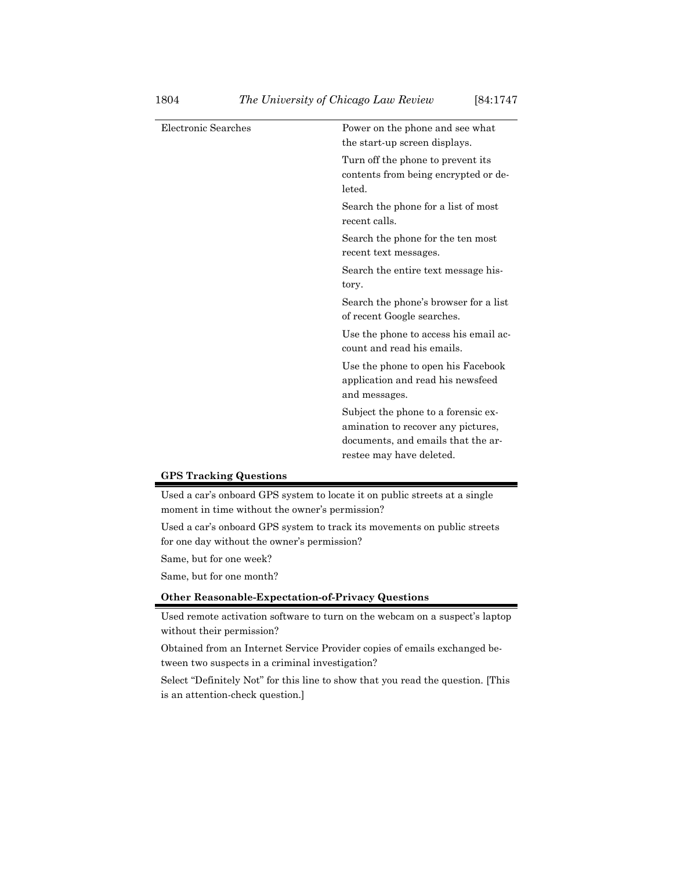| Electronic Searches | Power on the phone and see what<br>the start-up screen displays.                                                                            |
|---------------------|---------------------------------------------------------------------------------------------------------------------------------------------|
|                     | Turn off the phone to prevent its<br>contents from being encrypted or de-<br>leted.                                                         |
|                     | Search the phone for a list of most<br>recent calls.                                                                                        |
|                     | Search the phone for the ten most<br>recent text messages.                                                                                  |
|                     | Search the entire text message his-<br>tory.                                                                                                |
|                     | Search the phone's browser for a list<br>of recent Google searches.                                                                         |
|                     | Use the phone to access his email ac-<br>count and read his emails.                                                                         |
|                     | Use the phone to open his Facebook<br>application and read his newsfeed<br>and messages.                                                    |
|                     | Subject the phone to a forensic ex-<br>amination to recover any pictures,<br>documents, and emails that the ar-<br>restee may have deleted. |
|                     |                                                                                                                                             |

#### **GPS Tracking Questions**

Used a car's onboard GPS system to locate it on public streets at a single moment in time without the owner's permission?

Used a car's onboard GPS system to track its movements on public streets for one day without the owner's permission?

Same, but for one week?

Same, but for one month?

## **Other Reasonable-Expectation-of-Privacy Questions**

Used remote activation software to turn on the webcam on a suspect's laptop without their permission?

Obtained from an Internet Service Provider copies of emails exchanged between two suspects in a criminal investigation?

Select "Definitely Not" for this line to show that you read the question. [This is an attention-check question.]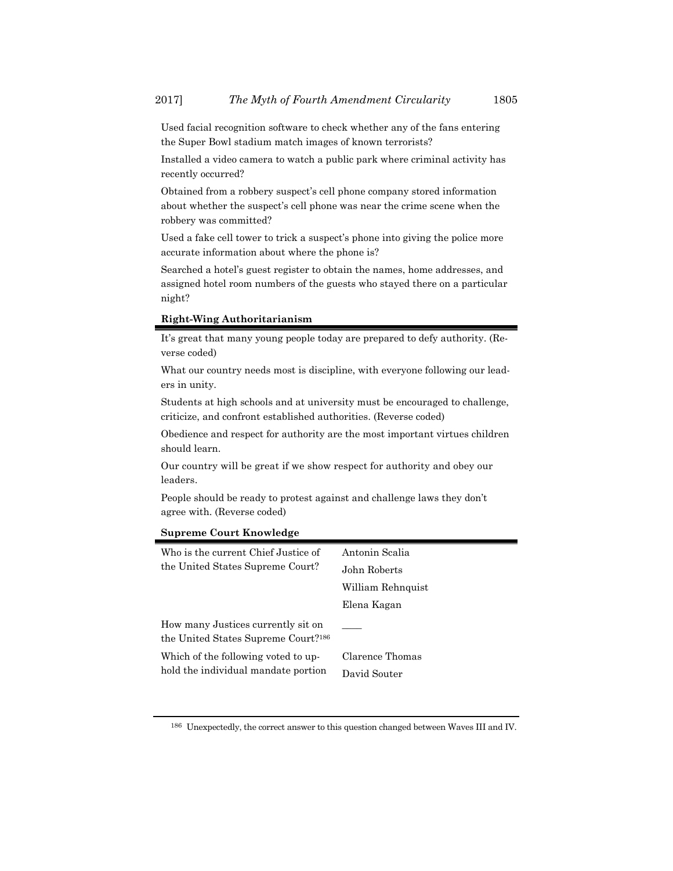Used facial recognition software to check whether any of the fans entering the Super Bowl stadium match images of known terrorists?

Installed a video camera to watch a public park where criminal activity has recently occurred?

Obtained from a robbery suspect's cell phone company stored information about whether the suspect's cell phone was near the crime scene when the robbery was committed?

Used a fake cell tower to trick a suspect's phone into giving the police more accurate information about where the phone is?

Searched a hotel's guest register to obtain the names, home addresses, and assigned hotel room numbers of the guests who stayed there on a particular night?

#### **Right-Wing Authoritarianism**

It's great that many young people today are prepared to defy authority. (Reverse coded)

What our country needs most is discipline, with everyone following our leaders in unity.

Students at high schools and at university must be encouraged to challenge, criticize, and confront established authorities. (Reverse coded)

Obedience and respect for authority are the most important virtues children should learn.

Our country will be great if we show respect for authority and obey our leaders.

People should be ready to protest against and challenge laws they don't agree with. (Reverse coded)

#### **Supreme Court Knowledge**

| Who is the current Chief Justice of                                                   | Antonin Scalia                  |
|---------------------------------------------------------------------------------------|---------------------------------|
| the United States Supreme Court?                                                      | John Roberts                    |
|                                                                                       | William Rehnquist               |
|                                                                                       | Elena Kagan                     |
| How many Justices currently sit on<br>the United States Supreme Court? <sup>186</sup> |                                 |
| Which of the following voted to up-<br>hold the individual mandate portion            | Clarence Thomas<br>David Souter |

186 Unexpectedly, the correct answer to this question changed between Waves III and IV.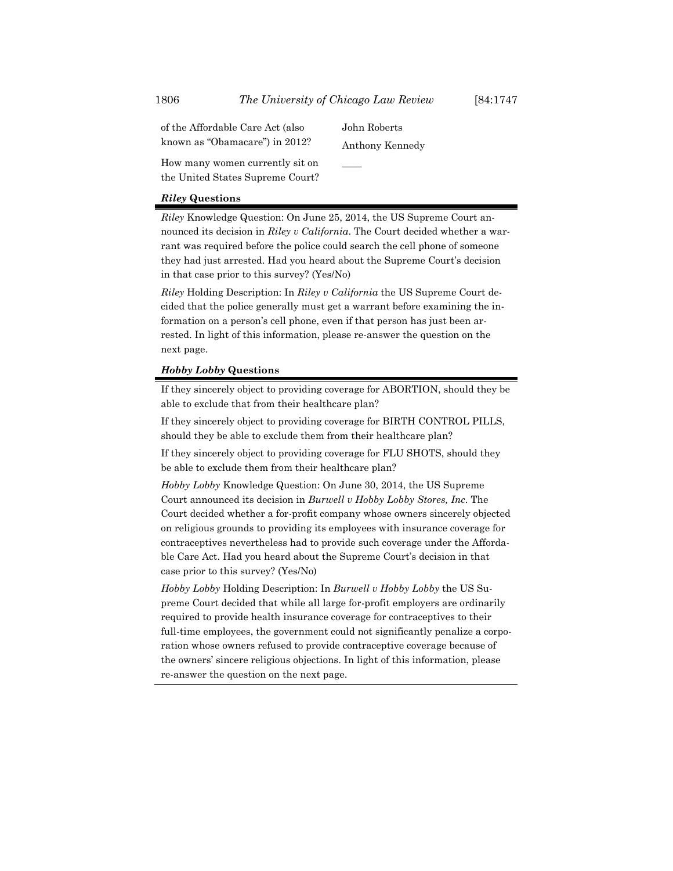of the Affordable Care Act (also known as "Obamacare") in 2012? John Roberts Anthony Kennedy

 $\mathcal{L}$ 

How many women currently sit on the United States Supreme Court?

#### *Riley* **Questions**

*Riley* Knowledge Question: On June 25, 2014, the US Supreme Court announced its decision in *Riley v California*. The Court decided whether a warrant was required before the police could search the cell phone of someone they had just arrested. Had you heard about the Supreme Court's decision in that case prior to this survey? (Yes/No)

*Riley* Holding Description: In *Riley v California* the US Supreme Court decided that the police generally must get a warrant before examining the information on a person's cell phone, even if that person has just been arrested. In light of this information, please re-answer the question on the next page.

#### *Hobby Lobby* **Questions**

If they sincerely object to providing coverage for ABORTION, should they be able to exclude that from their healthcare plan?

If they sincerely object to providing coverage for BIRTH CONTROL PILLS, should they be able to exclude them from their healthcare plan?

If they sincerely object to providing coverage for FLU SHOTS, should they be able to exclude them from their healthcare plan?

*Hobby Lobby* Knowledge Question: On June 30, 2014, the US Supreme Court announced its decision in *Burwell v Hobby Lobby Stores, Inc*. The Court decided whether a for-profit company whose owners sincerely objected on religious grounds to providing its employees with insurance coverage for contraceptives nevertheless had to provide such coverage under the Affordable Care Act. Had you heard about the Supreme Court's decision in that case prior to this survey? (Yes/No)

*Hobby Lobby* Holding Description: In *Burwell v Hobby Lobby* the US Supreme Court decided that while all large for-profit employers are ordinarily required to provide health insurance coverage for contraceptives to their full-time employees, the government could not significantly penalize a corporation whose owners refused to provide contraceptive coverage because of the owners' sincere religious objections. In light of this information, please re-answer the question on the next page.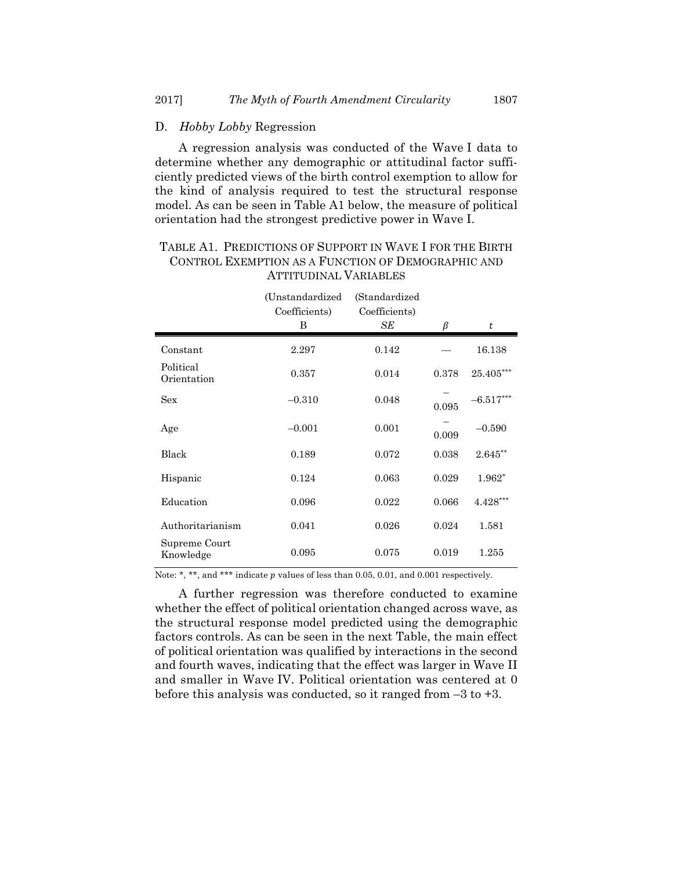#### D. *Hobby Lobby* Regression

A regression analysis was conducted of the Wave I data to determine whether any demographic or attitudinal factor sufficiently predicted views of the birth control exemption to allow for the kind of analysis required to test the structural response model. As can be seen in Table A1 below, the measure of political orientation had the strongest predictive power in Wave I.

## TABLE A1. PREDICTIONS OF SUPPORT IN WAVE I FOR THE BIRTH CONTROL EXEMPTION AS A FUNCTION OF DEMOGRAPHIC AND ATTITUDINAL VARIABLES

|                            | (Unstandardized<br>Coefficients)<br>B | (Standardized)<br>Coefficients)<br>SЕ | β     | t           |
|----------------------------|---------------------------------------|---------------------------------------|-------|-------------|
| Constant                   | 2.297                                 | 0.142                                 |       | 16.138      |
| Political<br>Orientation   | 0.357                                 | 0.014                                 | 0.378 | $25.405***$ |
| Sex                        | $-0.310$                              | 0.048                                 | 0.095 | $-6.517***$ |
| Age                        | $-0.001$                              | 0.001                                 | 0.009 | $-0.590$    |
| Black                      | 0.189                                 | 0.072                                 | 0.038 | 2.645**     |
| Hispanic                   | 0.124                                 | 0.063                                 | 0.029 | 1.962*      |
| Education                  | 0.096                                 | 0.022                                 | 0.066 | $4.428***$  |
| Authoritarianism           | 0.041                                 | 0.026                                 | 0.024 | 1.581       |
| Supreme Court<br>Knowledge | 0.095                                 | 0.075                                 | 0.019 | 1.255       |

Note: \*, \*\*, and \*\*\* indicate  $p$  values of less than 0.05, 0.01, and 0.001 respectively.

A further regression was therefore conducted to examine whether the effect of political orientation changed across wave, as the structural response model predicted using the demographic factors controls. As can be seen in the next Table, the main effect of political orientation was qualified by interactions in the second and fourth waves, indicating that the effect was larger in Wave II and smaller in Wave IV. Political orientation was centered at 0 before this analysis was conducted, so it ranged from  $-3$  to  $+3$ .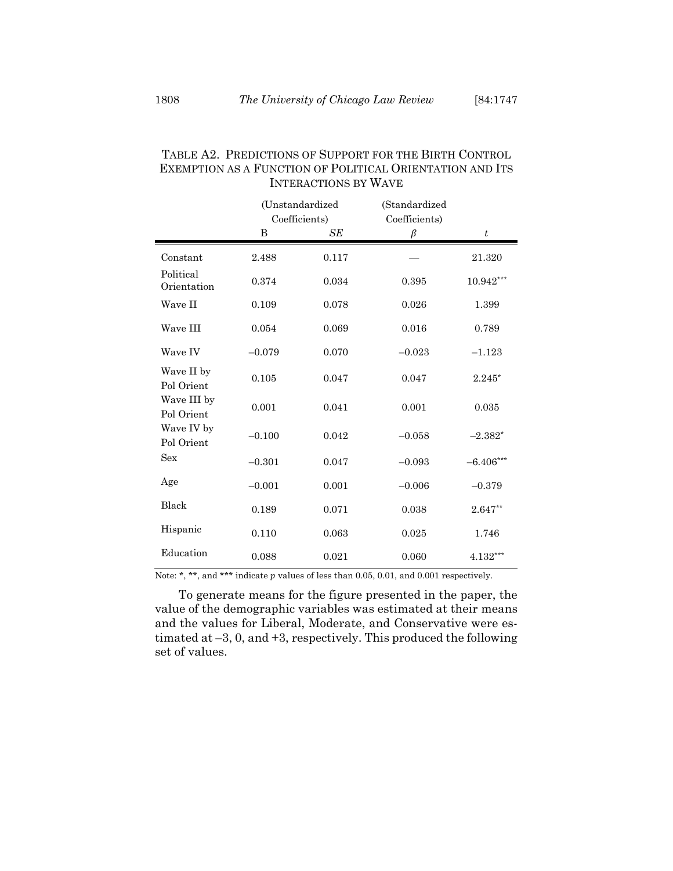|                           | (Unstandardized<br>Coefficients) |       | (Standardized<br>Coefficients) |                  |
|---------------------------|----------------------------------|-------|--------------------------------|------------------|
|                           | B                                | SE    | $\beta$                        | $\boldsymbol{t}$ |
| Constant                  | 2.488                            | 0.117 |                                | 21.320           |
| Political<br>Orientation  | 0.374                            | 0.034 | 0.395                          | $10.942***$      |
| Wave II                   | 0.109                            | 0.078 | 0.026                          | 1.399            |
| Wave III                  | 0.054                            | 0.069 | 0.016                          | 0.789            |
| Wave IV                   | $-0.079$                         | 0.070 | $-0.023$                       | $-1.123$         |
| Wave II by<br>Pol Orient  | 0.105                            | 0.047 | 0.047                          | $2.245*$         |
| Wave III by<br>Pol Orient | 0.001                            | 0.041 | 0.001                          | 0.035            |
| Wave IV by<br>Pol Orient  | $-0.100$                         | 0.042 | $-0.058$                       | $-2.382*$        |
| Sex                       | $-0.301$                         | 0.047 | $-0.093$                       | $-6.406***$      |
| Age                       | $-0.001$                         | 0.001 | $-0.006$                       | $-0.379$         |
| Black                     | 0.189                            | 0.071 | 0.038                          | $2.647**$        |
| Hispanic                  | 0.110                            | 0.063 | 0.025                          | 1.746            |
| Education                 | 0.088                            | 0.021 | 0.060                          | $4.132***$       |

## TABLE A2. PREDICTIONS OF SUPPORT FOR THE BIRTH CONTROL EXEMPTION AS A FUNCTION OF POLITICAL ORIENTATION AND ITS INTERACTIONS BY WAVE

Note: \*, \*\*, and \*\*\* indicate  $p$  values of less than 0.05, 0.01, and 0.001 respectively.

To generate means for the figure presented in the paper, the value of the demographic variables was estimated at their means and the values for Liberal, Moderate, and Conservative were estimated at –3, 0, and +3, respectively. This produced the following set of values.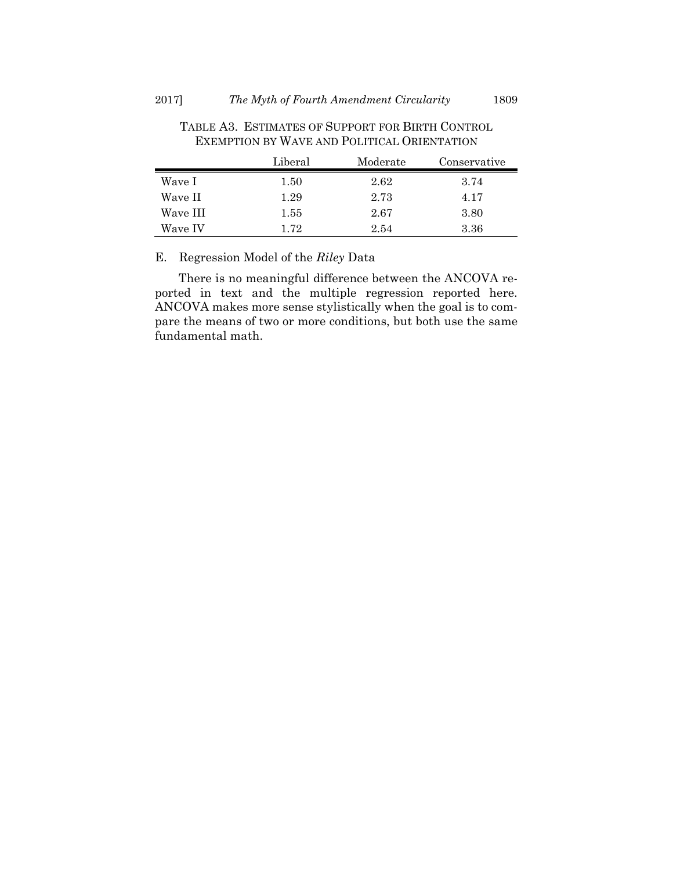|          | Liberal | Moderate | Conservative |
|----------|---------|----------|--------------|
| Wave I   | 1.50    | 2.62     | 3.74         |
| Wave II  | 1.29    | 2.73     | 4.17         |
| Wave III | 1.55    | 2.67     | 3.80         |
| Wave IV  | 172     | 2.54     | 3.36         |

TABLE A3. ESTIMATES OF SUPPORT FOR BIRTH CONTROL EXEMPTION BY WAVE AND POLITICAL ORIENTATION

## E. Regression Model of the *Riley* Data

There is no meaningful difference between the ANCOVA reported in text and the multiple regression reported here. ANCOVA makes more sense stylistically when the goal is to compare the means of two or more conditions, but both use the same fundamental math.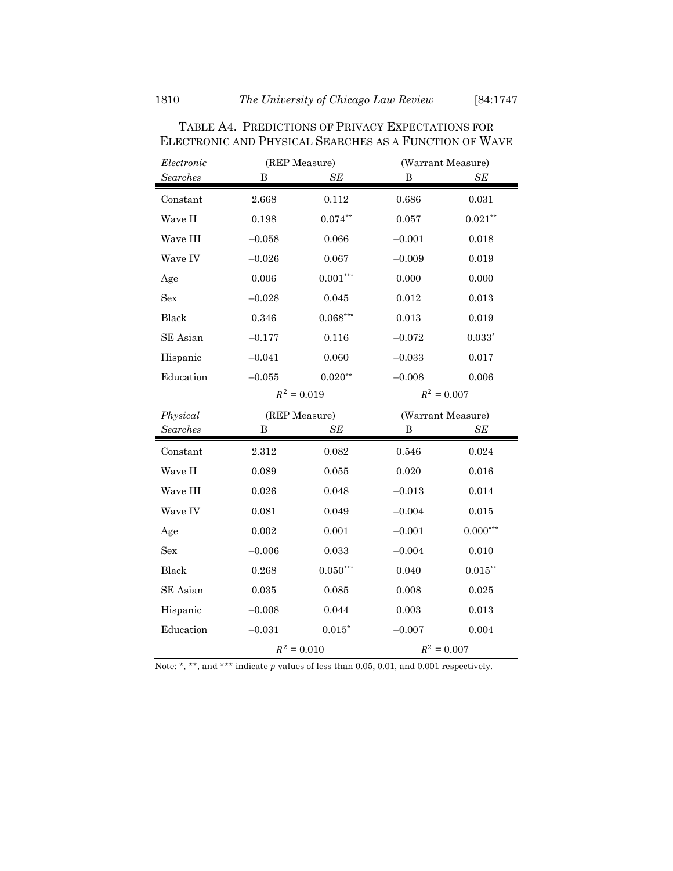| Electronic           | (REP Measure) |               | (Warrant Measure) |               |  |
|----------------------|---------------|---------------|-------------------|---------------|--|
| Searches             | В             | SE            | B                 | SE            |  |
| Constant             | 2.668         | 0.112         | 0.686             | 0.031         |  |
| Wave II              | 0.198         | $0.074***$    | 0.057             | $0.021**$     |  |
| Wave III             | $-0.058$      | 0.066         | $-0.001$          | 0.018         |  |
| Wave IV              | $-0.026$      | 0.067         | $-0.009$          | 0.019         |  |
| Age                  | 0.006         | $0.001***$    | 0.000             | 0.000         |  |
| Sex                  | $-0.028$      | 0.045         | 0.012             | 0.013         |  |
| Black                | 0.346         | $0.068***$    | 0.013             | 0.019         |  |
| SE Asian             | $-0.177$      | 0.116         | $-0.072$          | $0.033*$      |  |
| Hispanic             | $-0.041$      | 0.060         | $-0.033$          | 0.017         |  |
| Education            | $-0.055$      | $0.020**$     | $-0.008$          | 0.006         |  |
|                      |               | $R^2 = 0.019$ |                   | $R^2 = 0.007$ |  |
|                      | (REP Measure) |               | (Warrant Measure) |               |  |
|                      |               |               |                   |               |  |
| Physical<br>Searches | B             | SE            | B                 | SE            |  |
|                      |               |               |                   |               |  |
| Constant             | 2.312         | 0.082         | 0.546             | 0.024         |  |
| Wave II              | 0.089         | 0.055         | 0.020             | 0.016         |  |
| Wave III             | 0.026         | 0.048         | $-0.013$          | 0.014         |  |
| Wave IV              | 0.081         | 0.049         | $-0.004$          | 0.015         |  |
| Age                  | 0.002         | 0.001         | $-0.001$          | $0.000***$    |  |
| Sex                  | $-0.006$      | 0.033         | $-0.004$          | 0.010         |  |
| <b>Black</b>         | 0.268         | $0.050***$    | 0.040             | $0.015***$    |  |
| SE Asian             | 0.035         | 0.085         | 0.008             | 0.025         |  |
| Hispanic             | $-0.008$      | 0.044         | 0.003             | 0.013         |  |
| Education            | $-0.031$      | $0.015^\ast$  | $-0.007$          | 0.004         |  |

TABLE A4. PREDICTIONS OF PRIVACY EXPECTATIONS FOR ELECTRONIC AND PHYSICAL SEARCHES AS A FUNCTION OF WAVE

Note: \*, \*\*, and \*\*\* indicate  $p$  values of less than 0.05, 0.01, and 0.001 respectively.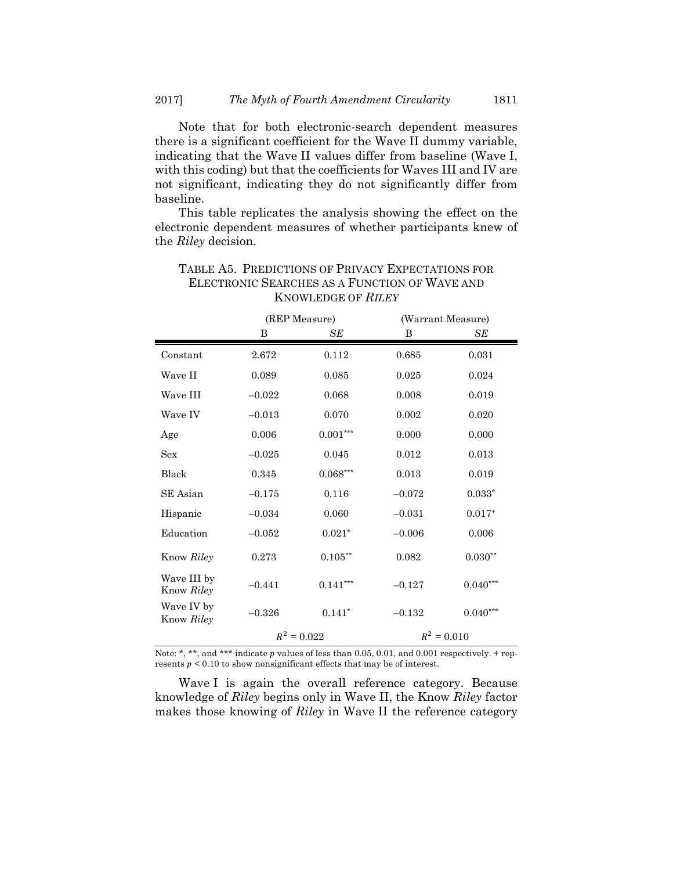Note that for both electronic-search dependent measures there is a significant coefficient for the Wave II dummy variable, indicating that the Wave II values differ from baseline (Wave I, with this coding) but that the coefficients for Waves III and IV are not significant, indicating they do not significantly differ from baseline.

This table replicates the analysis showing the effect on the electronic dependent measures of whether participants knew of the *Riley* decision.

|                           | (REP Measure) |            | (Warrant Measure) |            |
|---------------------------|---------------|------------|-------------------|------------|
|                           | B             | SЕ         | B                 | SЕ         |
| Constant                  | 2.672         | 0.112      | 0.685             | 0.031      |
| Wave II                   | 0.089         | 0.085      | 0.025             | 0.024      |
| Wave III                  | $-0.022$      | 0.068      | 0.008             | 0.019      |
| Wave IV                   | $-0.013$      | 0.070      | 0.002             | 0.020      |
| Age                       | 0.006         | $0.001***$ | 0.000             | 0.000      |
| <b>Sex</b>                | $-0.025$      | 0.045      | 0.012             | 0.013      |
| Black                     | 0.345         | $0.068***$ | 0.013             | 0.019      |
| SE Asian                  | $-0.175$      | 0.116      | $-0.072$          | $0.033*$   |
| Hispanic                  | $-0.034$      | 0.060      | $-0.031$          | $0.017+$   |
| Education                 | $-0.052$      | $0.021*$   | $-0.006$          | 0.006      |
| Know Riley                | 0.273         | $0.105***$ | 0.082             | $0.030**$  |
| Wave III by<br>Know Riley | $-0.441$      | $0.141***$ | $-0.127$          | $0.040***$ |
| Wave IV by<br>Know Riley  | $-0.326$      | $0.141*$   | $-0.132$          | $0.040***$ |
|                           | $R^2 = 0.022$ |            | $R^2 = 0.010$     |            |

## TABLE A5. PREDICTIONS OF PRIVACY EXPECTATIONS FOR ELECTRONIC SEARCHES AS A FUNCTION OF WAVE AND KNOWLEDGE OF *RILEY*

Note: \*, \*\*, and \*\*\* indicate  $p$  values of less than 0.05, 0.01, and 0.001 respectively. + represents  $p < 0.10$  to show nonsignificant effects that may be of interest.

Wave I is again the overall reference category. Because knowledge of *Riley* begins only in Wave II, the Know *Riley* factor makes those knowing of *Riley* in Wave II the reference category